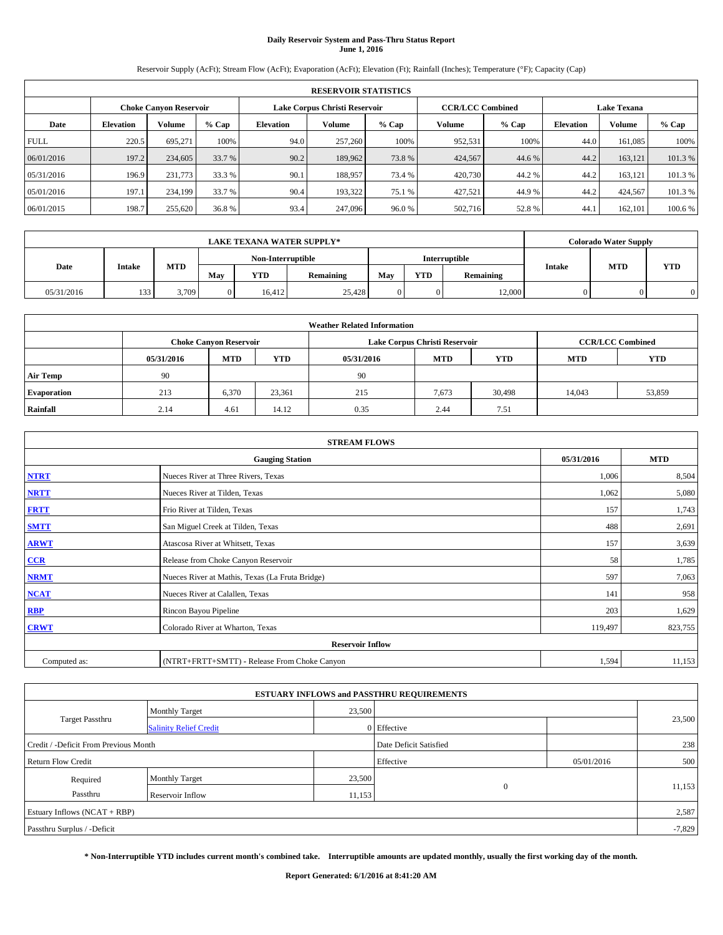# **Daily Reservoir System and Pass-Thru Status Report June 1, 2016**

Reservoir Supply (AcFt); Stream Flow (AcFt); Evaporation (AcFt); Elevation (Ft); Rainfall (Inches); Temperature (°F); Capacity (Cap)

|             | <b>RESERVOIR STATISTICS</b> |                               |         |                                                          |         |         |         |         |                    |               |         |
|-------------|-----------------------------|-------------------------------|---------|----------------------------------------------------------|---------|---------|---------|---------|--------------------|---------------|---------|
|             |                             | <b>Choke Canyon Reservoir</b> |         | <b>CCR/LCC Combined</b><br>Lake Corpus Christi Reservoir |         |         |         |         | <b>Lake Texana</b> |               |         |
| Date        | <b>Elevation</b>            | Volume                        | $%$ Cap | Elevation                                                | Volume  | $%$ Cap | Volume  | $%$ Cap | <b>Elevation</b>   | <b>Volume</b> | % Cap   |
| <b>FULL</b> | 220.5                       | 695.271                       | 100%    | 94.0                                                     | 257,260 | 100%    | 952,531 | 100%    | 44.0               | 161.085       | 100%    |
| 06/01/2016  | 197.2                       | 234,605                       | 33.7 %  | 90.2                                                     | 189,962 | 73.8%   | 424,567 | 44.6 %  | 44.2               | 163.121       | 101.3%  |
| 05/31/2016  | 196.9                       | 231,773                       | 33.3 %  | 90.1                                                     | 188,957 | 73.4 %  | 420,730 | 44.2%   | 44.2               | 163.121       | 101.3%  |
| 05/01/2016  | 197.1                       | 234,199                       | 33.7 %  | 90.4                                                     | 193.322 | 75.1 %  | 427,521 | 44.9%   | 44.2               | 424,567       | 101.3 % |
| 06/01/2015  | 198.7                       | 255,620                       | 36.8 %  | 93.4                                                     | 247,096 | 96.0%   | 502,716 | 52.8%   | 44.                | 162,101       | 100.6 % |

|            | <b>LAKE TEXANA WATER SUPPLY*</b> |            |     |                   |           |     |            |                      |               |            | <b>Colorado Water Supply</b> |
|------------|----------------------------------|------------|-----|-------------------|-----------|-----|------------|----------------------|---------------|------------|------------------------------|
|            |                                  |            |     | Non-Interruptible |           |     |            | <b>Interruptible</b> |               |            |                              |
| Date       | Intake                           | <b>MTD</b> | May | YTD               | Remaining | May | <b>YTD</b> | Remaining            | <b>Intake</b> | <b>MTD</b> | <b>YTD</b>                   |
| 05/31/2016 | 133<br>$1 - 1 -$                 | 3,709      |     | 16.412            | 25,428    |     |            | 12,000               |               |            |                              |

| <b>Weather Related Information</b> |                                                                                                |                               |        |      |                               |                         |        |            |  |  |
|------------------------------------|------------------------------------------------------------------------------------------------|-------------------------------|--------|------|-------------------------------|-------------------------|--------|------------|--|--|
|                                    |                                                                                                | <b>Choke Canyon Reservoir</b> |        |      | Lake Corpus Christi Reservoir | <b>CCR/LCC Combined</b> |        |            |  |  |
|                                    | <b>YTD</b><br><b>MTD</b><br><b>MTD</b><br><b>YTD</b><br><b>MTD</b><br>05/31/2016<br>05/31/2016 |                               |        |      |                               |                         |        | <b>YTD</b> |  |  |
| <b>Air Temp</b>                    | 90                                                                                             |                               |        | 90   |                               |                         |        |            |  |  |
| <b>Evaporation</b>                 | 213                                                                                            | 6,370                         | 23,361 | 215  | 7,673                         | 30,498                  | 14,043 | 53,859     |  |  |
| Rainfall                           | 2.14                                                                                           | 4.61                          | 14.12  | 0.35 | 2.44                          | 7.51                    |        |            |  |  |

| <b>STREAM FLOWS</b> |                                                 |            |            |  |  |  |  |  |  |
|---------------------|-------------------------------------------------|------------|------------|--|--|--|--|--|--|
|                     | <b>Gauging Station</b>                          | 05/31/2016 | <b>MTD</b> |  |  |  |  |  |  |
| <b>NTRT</b>         | Nueces River at Three Rivers, Texas             | 1,006      | 8,504      |  |  |  |  |  |  |
| <b>NRTT</b>         | Nueces River at Tilden, Texas                   |            |            |  |  |  |  |  |  |
| <b>FRTT</b>         | Frio River at Tilden, Texas                     | 157        | 1,743      |  |  |  |  |  |  |
| <b>SMTT</b>         | San Miguel Creek at Tilden, Texas               | 488        | 2,691      |  |  |  |  |  |  |
| <b>ARWT</b>         | Atascosa River at Whitsett, Texas               | 157        | 3,639      |  |  |  |  |  |  |
| $CCR$               | Release from Choke Canyon Reservoir             | 58         | 1,785      |  |  |  |  |  |  |
| <b>NRMT</b>         | Nueces River at Mathis, Texas (La Fruta Bridge) | 597        | 7,063      |  |  |  |  |  |  |
| <b>NCAT</b>         | Nueces River at Calallen, Texas                 | 141        | 958        |  |  |  |  |  |  |
| RBP                 | Rincon Bayou Pipeline                           | 203        | 1,629      |  |  |  |  |  |  |
| <b>CRWT</b>         | Colorado River at Wharton, Texas                | 119,497    | 823,755    |  |  |  |  |  |  |
|                     | <b>Reservoir Inflow</b>                         |            |            |  |  |  |  |  |  |
| Computed as:        | (NTRT+FRTT+SMTT) - Release From Choke Canyon    | 1,594      | 11,153     |  |  |  |  |  |  |

|                                       |                               |                        | <b>ESTUARY INFLOWS and PASSTHRU REQUIREMENTS</b> |            |        |  |  |  |  |
|---------------------------------------|-------------------------------|------------------------|--------------------------------------------------|------------|--------|--|--|--|--|
|                                       | <b>Monthly Target</b>         | 23,500                 |                                                  |            |        |  |  |  |  |
| Target Passthru                       | <b>Salinity Relief Credit</b> |                        | 0 Effective                                      |            | 23,500 |  |  |  |  |
| Credit / -Deficit From Previous Month |                               | Date Deficit Satisfied |                                                  | 238        |        |  |  |  |  |
| <b>Return Flow Credit</b>             |                               |                        | Effective                                        | 05/01/2016 | 500    |  |  |  |  |
| Required                              | <b>Monthly Target</b>         | 23,500                 |                                                  |            |        |  |  |  |  |
| Passthru                              | <b>Reservoir Inflow</b>       | 11,153                 | $\Omega$                                         |            | 11,153 |  |  |  |  |
| Estuary Inflows $(NCAT + RBP)$        |                               |                        |                                                  |            | 2,587  |  |  |  |  |
| Passthru Surplus / -Deficit           |                               |                        |                                                  |            |        |  |  |  |  |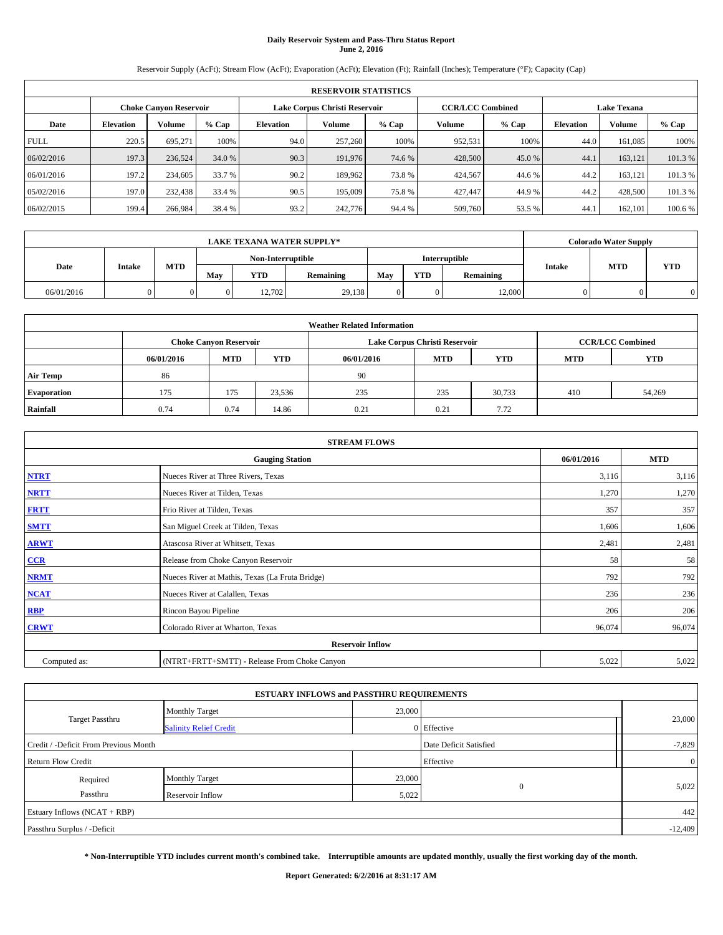# **Daily Reservoir System and Pass-Thru Status Report June 2, 2016**

Reservoir Supply (AcFt); Stream Flow (AcFt); Evaporation (AcFt); Elevation (Ft); Rainfall (Inches); Temperature (°F); Capacity (Cap)

|             | <b>RESERVOIR STATISTICS</b> |                               |         |                                                          |         |         |         |         |                    |               |         |
|-------------|-----------------------------|-------------------------------|---------|----------------------------------------------------------|---------|---------|---------|---------|--------------------|---------------|---------|
|             |                             | <b>Choke Canyon Reservoir</b> |         | <b>CCR/LCC Combined</b><br>Lake Corpus Christi Reservoir |         |         |         |         | <b>Lake Texana</b> |               |         |
| Date        | <b>Elevation</b>            | Volume                        | $%$ Cap | Elevation                                                | Volume  | $%$ Cap | Volume  | $%$ Cap | <b>Elevation</b>   | <b>Volume</b> | % Cap   |
| <b>FULL</b> | 220.5                       | 695.271                       | 100%    | 94.0                                                     | 257,260 | 100%    | 952,531 | 100%    | 44.0               | 161.085       | 100%    |
| 06/02/2016  | 197.3                       | 236,524                       | 34.0 %  | 90.3                                                     | 191,976 | 74.6 %  | 428,500 | 45.0 %  | 44.1               | 163.121       | 101.3%  |
| 06/01/2016  | 197.2                       | 234,605                       | 33.7 %  | 90.2                                                     | 189.962 | 73.8%   | 424,567 | 44.6%   | 44.2               | 163.121       | 101.3%  |
| 05/02/2016  | 197.0                       | 232,438                       | 33.4 %  | 90.5                                                     | 195,009 | 75.8%   | 427.447 | 44.9%   | 44.2               | 428,500       | 101.3 % |
| 06/02/2015  | 199.4                       | 266,984                       | 38.4 %  | 93.2                                                     | 242,776 | 94.4 %  | 509,760 | 53.5 %  | 44.                | 162,101       | 100.6 % |

|            | <b>LAKE TEXANA WATER SUPPLY*</b> |     |     |                   |           |     |            |               |               | <b>Colorado Water Supply</b> |            |  |  |
|------------|----------------------------------|-----|-----|-------------------|-----------|-----|------------|---------------|---------------|------------------------------|------------|--|--|
|            |                                  |     |     | Non-Interruptible |           |     |            | Interruptible |               |                              |            |  |  |
| Date       | <b>Intake</b>                    | MTD | Mav | YTD               | Remaining | Mav | <b>YTD</b> | Remaining     | <b>Intake</b> | <b>MTD</b>                   | <b>YTD</b> |  |  |
| 06/01/2016 |                                  |     |     | 12.702            | 29,138    |     |            | 12,000        |               |                              |            |  |  |

| <b>Weather Related Information</b> |                                                                                                |                               |        |      |                               |                         |     |            |  |  |
|------------------------------------|------------------------------------------------------------------------------------------------|-------------------------------|--------|------|-------------------------------|-------------------------|-----|------------|--|--|
|                                    |                                                                                                | <b>Choke Canyon Reservoir</b> |        |      | Lake Corpus Christi Reservoir | <b>CCR/LCC Combined</b> |     |            |  |  |
|                                    | <b>YTD</b><br><b>MTD</b><br><b>MTD</b><br><b>YTD</b><br>06/01/2016<br>06/01/2016<br><b>MTD</b> |                               |        |      |                               |                         |     | <b>YTD</b> |  |  |
| <b>Air Temp</b>                    | 86                                                                                             |                               |        | 90   |                               |                         |     |            |  |  |
| <b>Evaporation</b>                 | 175                                                                                            | 175                           | 23,536 | 235  | 235                           | 30,733                  | 410 | 54,269     |  |  |
| Rainfall                           | 0.74                                                                                           | 0.74                          | 14.86  | 0.21 | 0.21                          | 7.72                    |     |            |  |  |

| <b>STREAM FLOWS</b> |                                                 |            |            |  |  |  |  |  |  |
|---------------------|-------------------------------------------------|------------|------------|--|--|--|--|--|--|
|                     | <b>Gauging Station</b>                          | 06/01/2016 | <b>MTD</b> |  |  |  |  |  |  |
| <b>NTRT</b>         | Nueces River at Three Rivers, Texas             | 3,116      | 3,116      |  |  |  |  |  |  |
| <b>NRTT</b>         | Nueces River at Tilden, Texas                   | 1,270      | 1,270      |  |  |  |  |  |  |
| <b>FRTT</b>         | Frio River at Tilden, Texas                     | 357        | 357        |  |  |  |  |  |  |
| <b>SMTT</b>         | San Miguel Creek at Tilden, Texas               | 1,606      | 1,606      |  |  |  |  |  |  |
| <b>ARWT</b>         | Atascosa River at Whitsett, Texas               | 2,481      | 2,481      |  |  |  |  |  |  |
| $CCR$               | Release from Choke Canyon Reservoir             | 58         | 58         |  |  |  |  |  |  |
| <b>NRMT</b>         | Nueces River at Mathis, Texas (La Fruta Bridge) | 792        | 792        |  |  |  |  |  |  |
| <b>NCAT</b>         | Nueces River at Calallen, Texas                 | 236        | 236        |  |  |  |  |  |  |
| RBP                 | Rincon Bayou Pipeline                           | 206        | 206        |  |  |  |  |  |  |
| <b>CRWT</b>         | Colorado River at Wharton, Texas                | 96,074     | 96,074     |  |  |  |  |  |  |
|                     | <b>Reservoir Inflow</b>                         |            |            |  |  |  |  |  |  |
| Computed as:        | (NTRT+FRTT+SMTT) - Release From Choke Canyon    | 5,022      | 5,022      |  |  |  |  |  |  |

|                                       | <b>ESTUARY INFLOWS and PASSTHRU REQUIREMENTS</b> |                        |             |                |  |  |  |
|---------------------------------------|--------------------------------------------------|------------------------|-------------|----------------|--|--|--|
|                                       | <b>Monthly Target</b>                            | 23,000                 |             |                |  |  |  |
| Target Passthru                       | <b>Salinity Relief Credit</b>                    |                        | 0 Effective | 23,000         |  |  |  |
| Credit / -Deficit From Previous Month |                                                  | Date Deficit Satisfied | $-7,829$    |                |  |  |  |
| <b>Return Flow Credit</b>             |                                                  |                        | Effective   | $\overline{0}$ |  |  |  |
| Required                              | <b>Monthly Target</b>                            | 23,000                 |             |                |  |  |  |
| Passthru                              | Reservoir Inflow                                 | 5,022                  | $\theta$    | 5,022          |  |  |  |
| Estuary Inflows (NCAT + RBP)          |                                                  |                        |             |                |  |  |  |
| Passthru Surplus / -Deficit           |                                                  |                        |             |                |  |  |  |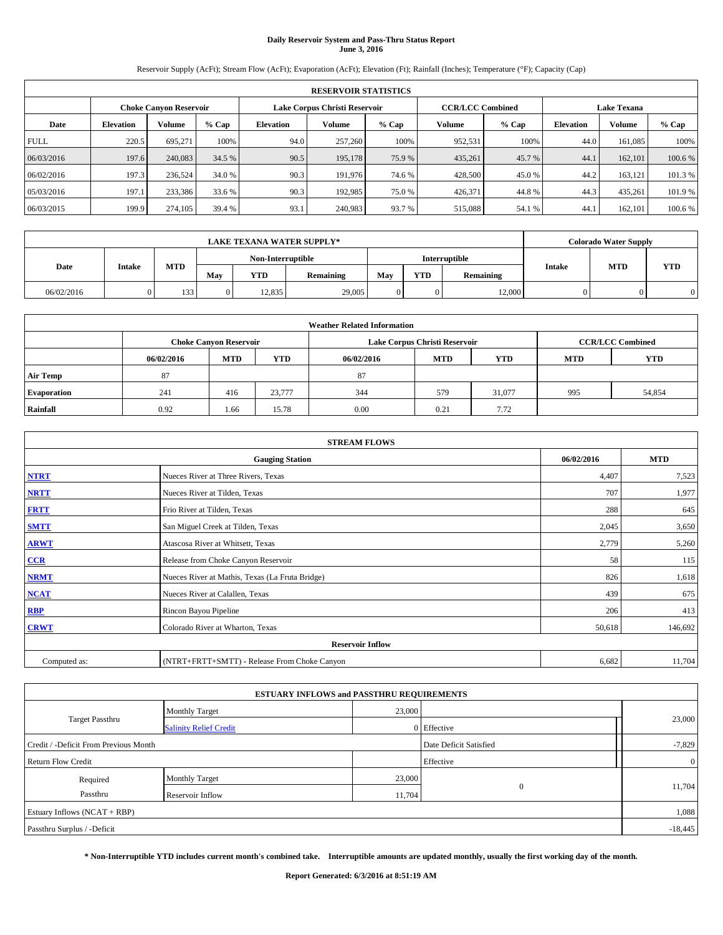# **Daily Reservoir System and Pass-Thru Status Report June 3, 2016**

Reservoir Supply (AcFt); Stream Flow (AcFt); Evaporation (AcFt); Elevation (Ft); Rainfall (Inches); Temperature (°F); Capacity (Cap)

|             | <b>RESERVOIR STATISTICS</b> |                               |         |                                                          |         |         |         |         |                    |               |         |  |
|-------------|-----------------------------|-------------------------------|---------|----------------------------------------------------------|---------|---------|---------|---------|--------------------|---------------|---------|--|
|             |                             | <b>Choke Canyon Reservoir</b> |         | <b>CCR/LCC Combined</b><br>Lake Corpus Christi Reservoir |         |         |         |         | <b>Lake Texana</b> |               |         |  |
| Date        | <b>Elevation</b>            | Volume                        | $%$ Cap | <b>Elevation</b>                                         | Volume  | $%$ Cap | Volume  | $%$ Cap | <b>Elevation</b>   | <b>Volume</b> | % Cap   |  |
| <b>FULL</b> | 220.5                       | 695.271                       | 100%    | 94.0                                                     | 257,260 | 100%    | 952,531 | 100%    | 44.0               | 161.085       | 100%    |  |
| 06/03/2016  | 197.6                       | 240,083                       | 34.5 %  | 90.5                                                     | 195,178 | 75.9 %  | 435,261 | 45.7 %  | 44.1               | 162,101       | 100.6%  |  |
| 06/02/2016  | 197.3                       | 236,524                       | 34.0 %  | 90.3                                                     | 191.976 | 74.6 %  | 428,500 | 45.0 %  | 44.2               | 163.121       | 101.3%  |  |
| 05/03/2016  | 197.1                       | 233,386                       | 33.6 %  | 90.3                                                     | 192.985 | 75.0 %  | 426,371 | 44.8%   | 44.3               | 435.261       | 101.9 % |  |
| 06/03/2015  | 199.9                       | 274,105                       | 39.4 %  | 93.1                                                     | 240,983 | 93.7 %  | 515,088 | 54.1 %  | 44.                | 162,101       | 100.6 % |  |

|            | <b>LAKE TEXANA WATER SUPPLY*</b> |     |     |                   |           |     |            |               |               | <b>Colorado Water Supply</b> |            |  |  |
|------------|----------------------------------|-----|-----|-------------------|-----------|-----|------------|---------------|---------------|------------------------------|------------|--|--|
|            |                                  |     |     | Non-Interruptible |           |     |            | Interruptible |               |                              |            |  |  |
| Date       | <b>Intake</b>                    | MTD | Mav | YTD               | Remaining | Mav | <b>YTD</b> | Remaining     | <b>Intake</b> | <b>MTD</b>                   | <b>YTD</b> |  |  |
| 06/02/2016 |                                  | 133 |     | 12.835            | 29,005    |     |            | 12,000        |               |                              |            |  |  |

| <b>Weather Related Information</b> |            |                               |            |            |                               |                         |            |            |  |  |
|------------------------------------|------------|-------------------------------|------------|------------|-------------------------------|-------------------------|------------|------------|--|--|
|                                    |            | <b>Choke Canyon Reservoir</b> |            |            | Lake Corpus Christi Reservoir | <b>CCR/LCC Combined</b> |            |            |  |  |
|                                    | 06/02/2016 | <b>MTD</b>                    | <b>YTD</b> | 06/02/2016 | <b>MTD</b>                    | <b>YTD</b>              | <b>MTD</b> | <b>YTD</b> |  |  |
| <b>Air Temp</b>                    | 87         |                               |            | 87         |                               |                         |            |            |  |  |
| <b>Evaporation</b>                 | 241        | 416                           | 23,777     | 344        | 579                           | 31,077                  | 995        | 54,854     |  |  |
| Rainfall                           | 0.92       | 1.66                          | 15.78      | 0.00       | 0.21                          | 7.72                    |            |            |  |  |

| <b>STREAM FLOWS</b> |                                                 |            |         |  |  |  |  |  |  |
|---------------------|-------------------------------------------------|------------|---------|--|--|--|--|--|--|
|                     | 06/02/2016                                      | <b>MTD</b> |         |  |  |  |  |  |  |
| <b>NTRT</b>         | Nueces River at Three Rivers, Texas             | 4,407      | 7,523   |  |  |  |  |  |  |
| <b>NRTT</b>         | Nueces River at Tilden, Texas                   | 707        | 1,977   |  |  |  |  |  |  |
| <b>FRTT</b>         | Frio River at Tilden, Texas                     | 288        | 645     |  |  |  |  |  |  |
| <b>SMTT</b>         | San Miguel Creek at Tilden, Texas               | 2,045      | 3,650   |  |  |  |  |  |  |
| <b>ARWT</b>         | Atascosa River at Whitsett, Texas               | 2,779      | 5,260   |  |  |  |  |  |  |
| $CCR$               | Release from Choke Canyon Reservoir             | 58         | 115     |  |  |  |  |  |  |
| <b>NRMT</b>         | Nueces River at Mathis, Texas (La Fruta Bridge) | 826        | 1,618   |  |  |  |  |  |  |
| <b>NCAT</b>         | Nueces River at Calallen, Texas                 | 439        | 675     |  |  |  |  |  |  |
| RBP                 | Rincon Bayou Pipeline                           | 206        | 413     |  |  |  |  |  |  |
| <b>CRWT</b>         | Colorado River at Wharton, Texas                | 50,618     | 146,692 |  |  |  |  |  |  |
|                     |                                                 |            |         |  |  |  |  |  |  |
| Computed as:        | 6,682                                           | 11,704     |         |  |  |  |  |  |  |

|                                       | <b>ESTUARY INFLOWS and PASSTHRU REQUIREMENTS</b> |        |                        |                |
|---------------------------------------|--------------------------------------------------|--------|------------------------|----------------|
|                                       | <b>Monthly Target</b>                            | 23,000 |                        |                |
| Target Passthru                       | <b>Salinity Relief Credit</b>                    |        | 0 Effective            | 23,000         |
| Credit / -Deficit From Previous Month |                                                  |        | Date Deficit Satisfied | $-7,829$       |
| <b>Return Flow Credit</b>             |                                                  |        | Effective              | $\overline{0}$ |
| Required                              | <b>Monthly Target</b>                            | 23,000 |                        |                |
| Passthru                              | <b>Reservoir Inflow</b>                          | 11,704 | $\Omega$               | 11,704         |
| Estuary Inflows (NCAT + RBP)          |                                                  |        |                        | 1,088          |
| Passthru Surplus / -Deficit           |                                                  |        |                        | $-18,445$      |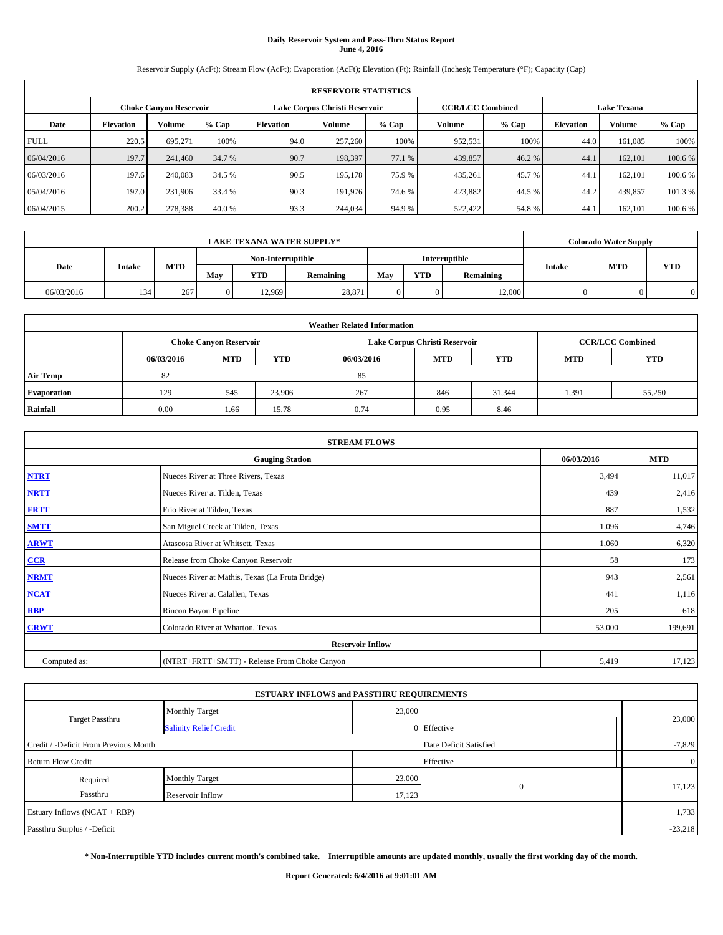# **Daily Reservoir System and Pass-Thru Status Report June 4, 2016**

Reservoir Supply (AcFt); Stream Flow (AcFt); Evaporation (AcFt); Elevation (Ft); Rainfall (Inches); Temperature (°F); Capacity (Cap)

| <b>RESERVOIR STATISTICS</b> |                  |                               |         |                  |                               |         |         |                         |                  |                    |         |
|-----------------------------|------------------|-------------------------------|---------|------------------|-------------------------------|---------|---------|-------------------------|------------------|--------------------|---------|
|                             |                  | <b>Choke Canyon Reservoir</b> |         |                  | Lake Corpus Christi Reservoir |         |         | <b>CCR/LCC Combined</b> |                  | <b>Lake Texana</b> |         |
| Date                        | <b>Elevation</b> | Volume                        | $%$ Cap | <b>Elevation</b> | Volume                        | $%$ Cap | Volume  | $%$ Cap                 | <b>Elevation</b> | Volume             | % Cap   |
| <b>FULL</b>                 | 220.5            | 695,271                       | 100%    | 94.0             | 257,260                       | 100%    | 952,531 | 100%                    | 44.0             | 161,085            | 100%    |
| 06/04/2016                  | 197.7            | 241,460                       | 34.7 %  | 90.7             | 198,397                       | 77.1 %  | 439,857 | 46.2%                   | 44.1             | 162,101            | 100.6 % |
| 06/03/2016                  | 197.6            | 240,083                       | 34.5 %  | 90.5             | 195,178                       | 75.9 %  | 435,261 | 45.7 %                  | 44.1             | 162,101            | 100.6 % |
| 05/04/2016                  | 197.0            | 231,906                       | 33.4 %  | 90.3             | 191,976                       | 74.6 %  | 423,882 | 44.5 %                  | 44.2             | 439,857            | 101.3 % |
| 06/04/2015                  | 200.2            | 278,388                       | 40.0 %  | 93.3             | 244,034                       | 94.9 %  | 522,422 | 54.8%                   | 44.1             | 162,101            | 100.6 % |

| <b>LAKE TEXANA WATER SUPPLY*</b> |        |            |                   |            |                  |     |                         |               | <b>Colorado Water Supply</b> |            |            |  |
|----------------------------------|--------|------------|-------------------|------------|------------------|-----|-------------------------|---------------|------------------------------|------------|------------|--|
|                                  |        |            | Non-Interruptible |            |                  |     |                         | Interruptible |                              |            |            |  |
| Date                             | Intake | <b>MTD</b> | May               | <b>YTD</b> | <b>Remaining</b> | May | <b>YTD</b><br>Remaining |               | <b>Intake</b>                | <b>MTD</b> | <b>YTD</b> |  |
| 06/03/2016                       | 134    | 267        |                   | 12.969     | 28,871           | 0   |                         | 12,000        |                              |            |            |  |

| <b>Weather Related Information</b> |            |                               |            |            |                               |                         |            |            |  |  |
|------------------------------------|------------|-------------------------------|------------|------------|-------------------------------|-------------------------|------------|------------|--|--|
|                                    |            | <b>Choke Canyon Reservoir</b> |            |            | Lake Corpus Christi Reservoir | <b>CCR/LCC Combined</b> |            |            |  |  |
|                                    | 06/03/2016 | <b>MTD</b>                    | <b>YTD</b> | 06/03/2016 | <b>MTD</b>                    | <b>YTD</b>              | <b>MTD</b> | <b>YTD</b> |  |  |
| <b>Air Temp</b>                    | 82         |                               |            | 85         |                               |                         |            |            |  |  |
| <b>Evaporation</b>                 | 129        | 545                           | 23,906     | 267        | 846                           | 31,344                  | 1,391      | 55,250     |  |  |
| Rainfall                           | 0.00       | 1.66                          | 15.78      | 0.74       | 0.95                          | 8.46                    |            |            |  |  |

| <b>STREAM FLOWS</b> |                                                 |            |         |  |  |  |  |  |  |
|---------------------|-------------------------------------------------|------------|---------|--|--|--|--|--|--|
|                     | 06/03/2016                                      | <b>MTD</b> |         |  |  |  |  |  |  |
| <b>NTRT</b>         | Nueces River at Three Rivers, Texas             | 3,494      | 11,017  |  |  |  |  |  |  |
| <b>NRTT</b>         | Nueces River at Tilden, Texas                   | 439        | 2,416   |  |  |  |  |  |  |
| <b>FRTT</b>         | Frio River at Tilden, Texas                     | 887        | 1,532   |  |  |  |  |  |  |
| <b>SMTT</b>         | San Miguel Creek at Tilden, Texas               | 1,096      | 4,746   |  |  |  |  |  |  |
| <b>ARWT</b>         | Atascosa River at Whitsett, Texas               | 1,060      | 6,320   |  |  |  |  |  |  |
| $CCR$               | Release from Choke Canyon Reservoir             | 58         | 173     |  |  |  |  |  |  |
| <b>NRMT</b>         | Nueces River at Mathis, Texas (La Fruta Bridge) | 943        | 2,561   |  |  |  |  |  |  |
| <b>NCAT</b>         | Nueces River at Calallen, Texas                 | 441        | 1,116   |  |  |  |  |  |  |
| RBP                 | Rincon Bayou Pipeline                           | 205        | 618     |  |  |  |  |  |  |
| <b>CRWT</b>         | Colorado River at Wharton, Texas                | 53,000     | 199,691 |  |  |  |  |  |  |
|                     | <b>Reservoir Inflow</b>                         |            |         |  |  |  |  |  |  |
| Computed as:        | (NTRT+FRTT+SMTT) - Release From Choke Canyon    | 5,419      | 17,123  |  |  |  |  |  |  |

|                                       | <b>ESTUARY INFLOWS and PASSTHRU REQUIREMENTS</b> |        |                        |                |  |
|---------------------------------------|--------------------------------------------------|--------|------------------------|----------------|--|
|                                       | <b>Monthly Target</b>                            | 23,000 |                        |                |  |
| Target Passthru                       | <b>Salinity Relief Credit</b>                    |        | 0 Effective            | 23,000         |  |
| Credit / -Deficit From Previous Month |                                                  |        | Date Deficit Satisfied | $-7,829$       |  |
| <b>Return Flow Credit</b>             |                                                  |        | Effective              | $\overline{0}$ |  |
| Required                              | <b>Monthly Target</b>                            | 23,000 |                        |                |  |
| Passthru                              | Reservoir Inflow                                 | 17,123 | $\Omega$               | 17,123         |  |
| Estuary Inflows (NCAT + RBP)          |                                                  |        |                        | 1,733          |  |
| Passthru Surplus / -Deficit           |                                                  |        |                        | $-23,218$      |  |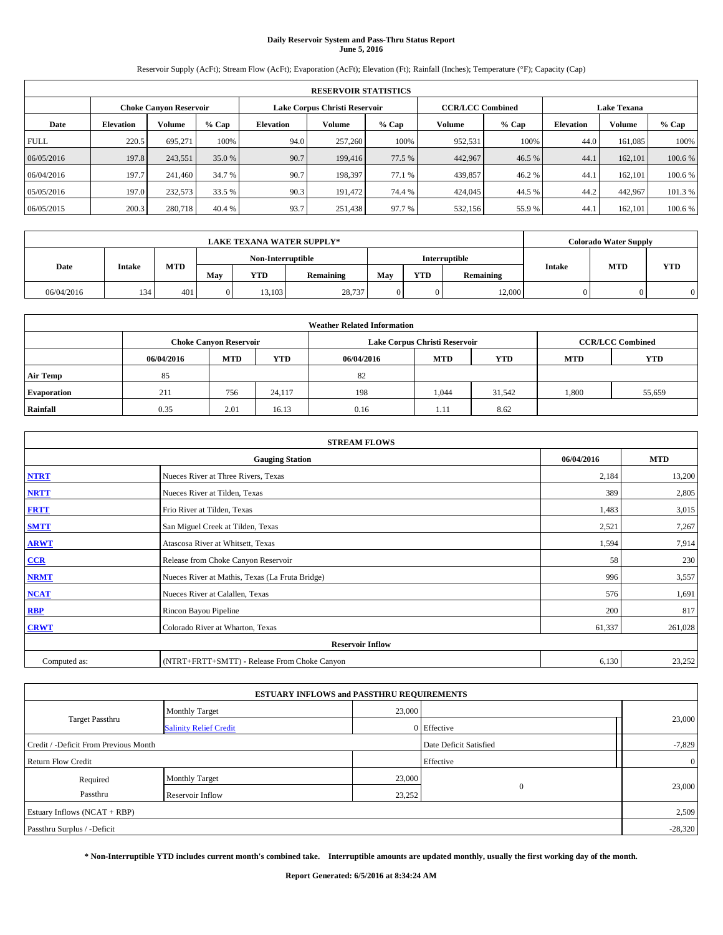# **Daily Reservoir System and Pass-Thru Status Report June 5, 2016**

Reservoir Supply (AcFt); Stream Flow (AcFt); Evaporation (AcFt); Elevation (Ft); Rainfall (Inches); Temperature (°F); Capacity (Cap)

| <b>RESERVOIR STATISTICS</b> |                  |                               |         |           |                               |         |                         |         |                  |                    |         |
|-----------------------------|------------------|-------------------------------|---------|-----------|-------------------------------|---------|-------------------------|---------|------------------|--------------------|---------|
|                             |                  | <b>Choke Canyon Reservoir</b> |         |           | Lake Corpus Christi Reservoir |         | <b>CCR/LCC Combined</b> |         |                  | <b>Lake Texana</b> |         |
| Date                        | <b>Elevation</b> | Volume                        | $%$ Cap | Elevation | Volume                        | $%$ Cap | Volume                  | $%$ Cap | <b>Elevation</b> | <b>Volume</b>      | % Cap   |
| <b>FULL</b>                 | 220.5            | 695.271                       | 100%    | 94.0      | 257,260                       | 100%    | 952,531                 | 100%    | 44.0             | 161.085            | 100%    |
| 06/05/2016                  | 197.8            | 243.551                       | 35.0 %  | 90.7      | 199,416                       | 77.5 %  | 442,967                 | 46.5 %  | 44.1             | 162,101            | 100.6%  |
| 06/04/2016                  | 197.7            | 241,460                       | 34.7 %  | 90.7      | 198.397                       | 77.1 %  | 439,857                 | 46.2%   | 44.1             | 162,101            | 100.6%  |
| 05/05/2016                  | 197.0            | 232,573                       | 33.5 %  | 90.3      | 191.472                       | 74.4 %  | 424,045                 | 44.5 %  | 44.2             | 442.967            | 101.3 % |
| 06/05/2015                  | 200.3            | 280,718                       | 40.4 %  | 93.7      | 251,438                       | 97.7 %  | 532,156                 | 55.9%   | 44.              | 162,101            | 100.6 % |

| <b>LAKE TEXANA WATER SUPPLY*</b> |               |     |     |                   |           |     |            |               | <b>Colorado Water Supply</b> |            |            |  |
|----------------------------------|---------------|-----|-----|-------------------|-----------|-----|------------|---------------|------------------------------|------------|------------|--|
|                                  |               |     |     | Non-Interruptible |           |     |            | Interruptible |                              |            |            |  |
| Date                             | <b>Intake</b> | MTD | Mav | YTD               | Remaining | Mav | <b>YTD</b> | Remaining     | <b>Intake</b>                | <b>MTD</b> | <b>YTD</b> |  |
| 06/04/2016                       | 134           | 401 |     | 13.103            | 28,737    |     |            | 12,000        |                              |            |            |  |

| <b>Weather Related Information</b> |            |                               |            |            |                               |                         |            |        |  |  |
|------------------------------------|------------|-------------------------------|------------|------------|-------------------------------|-------------------------|------------|--------|--|--|
|                                    |            | <b>Choke Canyon Reservoir</b> |            |            | Lake Corpus Christi Reservoir | <b>CCR/LCC Combined</b> |            |        |  |  |
|                                    | 06/04/2016 | <b>MTD</b>                    | <b>YTD</b> | 06/04/2016 | <b>MTD</b>                    | <b>MTD</b>              | <b>YTD</b> |        |  |  |
| <b>Air Temp</b>                    | 85         |                               |            | 82         |                               |                         |            |        |  |  |
| <b>Evaporation</b>                 | 211        | 756                           | 24.117     | 198        | 1,044                         | 31.542                  | 1,800      | 55,659 |  |  |
| Rainfall                           | 0.35       | 2.01                          | 16.13      | 0.16       | 1.11                          | 8.62                    |            |        |  |  |

| <b>STREAM FLOWS</b> |                                                 |            |         |  |  |  |  |  |  |
|---------------------|-------------------------------------------------|------------|---------|--|--|--|--|--|--|
|                     | 06/04/2016                                      | <b>MTD</b> |         |  |  |  |  |  |  |
| <b>NTRT</b>         | Nueces River at Three Rivers, Texas             | 2,184      | 13,200  |  |  |  |  |  |  |
| <b>NRTT</b>         | Nueces River at Tilden, Texas                   | 389        | 2,805   |  |  |  |  |  |  |
| <b>FRTT</b>         | Frio River at Tilden, Texas                     | 1,483      | 3,015   |  |  |  |  |  |  |
| <b>SMTT</b>         | San Miguel Creek at Tilden, Texas               | 2,521      | 7,267   |  |  |  |  |  |  |
| <b>ARWT</b>         | Atascosa River at Whitsett, Texas               | 1,594      | 7,914   |  |  |  |  |  |  |
| $CCR$               | Release from Choke Canyon Reservoir             | 58         | 230     |  |  |  |  |  |  |
| <b>NRMT</b>         | Nueces River at Mathis, Texas (La Fruta Bridge) | 996        | 3,557   |  |  |  |  |  |  |
| <b>NCAT</b>         | Nueces River at Calallen, Texas                 | 576        | 1,691   |  |  |  |  |  |  |
| RBP                 | Rincon Bayou Pipeline                           | 200        | 817     |  |  |  |  |  |  |
| <b>CRWT</b>         | Colorado River at Wharton, Texas                | 61,337     | 261,028 |  |  |  |  |  |  |
|                     |                                                 |            |         |  |  |  |  |  |  |
| Computed as:        | (NTRT+FRTT+SMTT) - Release From Choke Canyon    | 6,130      | 23,252  |  |  |  |  |  |  |

|                                       | <b>ESTUARY INFLOWS and PASSTHRU REQUIREMENTS</b> |        |                        |                |
|---------------------------------------|--------------------------------------------------|--------|------------------------|----------------|
|                                       | <b>Monthly Target</b>                            | 23,000 |                        |                |
| Target Passthru                       | <b>Salinity Relief Credit</b>                    |        | 0 Effective            | 23,000         |
| Credit / -Deficit From Previous Month |                                                  |        | Date Deficit Satisfied | $-7,829$       |
| <b>Return Flow Credit</b>             |                                                  |        | Effective              | $\overline{0}$ |
| Required                              | <b>Monthly Target</b>                            | 23,000 |                        |                |
| Passthru                              | <b>Reservoir Inflow</b>                          | 23,252 | $\Omega$               | 23,000         |
| Estuary Inflows (NCAT + RBP)          |                                                  |        |                        | 2,509          |
| Passthru Surplus / -Deficit           |                                                  |        |                        | $-28,320$      |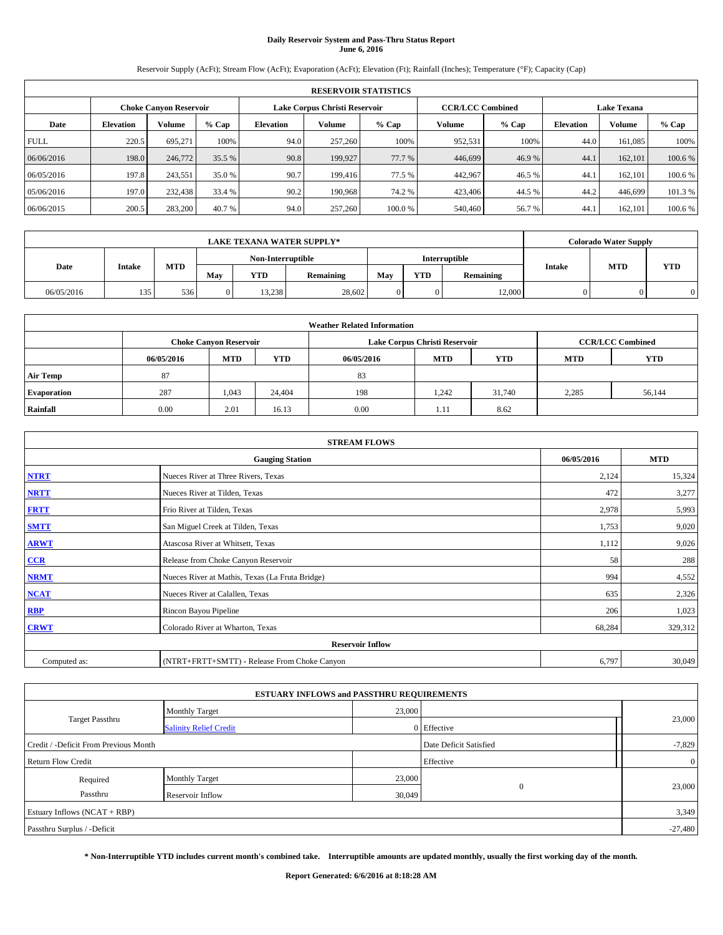# **Daily Reservoir System and Pass-Thru Status Report June 6, 2016**

Reservoir Supply (AcFt); Stream Flow (AcFt); Evaporation (AcFt); Elevation (Ft); Rainfall (Inches); Temperature (°F); Capacity (Cap)

|                                                                                                                 | <b>RESERVOIR STATISTICS</b> |         |         |                  |         |         |         |         |                  |         |         |
|-----------------------------------------------------------------------------------------------------------------|-----------------------------|---------|---------|------------------|---------|---------|---------|---------|------------------|---------|---------|
| Lake Corpus Christi Reservoir<br><b>CCR/LCC Combined</b><br><b>Lake Texana</b><br><b>Choke Canvon Reservoir</b> |                             |         |         |                  |         |         |         |         |                  |         |         |
| Date                                                                                                            | <b>Elevation</b>            | Volume  | $%$ Cap | <b>Elevation</b> | Volume  | $%$ Cap | Volume  | $%$ Cap | <b>Elevation</b> | Volume  | % Cap   |
| <b>FULL</b>                                                                                                     | 220.5                       | 695.271 | 100%    | 94.0             | 257,260 | 100%    | 952,531 | 100%    | 44.0             | 161,085 | 100%    |
| 06/06/2016                                                                                                      | 198.0                       | 246,772 | 35.5 %  | 90.8             | 199,927 | 77.7 %  | 446,699 | 46.9%   | 44.1             | 162,101 | 100.6 % |
| 06/05/2016                                                                                                      | 197.8                       | 243,551 | 35.0 %  | 90.7             | 199,416 | 77.5 %  | 442,967 | 46.5 %  | 44.1             | 162,101 | 100.6%  |
| 05/06/2016                                                                                                      | 197.0                       | 232,438 | 33.4 %  | 90.2             | 190,968 | 74.2 %  | 423,406 | 44.5 %  | 44.2             | 446,699 | 101.3 % |
| 06/06/2015                                                                                                      | 200.5                       | 283,200 | 40.7 %  | 94.0             | 257,260 | 100.0%  | 540,460 | 56.7%   | 44.1             | 162,101 | 100.6%  |

|                   | <b>LAKE TEXANA WATER SUPPLY*</b> |     |     |        |                      |     |            |           |               | <b>Colorado Water Supply</b> |            |
|-------------------|----------------------------------|-----|-----|--------|----------------------|-----|------------|-----------|---------------|------------------------------|------------|
| Non-Interruptible |                                  |     |     |        | <b>Interruptible</b> |     |            |           |               |                              |            |
| Date              | Intake                           | MTD | May | YTD    | <b>Remaining</b>     | Mav | <b>YTD</b> | Remaining | <b>Intake</b> | <b>MTD</b>                   | <b>YTD</b> |
| 06/05/2016        | 135<br>$1 - 1 -$                 | 536 |     | 13.238 | 28.602               | 0   |            | 12,000    |               |                              |            |

|                    | <b>Weather Related Information</b> |                                                                                           |            |            |            |            |            |            |  |  |  |
|--------------------|------------------------------------|-------------------------------------------------------------------------------------------|------------|------------|------------|------------|------------|------------|--|--|--|
|                    |                                    | Lake Corpus Christi Reservoir<br><b>CCR/LCC Combined</b><br><b>Choke Canyon Reservoir</b> |            |            |            |            |            |            |  |  |  |
|                    | 06/05/2016                         | <b>MTD</b>                                                                                | <b>YTD</b> | 06/05/2016 | <b>MTD</b> | <b>YTD</b> | <b>MTD</b> | <b>YTD</b> |  |  |  |
| <b>Air Temp</b>    | 87                                 |                                                                                           |            | 83         |            |            |            |            |  |  |  |
| <b>Evaporation</b> | 287                                | 1,043                                                                                     | 24,404     | 198        | 1.242      | 31.740     | 2,285      | 56,144     |  |  |  |
| Rainfall           | 0.00                               | 2.01                                                                                      | 16.13      | 0.00       | 1.11       | 8.62       |            |            |  |  |  |

|              | <b>STREAM FLOWS</b>                             |            |            |  |  |  |  |  |  |  |
|--------------|-------------------------------------------------|------------|------------|--|--|--|--|--|--|--|
|              | <b>Gauging Station</b>                          | 06/05/2016 | <b>MTD</b> |  |  |  |  |  |  |  |
| <b>NTRT</b>  | Nueces River at Three Rivers, Texas             | 2,124      | 15,324     |  |  |  |  |  |  |  |
| <b>NRTT</b>  | Nueces River at Tilden, Texas                   | 472        | 3,277      |  |  |  |  |  |  |  |
| <b>FRTT</b>  | Frio River at Tilden, Texas                     | 2,978      | 5,993      |  |  |  |  |  |  |  |
| <b>SMTT</b>  | San Miguel Creek at Tilden, Texas               | 1,753      | 9,020      |  |  |  |  |  |  |  |
| <b>ARWT</b>  | Atascosa River at Whitsett, Texas               | 1,112      | 9,026      |  |  |  |  |  |  |  |
| $CCR$        | Release from Choke Canyon Reservoir             | 58         | 288        |  |  |  |  |  |  |  |
| <b>NRMT</b>  | Nueces River at Mathis, Texas (La Fruta Bridge) | 994        | 4,552      |  |  |  |  |  |  |  |
| <b>NCAT</b>  | Nueces River at Calallen, Texas                 | 635        | 2,326      |  |  |  |  |  |  |  |
| RBP          | Rincon Bayou Pipeline                           | 206        | 1,023      |  |  |  |  |  |  |  |
| <b>CRWT</b>  | Colorado River at Wharton, Texas                | 68,284     | 329,312    |  |  |  |  |  |  |  |
|              | <b>Reservoir Inflow</b>                         |            |            |  |  |  |  |  |  |  |
| Computed as: | (NTRT+FRTT+SMTT) - Release From Choke Canyon    | 6,797      | 30,049     |  |  |  |  |  |  |  |

|                                       | <b>ESTUARY INFLOWS and PASSTHRU REQUIREMENTS</b> |        |                        |                |
|---------------------------------------|--------------------------------------------------|--------|------------------------|----------------|
|                                       | <b>Monthly Target</b>                            | 23,000 |                        |                |
| Target Passthru                       | <b>Salinity Relief Credit</b>                    |        | 0 Effective            | 23,000         |
| Credit / -Deficit From Previous Month |                                                  |        | Date Deficit Satisfied | $-7,829$       |
| <b>Return Flow Credit</b>             |                                                  |        | Effective              | $\overline{0}$ |
| Required                              | <b>Monthly Target</b>                            | 23,000 |                        |                |
| Passthru                              | Reservoir Inflow                                 | 30,049 | $\Omega$               | 23,000         |
| Estuary Inflows (NCAT + RBP)          |                                                  |        |                        | 3,349          |
| Passthru Surplus / -Deficit           |                                                  |        |                        | $-27,480$      |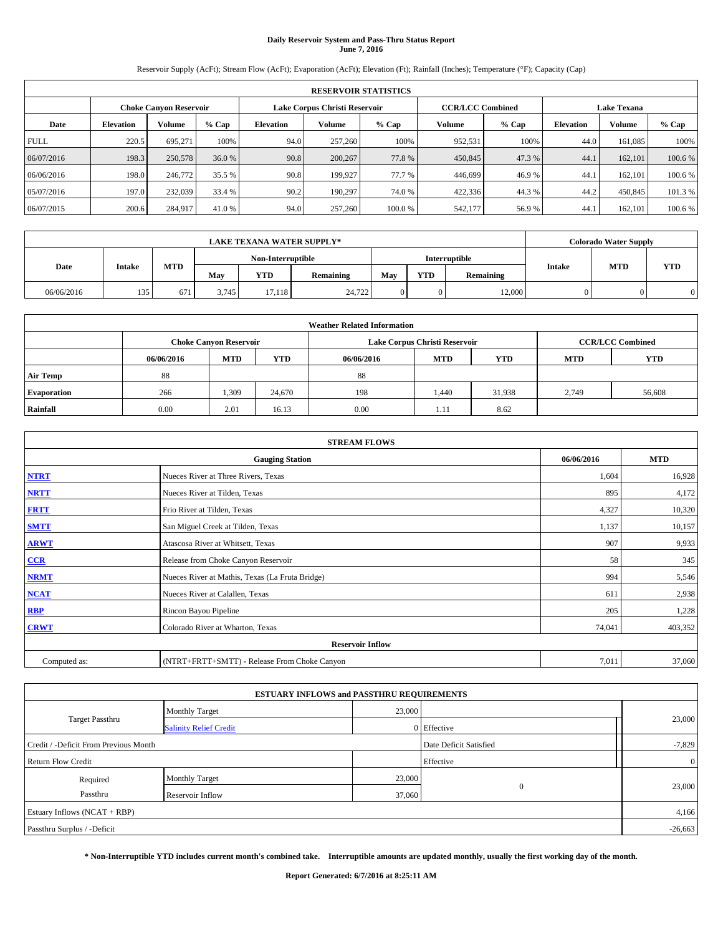# **Daily Reservoir System and Pass-Thru Status Report June 7, 2016**

Reservoir Supply (AcFt); Stream Flow (AcFt); Evaporation (AcFt); Elevation (Ft); Rainfall (Inches); Temperature (°F); Capacity (Cap)

|                                                                                                                 | <b>RESERVOIR STATISTICS</b> |         |         |                  |         |         |         |         |                  |         |         |
|-----------------------------------------------------------------------------------------------------------------|-----------------------------|---------|---------|------------------|---------|---------|---------|---------|------------------|---------|---------|
| <b>CCR/LCC Combined</b><br><b>Lake Texana</b><br>Lake Corpus Christi Reservoir<br><b>Choke Canyon Reservoir</b> |                             |         |         |                  |         |         |         |         |                  |         |         |
| Date                                                                                                            | <b>Elevation</b>            | Volume  | $%$ Cap | <b>Elevation</b> | Volume  | $%$ Cap | Volume  | $%$ Cap | <b>Elevation</b> | Volume  | % Cap   |
| <b>FULL</b>                                                                                                     | 220.5                       | 695.271 | 100%    | 94.0             | 257,260 | 100%    | 952,531 | 100%    | 44.0             | 161,085 | 100%    |
| 06/07/2016                                                                                                      | 198.3                       | 250,578 | 36.0 %  | 90.8             | 200,267 | 77.8%   | 450,845 | 47.3 %  | 44.1             | 162,101 | 100.6 % |
| 06/06/2016                                                                                                      | 198.0                       | 246,772 | 35.5 %  | 90.8             | 199.927 | 77.7 %  | 446,699 | 46.9%   | 44.1             | 162,101 | 100.6 % |
| 05/07/2016                                                                                                      | 197.0                       | 232,039 | 33.4 %  | 90.2             | 190.297 | 74.0 %  | 422,336 | 44.3%   | 44.2             | 450,845 | 101.3 % |
| 06/07/2015                                                                                                      | 200.6                       | 284,917 | 41.0 %  | 94.0             | 257,260 | 100.0%  | 542,177 | 56.9%   | 44.1             | 162.101 | 100.6 % |

|            |        |                   |       |            | <b>LAKE TEXANA WATER SUPPLY*</b> |     |               |           | <b>Colorado Water Supply</b> |            |            |
|------------|--------|-------------------|-------|------------|----------------------------------|-----|---------------|-----------|------------------------------|------------|------------|
|            |        | Non-Interruptible |       |            |                                  |     | Interruptible |           |                              |            |            |
| Date       | Intake | <b>MTD</b>        | May   | <b>YTD</b> | Remaining                        | May | <b>YTD</b>    | Remaining | <b>Intake</b>                | <b>MTD</b> | <b>YTD</b> |
| 06/06/2016 | 135    | 671               | 3.745 | 17.118     | 24,722                           |     |               | 12,000    |                              |            |            |

|                    | <b>Weather Related Information</b> |                                                                                           |            |            |            |            |            |            |  |  |  |
|--------------------|------------------------------------|-------------------------------------------------------------------------------------------|------------|------------|------------|------------|------------|------------|--|--|--|
|                    |                                    | Lake Corpus Christi Reservoir<br><b>CCR/LCC Combined</b><br><b>Choke Canyon Reservoir</b> |            |            |            |            |            |            |  |  |  |
|                    | 06/06/2016                         | <b>MTD</b>                                                                                | <b>YTD</b> | 06/06/2016 | <b>MTD</b> | <b>YTD</b> | <b>MTD</b> | <b>YTD</b> |  |  |  |
| <b>Air Temp</b>    | 88                                 |                                                                                           |            | 88         |            |            |            |            |  |  |  |
| <b>Evaporation</b> | 266                                | 1,309                                                                                     | 24,670     | 198        | 1.440      | 31,938     | 2,749      | 56,608     |  |  |  |
| Rainfall           | 0.00                               | 2.01                                                                                      | 16.13      | 0.00       | 1.11       | 8.62       |            |            |  |  |  |

|              | <b>STREAM FLOWS</b>                             |            |            |  |  |  |  |  |  |  |
|--------------|-------------------------------------------------|------------|------------|--|--|--|--|--|--|--|
|              | <b>Gauging Station</b>                          | 06/06/2016 | <b>MTD</b> |  |  |  |  |  |  |  |
| <b>NTRT</b>  | Nueces River at Three Rivers, Texas             | 1,604      | 16,928     |  |  |  |  |  |  |  |
| <b>NRTT</b>  | Nueces River at Tilden, Texas                   | 895        | 4,172      |  |  |  |  |  |  |  |
| <b>FRTT</b>  | Frio River at Tilden, Texas                     | 4,327      | 10,320     |  |  |  |  |  |  |  |
| <b>SMTT</b>  | San Miguel Creek at Tilden, Texas               | 1,137      | 10,157     |  |  |  |  |  |  |  |
| <b>ARWT</b>  | Atascosa River at Whitsett, Texas               | 907        | 9,933      |  |  |  |  |  |  |  |
| $CCR$        | Release from Choke Canyon Reservoir             | 58         | 345        |  |  |  |  |  |  |  |
| <b>NRMT</b>  | Nueces River at Mathis, Texas (La Fruta Bridge) | 994        | 5,546      |  |  |  |  |  |  |  |
| <b>NCAT</b>  | Nueces River at Calallen, Texas                 | 611        | 2,938      |  |  |  |  |  |  |  |
| RBP          | Rincon Bayou Pipeline                           | 205        | 1,228      |  |  |  |  |  |  |  |
| <b>CRWT</b>  | Colorado River at Wharton, Texas                | 74,041     | 403,352    |  |  |  |  |  |  |  |
|              | <b>Reservoir Inflow</b>                         |            |            |  |  |  |  |  |  |  |
| Computed as: | (NTRT+FRTT+SMTT) - Release From Choke Canyon    | 7,011      | 37,060     |  |  |  |  |  |  |  |

|                                       | <b>ESTUARY INFLOWS and PASSTHRU REQUIREMENTS</b> |        |                        |                |
|---------------------------------------|--------------------------------------------------|--------|------------------------|----------------|
|                                       | <b>Monthly Target</b>                            | 23,000 |                        |                |
| Target Passthru                       | <b>Salinity Relief Credit</b>                    |        | 0 Effective            | 23,000         |
| Credit / -Deficit From Previous Month |                                                  |        | Date Deficit Satisfied | $-7,829$       |
| <b>Return Flow Credit</b>             |                                                  |        | Effective              | $\overline{0}$ |
| Required                              | <b>Monthly Target</b>                            | 23,000 |                        |                |
| Passthru                              | Reservoir Inflow                                 | 37,060 | $\Omega$               | 23,000         |
| Estuary Inflows $(NCAT + RBP)$        |                                                  |        |                        | 4,166          |
| Passthru Surplus / -Deficit           |                                                  |        |                        | $-26,663$      |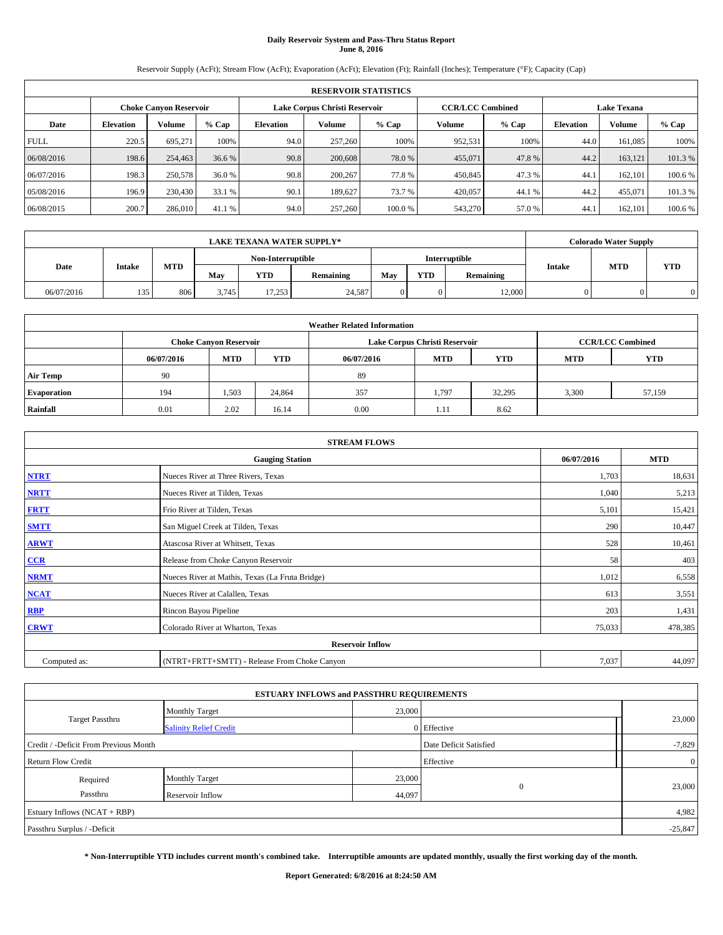# **Daily Reservoir System and Pass-Thru Status Report June 8, 2016**

Reservoir Supply (AcFt); Stream Flow (AcFt); Evaporation (AcFt); Elevation (Ft); Rainfall (Inches); Temperature (°F); Capacity (Cap)

|                                                                                                                 | <b>RESERVOIR STATISTICS</b> |         |         |                  |         |        |         |         |                  |         |         |
|-----------------------------------------------------------------------------------------------------------------|-----------------------------|---------|---------|------------------|---------|--------|---------|---------|------------------|---------|---------|
| Lake Corpus Christi Reservoir<br><b>CCR/LCC Combined</b><br><b>Lake Texana</b><br><b>Choke Canyon Reservoir</b> |                             |         |         |                  |         |        |         |         |                  |         |         |
| Date                                                                                                            | <b>Elevation</b>            | Volume  | $%$ Cap | <b>Elevation</b> | Volume  | % Cap  | Volume  | $%$ Cap | <b>Elevation</b> | Volume  | % Cap   |
| <b>FULL</b>                                                                                                     | 220.5                       | 695.271 | 100%    | 94.0             | 257,260 | 100%   | 952,531 | 100%    | 44.0             | 161,085 | 100%    |
| 06/08/2016                                                                                                      | 198.6                       | 254,463 | 36.6 %  | 90.8             | 200,608 | 78.0 % | 455,071 | 47.8%   | 44.2             | 163.121 | 101.3%  |
| 06/07/2016                                                                                                      | 198.3                       | 250,578 | 36.0 %  | 90.8             | 200,267 | 77.8%  | 450,845 | 47.3 %  | 44.1             | 162,101 | 100.6 % |
| 05/08/2016                                                                                                      | 196.9                       | 230,430 | 33.1 %  | 90.1             | 189.627 | 73.7 % | 420,057 | 44.1 %  | 44.2             | 455,071 | 101.3 % |
| 06/08/2015                                                                                                      | 200.7                       | 286,010 | 41.1 %  | 94.0             | 257,260 | 100.0% | 543,270 | 57.0 %  | 44.1             | 162,101 | 100.6%  |

|            | <b>LAKE TEXANA WATER SUPPLY*</b> |            |                   |            |                  |               |            |           |               | <b>Colorado Water Supply</b> |            |
|------------|----------------------------------|------------|-------------------|------------|------------------|---------------|------------|-----------|---------------|------------------------------|------------|
|            |                                  |            | Non-Interruptible |            |                  | Interruptible |            |           |               |                              |            |
| Date       | Intake                           | <b>MTD</b> | May               | <b>YTD</b> | <b>Remaining</b> | May           | <b>YTD</b> | Remaining | <b>Intake</b> | <b>MTD</b>                   | <b>YTD</b> |
| 06/07/2016 | 135                              | 806        | 3.745             | 17.253     | 24,587           |               |            | 12,000    |               |                              |            |

| <b>Weather Related Information</b> |            |                               |            |            |                               |                         |            |        |  |  |  |
|------------------------------------|------------|-------------------------------|------------|------------|-------------------------------|-------------------------|------------|--------|--|--|--|
|                                    |            | <b>Choke Canyon Reservoir</b> |            |            | Lake Corpus Christi Reservoir | <b>CCR/LCC Combined</b> |            |        |  |  |  |
|                                    | 06/07/2016 | <b>MTD</b>                    | <b>YTD</b> | 06/07/2016 | <b>MTD</b>                    | <b>MTD</b>              | <b>YTD</b> |        |  |  |  |
| <b>Air Temp</b>                    | 90         |                               |            | 89         |                               |                         |            |        |  |  |  |
| <b>Evaporation</b>                 | 194        | 1,503                         | 24,864     | 357        | 1.797                         | 32.295                  | 3,300      | 57,159 |  |  |  |
| Rainfall                           | 0.01       | 2.02                          | 16.14      | 0.00       | 1.11                          | 8.62                    |            |        |  |  |  |

| <b>STREAM FLOWS</b> |                                                 |            |            |  |  |  |  |  |
|---------------------|-------------------------------------------------|------------|------------|--|--|--|--|--|
|                     | <b>Gauging Station</b>                          | 06/07/2016 | <b>MTD</b> |  |  |  |  |  |
| <b>NTRT</b>         | Nueces River at Three Rivers, Texas             | 1,703      | 18,631     |  |  |  |  |  |
| <b>NRTT</b>         | Nueces River at Tilden, Texas                   | 1,040      | 5,213      |  |  |  |  |  |
| <b>FRTT</b>         | Frio River at Tilden, Texas                     | 5,101      | 15,421     |  |  |  |  |  |
| <b>SMTT</b>         | San Miguel Creek at Tilden, Texas               | 290        | 10,447     |  |  |  |  |  |
| <b>ARWT</b>         | Atascosa River at Whitsett, Texas               | 528        | 10,461     |  |  |  |  |  |
| $CCR$               | Release from Choke Canyon Reservoir             | 58         | 403        |  |  |  |  |  |
| <b>NRMT</b>         | Nueces River at Mathis, Texas (La Fruta Bridge) | 1,012      | 6,558      |  |  |  |  |  |
| <b>NCAT</b>         | Nueces River at Calallen, Texas                 | 613        | 3,551      |  |  |  |  |  |
| RBP                 | Rincon Bayou Pipeline                           | 203        | 1,431      |  |  |  |  |  |
| <b>CRWT</b>         | Colorado River at Wharton, Texas                | 75,033     | 478,385    |  |  |  |  |  |
|                     | <b>Reservoir Inflow</b>                         |            |            |  |  |  |  |  |
| Computed as:        | (NTRT+FRTT+SMTT) - Release From Choke Canyon    |            |            |  |  |  |  |  |

|                                       | <b>ESTUARY INFLOWS and PASSTHRU REQUIREMENTS</b> |        |                        |                |  |  |  |
|---------------------------------------|--------------------------------------------------|--------|------------------------|----------------|--|--|--|
|                                       | <b>Monthly Target</b>                            | 23,000 |                        |                |  |  |  |
| Target Passthru                       | <b>Salinity Relief Credit</b>                    |        | 0 Effective            | 23,000         |  |  |  |
| Credit / -Deficit From Previous Month |                                                  |        | Date Deficit Satisfied | $-7,829$       |  |  |  |
| <b>Return Flow Credit</b>             |                                                  |        | Effective              | $\overline{0}$ |  |  |  |
| Required                              | <b>Monthly Target</b>                            | 23,000 |                        |                |  |  |  |
| Passthru                              | Reservoir Inflow                                 | 44,097 | $\Omega$               | 23,000         |  |  |  |
| Estuary Inflows (NCAT + RBP)          |                                                  |        |                        |                |  |  |  |
| Passthru Surplus / -Deficit           |                                                  |        |                        |                |  |  |  |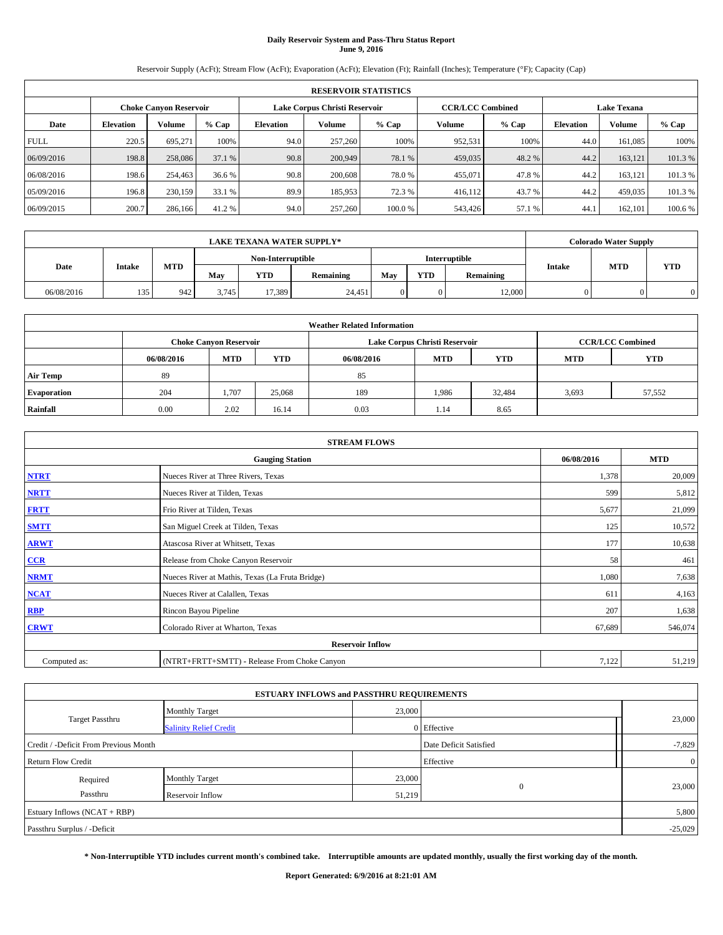# **Daily Reservoir System and Pass-Thru Status Report June 9, 2016**

Reservoir Supply (AcFt); Stream Flow (AcFt); Evaporation (AcFt); Elevation (Ft); Rainfall (Inches); Temperature (°F); Capacity (Cap)

| <b>RESERVOIR STATISTICS</b> |                  |                        |         |           |                               |        |                         |         |                    |               |         |  |
|-----------------------------|------------------|------------------------|---------|-----------|-------------------------------|--------|-------------------------|---------|--------------------|---------------|---------|--|
|                             |                  | Choke Canvon Reservoir |         |           | Lake Corpus Christi Reservoir |        | <b>CCR/LCC Combined</b> |         | <b>Lake Texana</b> |               |         |  |
| Date                        | <b>Elevation</b> | Volume                 | $%$ Cap | Elevation | Volume                        | % Cap  | Volume                  | $%$ Cap | <b>Elevation</b>   | <b>Volume</b> | % Cap   |  |
| <b>FULL</b>                 | 220.5            | 695,271                | 100%    | 94.0      | 257,260                       | 100%   | 952,531                 | 100%    | 44.0               | 161.085       | 100%    |  |
| 06/09/2016                  | 198.8            | 258,086                | 37.1 %  | 90.8      | 200,949                       | 78.1 % | 459,035                 | 48.2 %  | 44.2               | 163.121       | 101.3%  |  |
| 06/08/2016                  | 198.6            | 254,463                | 36.6 %  | 90.8      | 200,608                       | 78.0%  | 455,071                 | 47.8%   | 44.2               | 163.121       | 101.3%  |  |
| 05/09/2016                  | 196.8            | 230,159                | 33.1 %  | 89.9      | 185,953                       | 72.3 % | 416,112                 | 43.7 %  | 44.2               | 459,035       | 101.3 % |  |
| 06/09/2015                  | 200.7            | 286,166                | 41.2 %  | 94.0      | 257,260                       | 100.0% | 543,426                 | 57.1 %  | 44.                | 162,101       | 100.6 % |  |

|            | <b>LAKE TEXANA WATER SUPPLY*</b> |            |                   |            |           |     |            |               |               | <b>Colorado Water Supply</b> |            |
|------------|----------------------------------|------------|-------------------|------------|-----------|-----|------------|---------------|---------------|------------------------------|------------|
| Date       |                                  |            | Non-Interruptible |            |           |     |            | Interruptible |               |                              |            |
|            | Intake                           | <b>MTD</b> | May               | <b>YTD</b> | Remaining | May | <b>YTD</b> | Remaining     | <b>Intake</b> | <b>MTD</b>                   | <b>YTD</b> |
| 06/08/2016 | 135                              | 942        | 3.745             | 17.389     | 24,451    |     |            | 12,000        |               |                              |            |

| <b>Weather Related Information</b> |            |                               |            |            |                               |                         |            |        |  |  |  |
|------------------------------------|------------|-------------------------------|------------|------------|-------------------------------|-------------------------|------------|--------|--|--|--|
|                                    |            | <b>Choke Canyon Reservoir</b> |            |            | Lake Corpus Christi Reservoir | <b>CCR/LCC Combined</b> |            |        |  |  |  |
|                                    | 06/08/2016 | <b>MTD</b>                    | <b>YTD</b> | 06/08/2016 | <b>MTD</b>                    | <b>MTD</b>              | <b>YTD</b> |        |  |  |  |
| <b>Air Temp</b>                    | 89         |                               |            | 85         |                               |                         |            |        |  |  |  |
| <b>Evaporation</b>                 | 204        | 1,707                         | 25,068     | 189        | 1.986                         | 32,484                  | 3,693      | 57,552 |  |  |  |
| Rainfall                           | 0.00       | 2.02                          | 16.14      | 0.03       | 1.14                          | 8.65                    |            |        |  |  |  |

| <b>STREAM FLOWS</b>     |                                                 |            |            |  |  |  |  |  |
|-------------------------|-------------------------------------------------|------------|------------|--|--|--|--|--|
|                         | <b>Gauging Station</b>                          | 06/08/2016 | <b>MTD</b> |  |  |  |  |  |
| <b>NTRT</b>             | Nueces River at Three Rivers, Texas             | 1,378      | 20,009     |  |  |  |  |  |
| <b>NRTT</b>             | Nueces River at Tilden, Texas                   | 599        | 5,812      |  |  |  |  |  |
| <b>FRTT</b>             | Frio River at Tilden, Texas                     | 5,677      | 21,099     |  |  |  |  |  |
| <b>SMTT</b>             | San Miguel Creek at Tilden, Texas               | 125        | 10,572     |  |  |  |  |  |
| <b>ARWT</b>             | Atascosa River at Whitsett, Texas               | 177        | 10,638     |  |  |  |  |  |
| $CCR$                   | Release from Choke Canyon Reservoir             | 58         | 461        |  |  |  |  |  |
| <b>NRMT</b>             | Nueces River at Mathis, Texas (La Fruta Bridge) | 1,080      | 7,638      |  |  |  |  |  |
| <b>NCAT</b>             | Nueces River at Calallen, Texas                 | 611        | 4,163      |  |  |  |  |  |
| RBP                     | Rincon Bayou Pipeline                           | 207        | 1,638      |  |  |  |  |  |
| <b>CRWT</b>             | Colorado River at Wharton, Texas                | 67,689     | 546,074    |  |  |  |  |  |
| <b>Reservoir Inflow</b> |                                                 |            |            |  |  |  |  |  |
| Computed as:            | (NTRT+FRTT+SMTT) - Release From Choke Canyon    |            |            |  |  |  |  |  |

|                                       | <b>ESTUARY INFLOWS and PASSTHRU REQUIREMENTS</b> |        |                        |                |  |  |
|---------------------------------------|--------------------------------------------------|--------|------------------------|----------------|--|--|
|                                       | <b>Monthly Target</b>                            | 23,000 |                        |                |  |  |
| Target Passthru                       | <b>Salinity Relief Credit</b>                    |        | 0 Effective            | 23,000         |  |  |
| Credit / -Deficit From Previous Month |                                                  |        | Date Deficit Satisfied | $-7,829$       |  |  |
| <b>Return Flow Credit</b>             |                                                  |        | Effective              | $\overline{0}$ |  |  |
| Required                              | <b>Monthly Target</b>                            | 23,000 |                        |                |  |  |
| Passthru                              | <b>Reservoir Inflow</b>                          | 51,219 | $\Omega$               | 23,000         |  |  |
| Estuary Inflows (NCAT + RBP)          |                                                  |        |                        | 5,800          |  |  |
| Passthru Surplus / -Deficit           |                                                  |        |                        |                |  |  |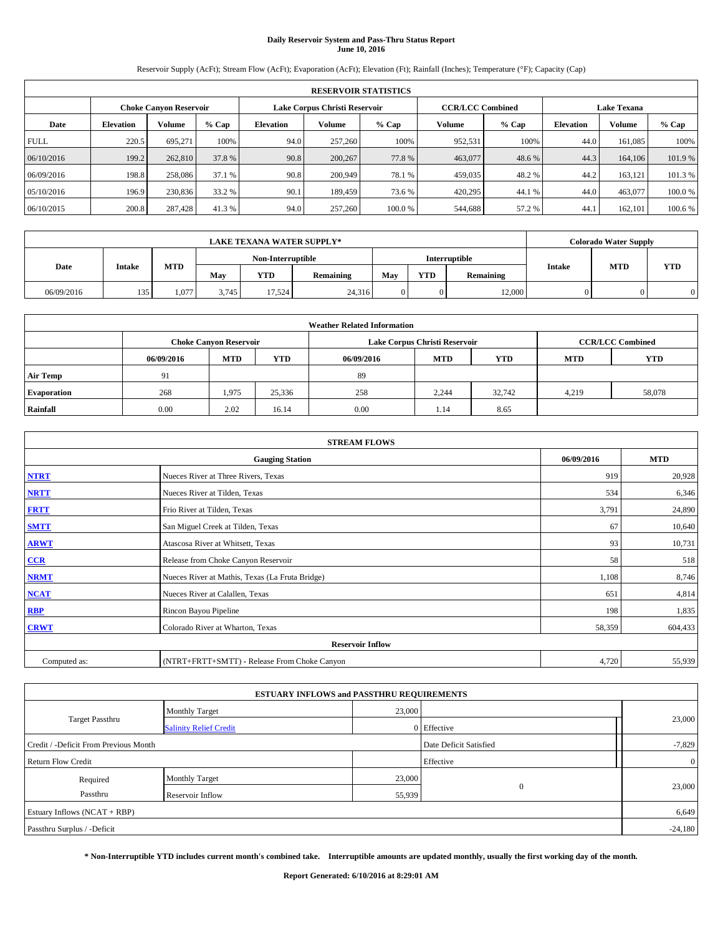# **Daily Reservoir System and Pass-Thru Status Report June 10, 2016**

Reservoir Supply (AcFt); Stream Flow (AcFt); Evaporation (AcFt); Elevation (Ft); Rainfall (Inches); Temperature (°F); Capacity (Cap)

| <b>RESERVOIR STATISTICS</b> |                  |                               |         |                  |                               |        |                         |         |                    |         |         |  |
|-----------------------------|------------------|-------------------------------|---------|------------------|-------------------------------|--------|-------------------------|---------|--------------------|---------|---------|--|
|                             |                  | <b>Choke Canyon Reservoir</b> |         |                  | Lake Corpus Christi Reservoir |        | <b>CCR/LCC Combined</b> |         | <b>Lake Texana</b> |         |         |  |
| Date                        | <b>Elevation</b> | Volume                        | $%$ Cap | <b>Elevation</b> | Volume                        | % Cap  | Volume                  | $%$ Cap | <b>Elevation</b>   | Volume  | % Cap   |  |
| <b>FULL</b>                 | 220.5            | 695.271                       | 100%    | 94.0             | 257,260                       | 100%   | 952,531                 | 100%    | 44.0               | 161,085 | 100%    |  |
| 06/10/2016                  | 199.2            | 262,810                       | 37.8 %  | 90.8             | 200,267                       | 77.8%  | 463,077                 | 48.6 %  | 44.3               | 164,106 | 101.9%  |  |
| 06/09/2016                  | 198.8            | 258,086                       | 37.1 %  | 90.8             | 200,949                       | 78.1 % | 459,035                 | 48.2%   | 44.2               | 163,121 | 101.3 % |  |
| 05/10/2016                  | 196.9            | 230,836                       | 33.2 %  | 90.1             | 189,459                       | 73.6 % | 420,295                 | 44.1 %  | 44.0               | 463,077 | 100.0%  |  |
| 06/10/2015                  | 200.8            | 287,428                       | 41.3 %  | 94.0             | 257,260                       | 100.0% | 544,688                 | 57.2 %  | 44.1               | 162,101 | 100.6%  |  |

|            | <b>LAKE TEXANA WATER SUPPLY*</b> |       |                   |               |           |     |            |           |               | <b>Colorado Water Supply</b> |            |
|------------|----------------------------------|-------|-------------------|---------------|-----------|-----|------------|-----------|---------------|------------------------------|------------|
|            |                                  |       | Non-Interruptible | Interruptible |           |     |            |           |               |                              |            |
| Date       | <b>Intake</b>                    | MTD   | Mav               | <b>YTD</b>    | Remaining | May | <b>YTD</b> | Remaining | <b>Intake</b> | <b>MTD</b>                   | <b>YTD</b> |
| 06/09/2016 | 135                              | 1.077 | 3.745             | 17.524        | 24,316    |     |            | 12,000    |               |                              |            |

| <b>Weather Related Information</b> |            |                               |            |            |                               |                         |            |        |  |  |  |
|------------------------------------|------------|-------------------------------|------------|------------|-------------------------------|-------------------------|------------|--------|--|--|--|
|                                    |            | <b>Choke Canyon Reservoir</b> |            |            | Lake Corpus Christi Reservoir | <b>CCR/LCC Combined</b> |            |        |  |  |  |
|                                    | 06/09/2016 | <b>MTD</b>                    | <b>YTD</b> | 06/09/2016 | <b>MTD</b>                    | <b>MTD</b>              | <b>YTD</b> |        |  |  |  |
| <b>Air Temp</b>                    | 91         |                               |            | 89         |                               |                         |            |        |  |  |  |
| <b>Evaporation</b>                 | 268        | 1,975                         | 25,336     | 258        | 2,244                         | 32,742                  | 4,219      | 58,078 |  |  |  |
| Rainfall                           | 0.00       | 2.02                          | 16.14      | 0.00       | 1.14                          | 8.65                    |            |        |  |  |  |

| <b>STREAM FLOWS</b> |                                                 |            |            |  |  |  |  |  |  |
|---------------------|-------------------------------------------------|------------|------------|--|--|--|--|--|--|
|                     | <b>Gauging Station</b>                          | 06/09/2016 | <b>MTD</b> |  |  |  |  |  |  |
| <b>NTRT</b>         | Nueces River at Three Rivers, Texas             | 919        | 20,928     |  |  |  |  |  |  |
| <b>NRTT</b>         | Nueces River at Tilden, Texas                   | 534        | 6,346      |  |  |  |  |  |  |
| <b>FRTT</b>         | Frio River at Tilden, Texas                     | 3,791      | 24,890     |  |  |  |  |  |  |
| <b>SMTT</b>         | San Miguel Creek at Tilden, Texas               | 67         | 10,640     |  |  |  |  |  |  |
| <b>ARWT</b>         | Atascosa River at Whitsett, Texas               | 93         | 10,731     |  |  |  |  |  |  |
| $CCR$               | Release from Choke Canyon Reservoir             | 58         | 518        |  |  |  |  |  |  |
| <b>NRMT</b>         | Nueces River at Mathis, Texas (La Fruta Bridge) | 1,108      | 8,746      |  |  |  |  |  |  |
| <b>NCAT</b>         | Nueces River at Calallen, Texas                 | 651        | 4,814      |  |  |  |  |  |  |
| RBP                 | Rincon Bayou Pipeline                           | 198        | 1,835      |  |  |  |  |  |  |
| <b>CRWT</b>         | Colorado River at Wharton, Texas                | 58,359     | 604,433    |  |  |  |  |  |  |
|                     | <b>Reservoir Inflow</b>                         |            |            |  |  |  |  |  |  |
| Computed as:        | (NTRT+FRTT+SMTT) - Release From Choke Canyon    | 4,720      | 55,939     |  |  |  |  |  |  |

|                                       | <b>ESTUARY INFLOWS and PASSTHRU REQUIREMENTS</b> |        |                        |                |
|---------------------------------------|--------------------------------------------------|--------|------------------------|----------------|
|                                       | <b>Monthly Target</b>                            | 23,000 |                        |                |
| Target Passthru                       | <b>Salinity Relief Credit</b>                    |        | 0 Effective            | 23,000         |
| Credit / -Deficit From Previous Month |                                                  |        | Date Deficit Satisfied | $-7,829$       |
| <b>Return Flow Credit</b>             |                                                  |        | Effective              | $\overline{0}$ |
| Required                              | <b>Monthly Target</b>                            | 23,000 |                        |                |
| Passthru                              | <b>Reservoir Inflow</b>                          | 55,939 | $\Omega$               | 23,000         |
| Estuary Inflows (NCAT + RBP)          |                                                  |        |                        | 6,649          |
| Passthru Surplus / -Deficit           |                                                  |        |                        | $-24,180$      |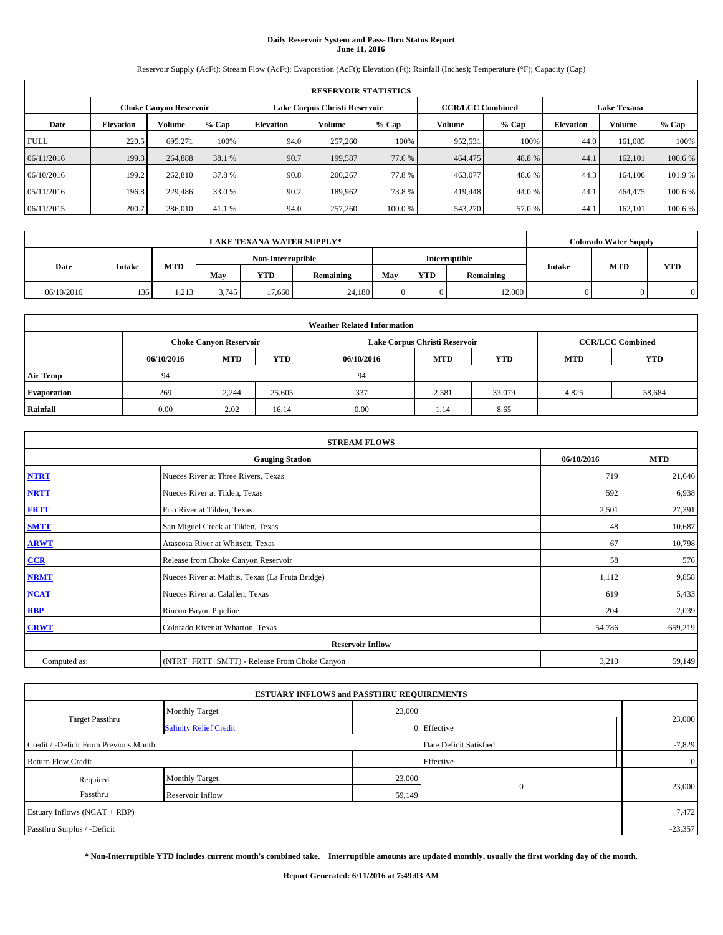# **Daily Reservoir System and Pass-Thru Status Report June 11, 2016**

Reservoir Supply (AcFt); Stream Flow (AcFt); Evaporation (AcFt); Elevation (Ft); Rainfall (Inches); Temperature (°F); Capacity (Cap)

|             | <b>RESERVOIR STATISTICS</b> |                               |         |           |                               |        |                         |         |                    |               |         |  |
|-------------|-----------------------------|-------------------------------|---------|-----------|-------------------------------|--------|-------------------------|---------|--------------------|---------------|---------|--|
|             |                             | <b>Choke Canyon Reservoir</b> |         |           | Lake Corpus Christi Reservoir |        | <b>CCR/LCC Combined</b> |         | <b>Lake Texana</b> |               |         |  |
| Date        | <b>Elevation</b>            | Volume                        | $%$ Cap | Elevation | Volume                        | % Cap  | Volume                  | $%$ Cap | <b>Elevation</b>   | <b>Volume</b> | % Cap   |  |
| <b>FULL</b> | 220.5                       | 695,271                       | 100%    | 94.0      | 257,260                       | 100%   | 952,531                 | 100%    | 44.0               | 161.085       | 100%    |  |
| 06/11/2016  | 199.3                       | 264,888                       | 38.1 %  | 90.7      | 199,587                       | 77.6 % | 464,475                 | 48.8%   | 44.1               | 162,101       | 100.6%  |  |
| 06/10/2016  | 199.2                       | 262,810                       | 37.8%   | 90.8      | 200,267                       | 77.8%  | 463,077                 | 48.6%   | 44.3               | 164,106       | 101.9%  |  |
| 05/11/2016  | 196.8                       | 229,486                       | 33.0 %  | 90.2      | 189.962                       | 73.8%  | 419,448                 | 44.0%   | 44.1               | 464,475       | 100.6 % |  |
| 06/11/2015  | 200.7                       | 286,010                       | 41.1 %  | 94.0      | 257,260                       | 100.0% | 543,270                 | 57.0 %  | 44.                | 162,101       | 100.6 % |  |

| <b>LAKE TEXANA WATER SUPPLY*</b> |               |       |       |                   |           |     |            | <b>Colorado Water Supply</b> |               |            |            |
|----------------------------------|---------------|-------|-------|-------------------|-----------|-----|------------|------------------------------|---------------|------------|------------|
|                                  |               |       |       | Non-Interruptible |           |     |            | Interruptible                |               |            |            |
| Date                             | <b>Intake</b> | MTD   | Mav   | <b>YTD</b>        | Remaining | May | <b>YTD</b> | Remaining                    | <b>Intake</b> | <b>MTD</b> | <b>YTD</b> |
| 06/10/2016                       | 136           | 1,213 | 3.745 | 17.660            | 24,180    |     |            | 12,000                       |               |            |            |

| <b>Weather Related Information</b> |            |                               |            |            |                               |                         |            |            |  |  |  |
|------------------------------------|------------|-------------------------------|------------|------------|-------------------------------|-------------------------|------------|------------|--|--|--|
|                                    |            | <b>Choke Canyon Reservoir</b> |            |            | Lake Corpus Christi Reservoir | <b>CCR/LCC Combined</b> |            |            |  |  |  |
|                                    | 06/10/2016 | <b>MTD</b>                    | <b>YTD</b> | 06/10/2016 | <b>MTD</b>                    | <b>YTD</b>              | <b>MTD</b> | <b>YTD</b> |  |  |  |
| <b>Air Temp</b>                    | 94         |                               |            | 94         |                               |                         |            |            |  |  |  |
| <b>Evaporation</b>                 | 269        | 2,244                         | 25,605     | 337        | 2,581                         | 33,079                  | 4,825      | 58,684     |  |  |  |
| Rainfall                           | 0.00       | 2.02                          | 16.14      | 0.00       | 1.14                          | 8.65                    |            |            |  |  |  |

| <b>STREAM FLOWS</b> |                                                 |            |            |  |  |  |  |  |  |
|---------------------|-------------------------------------------------|------------|------------|--|--|--|--|--|--|
|                     | <b>Gauging Station</b>                          | 06/10/2016 | <b>MTD</b> |  |  |  |  |  |  |
| <b>NTRT</b>         | Nueces River at Three Rivers, Texas             | 719        | 21,646     |  |  |  |  |  |  |
| <b>NRTT</b>         | Nueces River at Tilden, Texas                   | 592        | 6,938      |  |  |  |  |  |  |
| <b>FRTT</b>         | Frio River at Tilden, Texas                     | 2,501      | 27,391     |  |  |  |  |  |  |
| <b>SMTT</b>         | San Miguel Creek at Tilden, Texas               | 48         | 10,687     |  |  |  |  |  |  |
| <b>ARWT</b>         | Atascosa River at Whitsett, Texas               | 67         | 10,798     |  |  |  |  |  |  |
| $CCR$               | Release from Choke Canyon Reservoir             | 58         | 576        |  |  |  |  |  |  |
| <b>NRMT</b>         | Nueces River at Mathis, Texas (La Fruta Bridge) | 1,112      | 9,858      |  |  |  |  |  |  |
| <b>NCAT</b>         | Nueces River at Calallen, Texas                 | 619        | 5,433      |  |  |  |  |  |  |
| RBP                 | Rincon Bayou Pipeline                           | 204        | 2,039      |  |  |  |  |  |  |
| <b>CRWT</b>         | Colorado River at Wharton, Texas                | 54,786     | 659,219    |  |  |  |  |  |  |
|                     | <b>Reservoir Inflow</b>                         |            |            |  |  |  |  |  |  |
| Computed as:        | (NTRT+FRTT+SMTT) - Release From Choke Canyon    | 3,210      | 59,149     |  |  |  |  |  |  |

|                                       | <b>ESTUARY INFLOWS and PASSTHRU REQUIREMENTS</b> |        |                        |                |
|---------------------------------------|--------------------------------------------------|--------|------------------------|----------------|
|                                       | <b>Monthly Target</b>                            | 23,000 |                        |                |
| Target Passthru                       | <b>Salinity Relief Credit</b>                    |        | 0 Effective            | 23,000         |
| Credit / -Deficit From Previous Month |                                                  |        | Date Deficit Satisfied | $-7,829$       |
| <b>Return Flow Credit</b>             |                                                  |        | Effective              | $\overline{0}$ |
| Required                              | <b>Monthly Target</b>                            | 23,000 |                        |                |
| Passthru                              | <b>Reservoir Inflow</b>                          | 59,149 | $\Omega$               | 23,000         |
| Estuary Inflows (NCAT + RBP)          |                                                  |        |                        | 7,472          |
| Passthru Surplus / -Deficit           |                                                  |        |                        | $-23,357$      |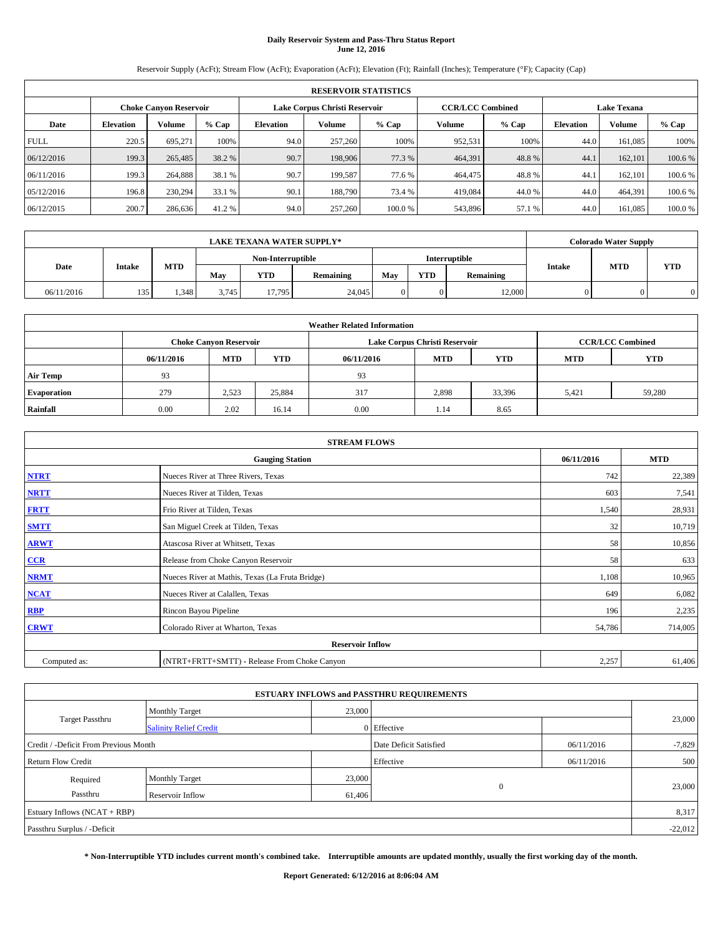# **Daily Reservoir System and Pass-Thru Status Report June 12, 2016**

Reservoir Supply (AcFt); Stream Flow (AcFt); Evaporation (AcFt); Elevation (Ft); Rainfall (Inches); Temperature (°F); Capacity (Cap)

|             | <b>RESERVOIR STATISTICS</b> |                               |         |                  |                               |        |                         |         |                    |         |         |
|-------------|-----------------------------|-------------------------------|---------|------------------|-------------------------------|--------|-------------------------|---------|--------------------|---------|---------|
|             |                             | <b>Choke Canyon Reservoir</b> |         |                  | Lake Corpus Christi Reservoir |        | <b>CCR/LCC Combined</b> |         | <b>Lake Texana</b> |         |         |
| Date        | <b>Elevation</b>            | Volume                        | $%$ Cap | <b>Elevation</b> | Volume                        | % Cap  | Volume                  | $%$ Cap | <b>Elevation</b>   | Volume  | % Cap   |
| <b>FULL</b> | 220.5                       | 695,271                       | 100%    | 94.0             | 257,260                       | 100%   | 952,531                 | 100%    | 44.0               | 161,085 | 100%    |
| 06/12/2016  | 199.3                       | 265,485                       | 38.2 %  | 90.7             | 198,906                       | 77.3 % | 464,391                 | 48.8%   | 44.1               | 162,101 | 100.6 % |
| 06/11/2016  | 199.3                       | 264,888                       | 38.1 %  | 90.7             | 199.587                       | 77.6 % | 464,475                 | 48.8%   | 44.1               | 162,101 | 100.6 % |
| 05/12/2016  | 196.8                       | 230,294                       | 33.1 %  | 90.1             | 188,790                       | 73.4 % | 419,084                 | 44.0%   | 44.0               | 464,391 | 100.6 % |
| 06/12/2015  | 200.7                       | 286,636                       | 41.2 %  | 94.0             | 257,260                       | 100.0% | 543,896                 | 57.1 %  | 44.0               | 161,085 | 100.0%  |

| <b>LAKE TEXANA WATER SUPPLY*</b> |               |       |       |                   |           |     | <b>Colorado Water Supply</b> |               |               |            |            |
|----------------------------------|---------------|-------|-------|-------------------|-----------|-----|------------------------------|---------------|---------------|------------|------------|
|                                  |               |       |       | Non-Interruptible |           |     |                              | Interruptible |               |            |            |
| Date                             | <b>Intake</b> | MTD   | Mav   | <b>YTD</b>        | Remaining | May | <b>YTD</b>                   | Remaining     | <b>Intake</b> | <b>MTD</b> | <b>YTD</b> |
| 06/11/2016                       | 135           | 1,348 | 3.745 | 17.795            | 24,045    |     |                              | 12,000        |               |            |            |

| <b>Weather Related Information</b> |            |                               |            |            |                               |                         |            |            |  |  |  |
|------------------------------------|------------|-------------------------------|------------|------------|-------------------------------|-------------------------|------------|------------|--|--|--|
|                                    |            | <b>Choke Canyon Reservoir</b> |            |            | Lake Corpus Christi Reservoir | <b>CCR/LCC Combined</b> |            |            |  |  |  |
|                                    | 06/11/2016 | <b>MTD</b>                    | <b>YTD</b> | 06/11/2016 | <b>MTD</b>                    | <b>YTD</b>              | <b>MTD</b> | <b>YTD</b> |  |  |  |
| <b>Air Temp</b>                    | 93         |                               |            | 93         |                               |                         |            |            |  |  |  |
| <b>Evaporation</b>                 | 279        | 2,523                         | 25,884     | 317        | 2,898                         | 33,396                  | 5,421      | 59,280     |  |  |  |
| Rainfall                           | 0.00       | 2.02                          | 16.14      | 0.00       | 1.14                          | 8.65                    |            |            |  |  |  |

|              | <b>STREAM FLOWS</b>                             |            |            |  |  |  |  |  |  |  |
|--------------|-------------------------------------------------|------------|------------|--|--|--|--|--|--|--|
|              | <b>Gauging Station</b>                          | 06/11/2016 | <b>MTD</b> |  |  |  |  |  |  |  |
| <b>NTRT</b>  | Nueces River at Three Rivers, Texas             | 742        | 22,389     |  |  |  |  |  |  |  |
| <b>NRTT</b>  | Nueces River at Tilden, Texas                   | 603        | 7,541      |  |  |  |  |  |  |  |
| <b>FRTT</b>  | Frio River at Tilden, Texas                     | 1,540      | 28,931     |  |  |  |  |  |  |  |
| <b>SMTT</b>  | San Miguel Creek at Tilden, Texas               | 32         | 10,719     |  |  |  |  |  |  |  |
| <b>ARWT</b>  | Atascosa River at Whitsett, Texas               | 58         | 10,856     |  |  |  |  |  |  |  |
| $CCR$        | Release from Choke Canyon Reservoir             | 58         | 633        |  |  |  |  |  |  |  |
| <b>NRMT</b>  | Nueces River at Mathis, Texas (La Fruta Bridge) | 1,108      | 10,965     |  |  |  |  |  |  |  |
| <b>NCAT</b>  | Nueces River at Calallen, Texas                 | 649        | 6,082      |  |  |  |  |  |  |  |
| RBP          | Rincon Bayou Pipeline                           | 196        | 2,235      |  |  |  |  |  |  |  |
| <b>CRWT</b>  | Colorado River at Wharton, Texas                | 54,786     | 714,005    |  |  |  |  |  |  |  |
|              | <b>Reservoir Inflow</b>                         |            |            |  |  |  |  |  |  |  |
| Computed as: | (NTRT+FRTT+SMTT) - Release From Choke Canyon    | 2,257      | 61,406     |  |  |  |  |  |  |  |

|                                       |                               |        | <b>ESTUARY INFLOWS and PASSTHRU REQUIREMENTS</b> |            |           |  |
|---------------------------------------|-------------------------------|--------|--------------------------------------------------|------------|-----------|--|
|                                       | <b>Monthly Target</b>         | 23,000 |                                                  |            |           |  |
| <b>Target Passthru</b>                | <b>Salinity Relief Credit</b> |        | 0 Effective                                      |            | 23,000    |  |
| Credit / -Deficit From Previous Month |                               |        | Date Deficit Satisfied                           | 06/11/2016 | $-7,829$  |  |
| <b>Return Flow Credit</b>             |                               |        | Effective                                        | 06/11/2016 | 500       |  |
| Required                              | <b>Monthly Target</b>         | 23,000 |                                                  |            |           |  |
| Passthru                              | Reservoir Inflow              | 61,406 | $\Omega$                                         |            | 23,000    |  |
| Estuary Inflows $(NCAT + RBP)$        |                               |        |                                                  |            | 8,317     |  |
| Passthru Surplus / -Deficit           |                               |        |                                                  |            | $-22,012$ |  |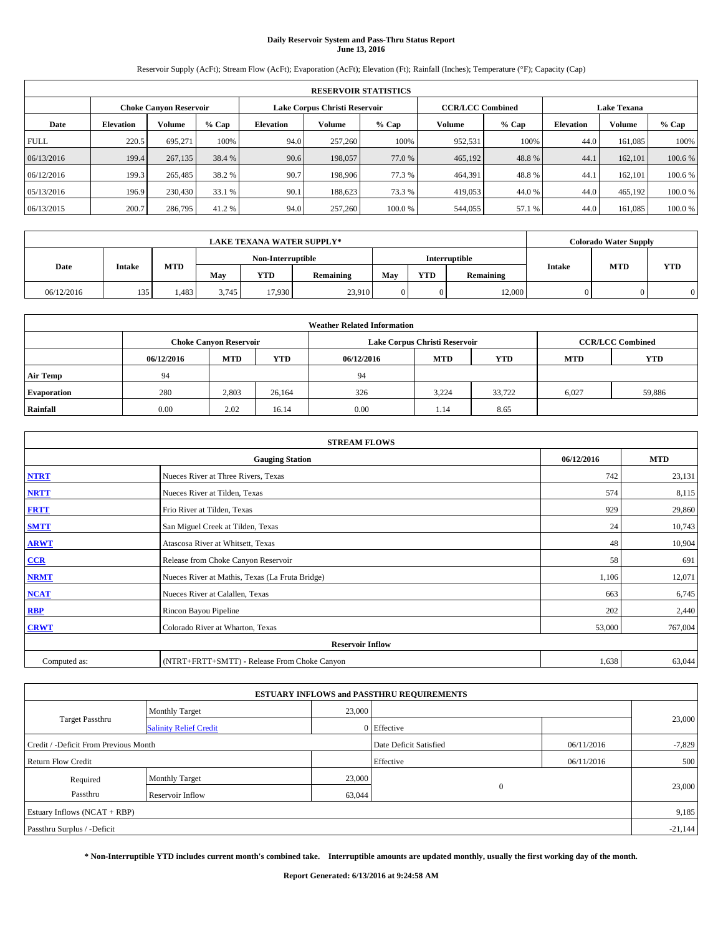# **Daily Reservoir System and Pass-Thru Status Report June 13, 2016**

Reservoir Supply (AcFt); Stream Flow (AcFt); Evaporation (AcFt); Elevation (Ft); Rainfall (Inches); Temperature (°F); Capacity (Cap)

|             | <b>RESERVOIR STATISTICS</b> |                        |         |           |                                                                                |        |         |         |                  |               |        |
|-------------|-----------------------------|------------------------|---------|-----------|--------------------------------------------------------------------------------|--------|---------|---------|------------------|---------------|--------|
|             |                             | Choke Canvon Reservoir |         |           | <b>CCR/LCC Combined</b><br>Lake Corpus Christi Reservoir<br><b>Lake Texana</b> |        |         |         |                  |               |        |
| Date        | <b>Elevation</b>            | Volume                 | $%$ Cap | Elevation | Volume                                                                         | % Cap  | Volume  | $%$ Cap | <b>Elevation</b> | <b>Volume</b> | % Cap  |
| <b>FULL</b> | 220.5                       | 695,271                | 100%    | 94.0      | 257,260                                                                        | 100%   | 952,531 | 100%    | 44.0             | 161.085       | 100%   |
| 06/13/2016  | 199.4                       | 267,135                | 38.4 %  | 90.6      | 198,057                                                                        | 77.0 % | 465,192 | 48.8%   | 44.1             | 162,101       | 100.6% |
| 06/12/2016  | 199.3                       | 265,485                | 38.2 %  | 90.7      | 198,906                                                                        | 77.3 % | 464,391 | 48.8%   | 44.1             | 162,101       | 100.6% |
| 05/13/2016  | 196.9                       | 230,430                | 33.1 %  | 90.1      | 188,623                                                                        | 73.3 % | 419,053 | 44.0%   | 44.0             | 465,192       | 100.0% |
| 06/13/2015  | 200.7                       | 286,795                | 41.2 %  | 94.0      | 257,260                                                                        | 100.0% | 544,055 | 57.1 %  | 44.0             | 161,085       | 100.0% |

|            | <b>LAKE TEXANA WATER SUPPLY*</b> |       |                   |                         |        |               |            |           |               |            | <b>Colorado Water Supply</b> |  |  |
|------------|----------------------------------|-------|-------------------|-------------------------|--------|---------------|------------|-----------|---------------|------------|------------------------------|--|--|
|            |                                  |       | Non-Interruptible |                         |        | Interruptible |            |           |               |            |                              |  |  |
| Date       | <b>Intake</b>                    | MTD   | Mav               | <b>YTD</b><br>Remaining |        |               | <b>YTD</b> | Remaining | <b>Intake</b> | <b>MTD</b> | <b>YTD</b>                   |  |  |
| 06/12/2016 | 135                              | 1,483 | 3.745             | 17.930                  | 23,910 |               |            | 12,000    |               |            |                              |  |  |

| <b>Weather Related Information</b> |            |                               |            |            |                               |            |                          |        |  |  |  |
|------------------------------------|------------|-------------------------------|------------|------------|-------------------------------|------------|--------------------------|--------|--|--|--|
|                                    |            | <b>Choke Canyon Reservoir</b> |            |            | Lake Corpus Christi Reservoir |            | <b>CCR/LCC Combined</b>  |        |  |  |  |
|                                    | 06/12/2016 | <b>MTD</b>                    | <b>YTD</b> | 06/12/2016 | <b>MTD</b>                    | <b>YTD</b> | <b>YTD</b><br><b>MTD</b> |        |  |  |  |
| <b>Air Temp</b>                    | 94         |                               |            | 94         |                               |            |                          |        |  |  |  |
| <b>Evaporation</b>                 | 280        | 2,803                         | 26,164     | 326        | 3.224                         | 33,722     | 6,027                    | 59,886 |  |  |  |
| Rainfall                           | 0.00       | 2.02                          | 16.14      | 0.00       | 1.14                          | 8.65       |                          |        |  |  |  |

| <b>STREAM FLOWS</b> |                                                 |            |            |  |  |  |  |  |  |
|---------------------|-------------------------------------------------|------------|------------|--|--|--|--|--|--|
|                     | <b>Gauging Station</b>                          | 06/12/2016 | <b>MTD</b> |  |  |  |  |  |  |
| <b>NTRT</b>         | Nueces River at Three Rivers, Texas             | 742        | 23,131     |  |  |  |  |  |  |
| <b>NRTT</b>         | Nueces River at Tilden, Texas                   | 574        | 8,115      |  |  |  |  |  |  |
| <b>FRTT</b>         | Frio River at Tilden, Texas                     | 929        | 29,860     |  |  |  |  |  |  |
| <b>SMTT</b>         | San Miguel Creek at Tilden, Texas               | 24         | 10,743     |  |  |  |  |  |  |
| <b>ARWT</b>         | Atascosa River at Whitsett, Texas               | 48         | 10,904     |  |  |  |  |  |  |
| $CCR$               | Release from Choke Canyon Reservoir             | 58         | 691        |  |  |  |  |  |  |
| <b>NRMT</b>         | Nueces River at Mathis, Texas (La Fruta Bridge) | 1,106      | 12,071     |  |  |  |  |  |  |
| <b>NCAT</b>         | Nueces River at Calallen, Texas                 | 663        | 6,745      |  |  |  |  |  |  |
| RBP                 | Rincon Bayou Pipeline                           | 202        | 2,440      |  |  |  |  |  |  |
| <b>CRWT</b>         | Colorado River at Wharton, Texas                | 53,000     | 767,004    |  |  |  |  |  |  |
|                     | <b>Reservoir Inflow</b>                         |            |            |  |  |  |  |  |  |
| Computed as:        | (NTRT+FRTT+SMTT) - Release From Choke Canyon    |            |            |  |  |  |  |  |  |

| <b>ESTUARY INFLOWS and PASSTHRU REQUIREMENTS</b> |                               |                        |             |            |        |  |  |  |  |  |
|--------------------------------------------------|-------------------------------|------------------------|-------------|------------|--------|--|--|--|--|--|
|                                                  | <b>Monthly Target</b>         | 23,000                 |             |            |        |  |  |  |  |  |
| <b>Target Passthru</b>                           | <b>Salinity Relief Credit</b> |                        | 0 Effective |            | 23,000 |  |  |  |  |  |
| Credit / -Deficit From Previous Month            |                               | Date Deficit Satisfied | 06/11/2016  | $-7,829$   |        |  |  |  |  |  |
| <b>Return Flow Credit</b>                        |                               |                        | Effective   | 06/11/2016 | 500    |  |  |  |  |  |
| Required                                         | <b>Monthly Target</b>         | 23,000                 |             |            |        |  |  |  |  |  |
| Passthru                                         | Reservoir Inflow              | 63,044                 | $\Omega$    |            | 23,000 |  |  |  |  |  |
| Estuary Inflows $(NCAT + RBP)$                   |                               |                        |             |            |        |  |  |  |  |  |
| Passthru Surplus / -Deficit                      |                               |                        |             |            |        |  |  |  |  |  |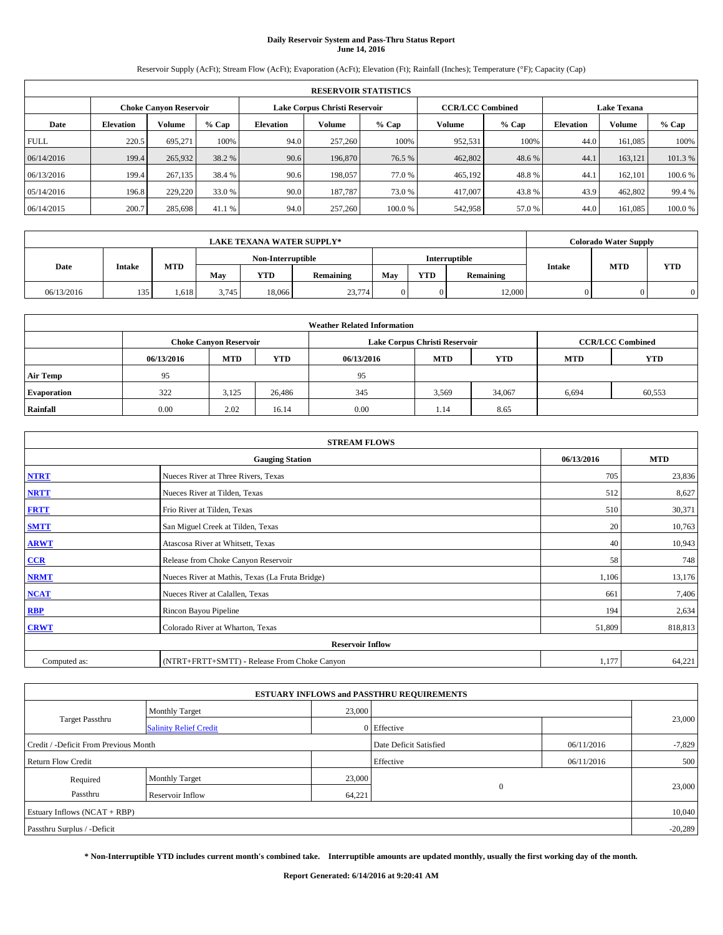# **Daily Reservoir System and Pass-Thru Status Report June 14, 2016**

Reservoir Supply (AcFt); Stream Flow (AcFt); Evaporation (AcFt); Elevation (Ft); Rainfall (Inches); Temperature (°F); Capacity (Cap)

|             | <b>RESERVOIR STATISTICS</b> |                               |         |                              |                                                          |        |         |         |                  |               |                    |  |  |
|-------------|-----------------------------|-------------------------------|---------|------------------------------|----------------------------------------------------------|--------|---------|---------|------------------|---------------|--------------------|--|--|
|             |                             | <b>Choke Canyon Reservoir</b> |         |                              | <b>CCR/LCC Combined</b><br>Lake Corpus Christi Reservoir |        |         |         |                  |               | <b>Lake Texana</b> |  |  |
| Date        | <b>Elevation</b>            | Volume                        | $%$ Cap | % Cap<br>Volume<br>Elevation |                                                          |        | Volume  | $%$ Cap | <b>Elevation</b> | <b>Volume</b> | % Cap              |  |  |
| <b>FULL</b> | 220.5                       | 695,271                       | 100%    | 94.0                         | 257,260                                                  | 100%   | 952,531 | 100%    | 44.0             | 161.085       | 100%               |  |  |
| 06/14/2016  | 199.4                       | 265,932                       | 38.2 %  | 90.6                         | 196,870                                                  | 76.5 % | 462,802 | 48.6 %  | 44.1             | 163.121       | 101.3%             |  |  |
| 06/13/2016  | 199.4                       | 267,135                       | 38.4 %  | 90.6                         | 198,057                                                  | 77.0%  | 465,192 | 48.8%   | 44.1             | 162,101       | 100.6%             |  |  |
| 05/14/2016  | 196.8                       | 229,220                       | 33.0 %  | 90.0                         | 187,787                                                  | 73.0 % | 417,007 | 43.8%   | 43.9             | 462,802       | 99.4 %             |  |  |
| 06/14/2015  | 200.7                       | 285,698                       | 41.1 %  | 94.0                         | 257,260                                                  | 100.0% | 542,958 | 57.0 %  | 44.0             | 161,085       | 100.0%             |  |  |

|            | <b>LAKE TEXANA WATER SUPPLY*</b> |       |       |                         |        |  |            |               |               |            | <b>Colorado Water Supply</b> |
|------------|----------------------------------|-------|-------|-------------------------|--------|--|------------|---------------|---------------|------------|------------------------------|
|            |                                  |       |       | Non-Interruptible       |        |  |            | Interruptible |               |            |                              |
| Date       | <b>Intake</b>                    | MTD   | Mav   | <b>YTD</b><br>Remaining |        |  | <b>YTD</b> | Remaining     | <b>Intake</b> | <b>MTD</b> | <b>YTD</b>                   |
| 06/13/2016 | 135                              | 1.618 | 3.745 | 18,066                  | 23,774 |  |            | 12,000        |               |            |                              |

| <b>Weather Related Information</b> |            |                               |            |            |                               |                         |            |            |  |  |  |
|------------------------------------|------------|-------------------------------|------------|------------|-------------------------------|-------------------------|------------|------------|--|--|--|
|                                    |            | <b>Choke Canyon Reservoir</b> |            |            | Lake Corpus Christi Reservoir | <b>CCR/LCC Combined</b> |            |            |  |  |  |
|                                    | 06/13/2016 | <b>MTD</b>                    | <b>YTD</b> | 06/13/2016 | <b>MTD</b>                    | <b>YTD</b>              | <b>MTD</b> | <b>YTD</b> |  |  |  |
| <b>Air Temp</b>                    | 95         |                               |            | 95         |                               |                         |            |            |  |  |  |
| <b>Evaporation</b>                 | 322        | 3,125                         | 26,486     | 345        | 3,569                         | 34,067                  | 6,694      | 60,553     |  |  |  |
| Rainfall                           | 0.00       | 2.02                          | 16.14      | 0.00       | 1.14                          | 8.65                    |            |            |  |  |  |

| <b>STREAM FLOWS</b> |                                                 |            |            |  |  |  |  |  |  |
|---------------------|-------------------------------------------------|------------|------------|--|--|--|--|--|--|
|                     | <b>Gauging Station</b>                          | 06/13/2016 | <b>MTD</b> |  |  |  |  |  |  |
| <b>NTRT</b>         | Nueces River at Three Rivers, Texas             | 705        | 23,836     |  |  |  |  |  |  |
| <b>NRTT</b>         | Nueces River at Tilden, Texas                   | 512        | 8,627      |  |  |  |  |  |  |
| <b>FRTT</b>         | Frio River at Tilden, Texas                     | 510        | 30,371     |  |  |  |  |  |  |
| <b>SMTT</b>         | San Miguel Creek at Tilden, Texas               | 20         | 10,763     |  |  |  |  |  |  |
| <b>ARWT</b>         | Atascosa River at Whitsett, Texas               | 40         | 10,943     |  |  |  |  |  |  |
| $CCR$               | Release from Choke Canyon Reservoir             | 58         | 748        |  |  |  |  |  |  |
| <b>NRMT</b>         | Nueces River at Mathis, Texas (La Fruta Bridge) | 1,106      | 13,176     |  |  |  |  |  |  |
| <b>NCAT</b>         | Nueces River at Calallen, Texas                 | 661        | 7,406      |  |  |  |  |  |  |
| RBP                 | Rincon Bayou Pipeline                           | 194        | 2,634      |  |  |  |  |  |  |
| <b>CRWT</b>         | Colorado River at Wharton, Texas                | 51,809     | 818,813    |  |  |  |  |  |  |
|                     | <b>Reservoir Inflow</b>                         |            |            |  |  |  |  |  |  |
| Computed as:        | (NTRT+FRTT+SMTT) - Release From Choke Canyon    | 1,177      | 64,221     |  |  |  |  |  |  |

| <b>ESTUARY INFLOWS and PASSTHRU REQUIREMENTS</b> |                               |                        |             |          |        |  |  |  |  |  |
|--------------------------------------------------|-------------------------------|------------------------|-------------|----------|--------|--|--|--|--|--|
|                                                  | <b>Monthly Target</b>         | 23,000                 |             |          |        |  |  |  |  |  |
| <b>Target Passthru</b>                           | <b>Salinity Relief Credit</b> |                        | 0 Effective |          | 23,000 |  |  |  |  |  |
| Credit / -Deficit From Previous Month            |                               | Date Deficit Satisfied | 06/11/2016  | $-7,829$ |        |  |  |  |  |  |
| <b>Return Flow Credit</b>                        |                               | Effective              | 06/11/2016  | 500      |        |  |  |  |  |  |
| Required                                         | <b>Monthly Target</b>         | 23,000                 |             |          |        |  |  |  |  |  |
| Passthru                                         | Reservoir Inflow              | 64,221                 | $\Omega$    |          | 23,000 |  |  |  |  |  |
| Estuary Inflows (NCAT + RBP)                     |                               |                        |             |          |        |  |  |  |  |  |
| Passthru Surplus / -Deficit                      |                               |                        |             |          |        |  |  |  |  |  |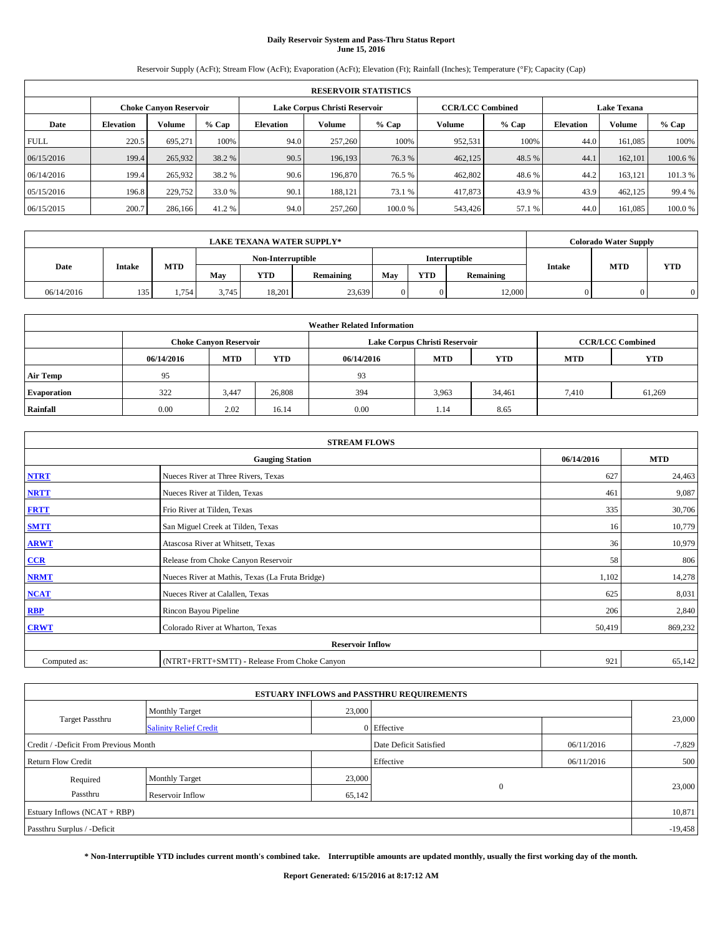# **Daily Reservoir System and Pass-Thru Status Report June 15, 2016**

Reservoir Supply (AcFt); Stream Flow (AcFt); Evaporation (AcFt); Elevation (Ft); Rainfall (Inches); Temperature (°F); Capacity (Cap)

|             | <b>RESERVOIR STATISTICS</b> |                               |         |                              |                               |        |                         |         |                  |                    |        |  |
|-------------|-----------------------------|-------------------------------|---------|------------------------------|-------------------------------|--------|-------------------------|---------|------------------|--------------------|--------|--|
|             |                             | <b>Choke Canyon Reservoir</b> |         |                              | Lake Corpus Christi Reservoir |        | <b>CCR/LCC Combined</b> |         |                  | <b>Lake Texana</b> |        |  |
| Date        | <b>Elevation</b>            | Volume                        | $%$ Cap | % Cap<br>Volume<br>Elevation |                               |        | Volume                  | $%$ Cap | <b>Elevation</b> | <b>Volume</b>      | % Cap  |  |
| <b>FULL</b> | 220.5                       | 695,271                       | 100%    | 94.0                         | 257,260                       | 100%   | 952,531                 | 100%    | 44.0             | 161.085            | 100%   |  |
| 06/15/2016  | 199.4                       | 265,932                       | 38.2 %  | 90.5                         | 196,193                       | 76.3 % | 462,125                 | 48.5 %  | 44.1             | 162,101            | 100.6% |  |
| 06/14/2016  | 199.4                       | 265,932                       | 38.2 %  | 90.6                         | 196,870                       | 76.5 % | 462,802                 | 48.6%   | 44.2             | 163.121            | 101.3% |  |
| 05/15/2016  | 196.8                       | 229,752                       | 33.0 %  | 90.1                         | 188.121                       | 73.1 % | 417,873                 | 43.9 %  | 43.9             | 462,125            | 99.4 % |  |
| 06/15/2015  | 200.7                       | 286,166                       | 41.2 %  | 94.0                         | 257,260                       | 100.0% | 543,426                 | 57.1 %  | 44.0             | 161,085            | 100.0% |  |

|            | <b>LAKE TEXANA WATER SUPPLY*</b> |       |       |                         |        |  |            |               |               |            | <b>Colorado Water Supply</b> |  |  |
|------------|----------------------------------|-------|-------|-------------------------|--------|--|------------|---------------|---------------|------------|------------------------------|--|--|
|            |                                  |       |       | Non-Interruptible       |        |  |            | Interruptible |               |            |                              |  |  |
| Date       | <b>Intake</b>                    | MTD   | Mav   | <b>YTD</b><br>Remaining |        |  | <b>YTD</b> | Remaining     | <b>Intake</b> | <b>MTD</b> | <b>YTD</b>                   |  |  |
| 06/14/2016 | 135                              | 1,754 | 3.745 | 18.201                  | 23,639 |  |            | 12,000        |               |            |                              |  |  |

| <b>Weather Related Information</b> |            |                               |            |            |                               |                         |            |            |  |
|------------------------------------|------------|-------------------------------|------------|------------|-------------------------------|-------------------------|------------|------------|--|
|                                    |            | <b>Choke Canyon Reservoir</b> |            |            | Lake Corpus Christi Reservoir | <b>CCR/LCC Combined</b> |            |            |  |
|                                    | 06/14/2016 | <b>MTD</b>                    | <b>YTD</b> | 06/14/2016 | <b>MTD</b>                    | <b>YTD</b>              | <b>MTD</b> | <b>YTD</b> |  |
| <b>Air Temp</b>                    | 95         |                               |            | 93         |                               |                         |            |            |  |
| <b>Evaporation</b>                 | 322        | 3,447                         | 26,808     | 394        | 3,963                         | 34,461                  | 7,410      | 61,269     |  |
| Rainfall                           | 0.00       | 2.02                          | 16.14      | 0.00       | 1.14                          | 8.65                    |            |            |  |

| <b>STREAM FLOWS</b> |                                                 |            |         |  |  |  |  |  |
|---------------------|-------------------------------------------------|------------|---------|--|--|--|--|--|
|                     | 06/14/2016                                      | <b>MTD</b> |         |  |  |  |  |  |
| <b>NTRT</b>         | Nueces River at Three Rivers, Texas             | 627        | 24,463  |  |  |  |  |  |
| <b>NRTT</b>         | Nueces River at Tilden, Texas                   | 461        | 9,087   |  |  |  |  |  |
| <b>FRTT</b>         | Frio River at Tilden, Texas                     | 335        | 30,706  |  |  |  |  |  |
| <b>SMTT</b>         | San Miguel Creek at Tilden, Texas               | 16         | 10,779  |  |  |  |  |  |
| <b>ARWT</b>         | Atascosa River at Whitsett, Texas               | 36         | 10,979  |  |  |  |  |  |
| $CCR$               | Release from Choke Canyon Reservoir             | 58         | 806     |  |  |  |  |  |
| <b>NRMT</b>         | Nueces River at Mathis, Texas (La Fruta Bridge) | 1,102      | 14,278  |  |  |  |  |  |
| <b>NCAT</b>         | Nueces River at Calallen, Texas                 | 625        | 8,031   |  |  |  |  |  |
| RBP                 | Rincon Bayou Pipeline                           | 206        | 2,840   |  |  |  |  |  |
| <b>CRWT</b>         | Colorado River at Wharton, Texas                | 50,419     | 869,232 |  |  |  |  |  |
|                     |                                                 |            |         |  |  |  |  |  |
| Computed as:        | (NTRT+FRTT+SMTT) - Release From Choke Canyon    | 921        | 65,142  |  |  |  |  |  |

|                                       |                               |        | <b>ESTUARY INFLOWS and PASSTHRU REQUIREMENTS</b> |            |           |
|---------------------------------------|-------------------------------|--------|--------------------------------------------------|------------|-----------|
|                                       | <b>Monthly Target</b>         | 23,000 |                                                  |            |           |
| <b>Target Passthru</b>                | <b>Salinity Relief Credit</b> |        | 0 Effective                                      |            | 23,000    |
| Credit / -Deficit From Previous Month |                               |        | Date Deficit Satisfied                           | 06/11/2016 | $-7,829$  |
| <b>Return Flow Credit</b>             |                               |        | Effective                                        | 06/11/2016 | 500       |
| Required                              | <b>Monthly Target</b>         | 23,000 |                                                  |            |           |
| Passthru                              | Reservoir Inflow              | 65,142 | $\Omega$                                         |            | 23,000    |
| Estuary Inflows $(NCAT + RBP)$        |                               |        |                                                  |            | 10,871    |
| Passthru Surplus / -Deficit           |                               |        |                                                  |            | $-19,458$ |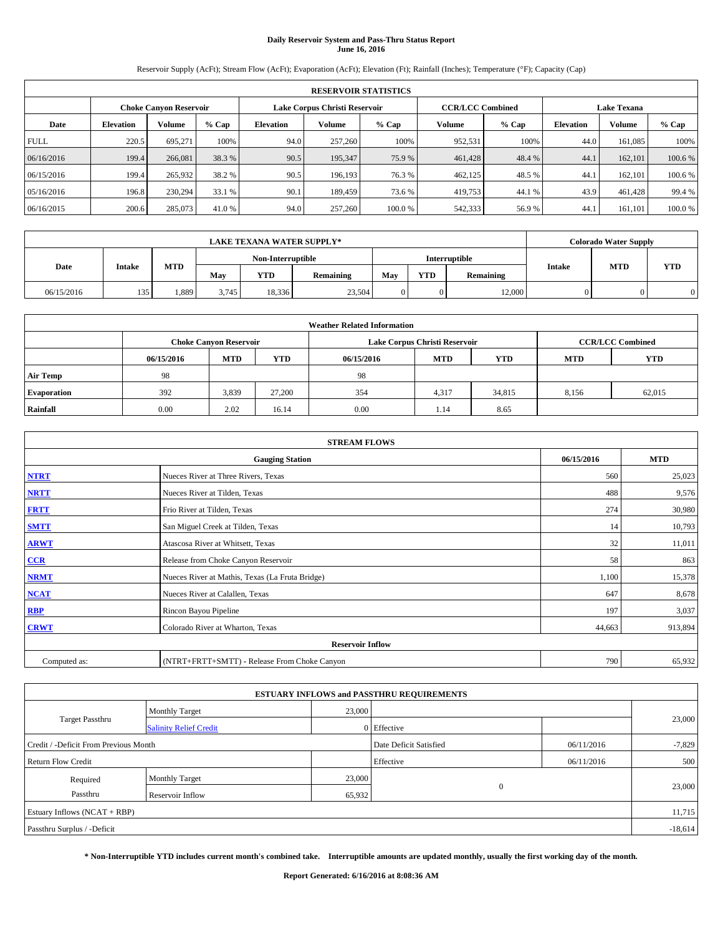# **Daily Reservoir System and Pass-Thru Status Report June 16, 2016**

Reservoir Supply (AcFt); Stream Flow (AcFt); Evaporation (AcFt); Elevation (Ft); Rainfall (Inches); Temperature (°F); Capacity (Cap)

|             | <b>RESERVOIR STATISTICS</b> |                               |         |                  |                               |        |                         |         |                  |                    |         |  |
|-------------|-----------------------------|-------------------------------|---------|------------------|-------------------------------|--------|-------------------------|---------|------------------|--------------------|---------|--|
|             |                             | <b>Choke Canyon Reservoir</b> |         |                  | Lake Corpus Christi Reservoir |        | <b>CCR/LCC Combined</b> |         |                  | <b>Lake Texana</b> |         |  |
| Date        | <b>Elevation</b>            | Volume                        | $%$ Cap | <b>Elevation</b> | Volume                        | % Cap  | Volume                  | $%$ Cap | <b>Elevation</b> | Volume             | % Cap   |  |
| <b>FULL</b> | 220.5                       | 695,271                       | 100%    | 94.0             | 257,260                       | 100%   | 952,531                 | 100%    | 44.0             | 161,085            | 100%    |  |
| 06/16/2016  | 199.4                       | 266,081                       | 38.3 %  | 90.5             | 195,347                       | 75.9 % | 461,428                 | 48.4 %  | 44.1             | 162,101            | 100.6 % |  |
| 06/15/2016  | 199.4                       | 265,932                       | 38.2 %  | 90.5             | 196.193                       | 76.3 % | 462,125                 | 48.5%   | 44.1             | 162,101            | 100.6 % |  |
| 05/16/2016  | 196.8                       | 230,294                       | 33.1 %  | 90.1             | 189,459                       | 73.6 % | 419,753                 | 44.1 %  | 43.9             | 461,428            | 99.4 %  |  |
| 06/16/2015  | 200.6                       | 285,073                       | 41.0 %  | 94.0             | 257,260                       | 100.0% | 542,333                 | 56.9%   | 44.1             | 161,101            | 100.0%  |  |

| <b>LAKE TEXANA WATER SUPPLY*</b> |               |       |       |                   |           |     |            |               |               | <b>Colorado Water Supply</b> |            |
|----------------------------------|---------------|-------|-------|-------------------|-----------|-----|------------|---------------|---------------|------------------------------|------------|
|                                  |               |       |       | Non-Interruptible |           |     |            | Interruptible |               |                              | <b>YTD</b> |
| Date                             | <b>Intake</b> | MTD   | Mav   | <b>YTD</b>        | Remaining | May | <b>YTD</b> | Remaining     | <b>Intake</b> | <b>MTD</b>                   |            |
| 06/15/2016                       | 135           | 1,889 | 3.745 | 18.336            | 23,504    |     |            | 12,000        |               |                              |            |

| <b>Weather Related Information</b> |            |                               |            |            |                               |                         |            |            |  |
|------------------------------------|------------|-------------------------------|------------|------------|-------------------------------|-------------------------|------------|------------|--|
|                                    |            | <b>Choke Canyon Reservoir</b> |            |            | Lake Corpus Christi Reservoir | <b>CCR/LCC Combined</b> |            |            |  |
|                                    | 06/15/2016 | <b>MTD</b>                    | <b>YTD</b> | 06/15/2016 | <b>MTD</b>                    | <b>YTD</b>              | <b>MTD</b> | <b>YTD</b> |  |
| <b>Air Temp</b>                    | 98         |                               |            | -98        |                               |                         |            |            |  |
| <b>Evaporation</b>                 | 392        | 3,839                         | 27,200     | 354        | 4,317                         | 34,815                  | 8,156      | 62,015     |  |
| Rainfall                           | 0.00       | 2.02                          | 16.14      | 0.00       | 1.14                          | 8.65                    |            |            |  |

| <b>STREAM FLOWS</b> |                                                 |            |         |  |  |  |  |  |
|---------------------|-------------------------------------------------|------------|---------|--|--|--|--|--|
|                     | 06/15/2016                                      | <b>MTD</b> |         |  |  |  |  |  |
| <b>NTRT</b>         | Nueces River at Three Rivers, Texas             | 560        | 25,023  |  |  |  |  |  |
| <b>NRTT</b>         | Nueces River at Tilden, Texas                   | 488        | 9,576   |  |  |  |  |  |
| <b>FRTT</b>         | Frio River at Tilden, Texas                     | 274        | 30,980  |  |  |  |  |  |
| <b>SMTT</b>         | San Miguel Creek at Tilden, Texas               | 14         | 10,793  |  |  |  |  |  |
| <b>ARWT</b>         | Atascosa River at Whitsett, Texas               | 32         | 11,011  |  |  |  |  |  |
| $CCR$               | Release from Choke Canyon Reservoir             | 58         | 863     |  |  |  |  |  |
| <b>NRMT</b>         | Nueces River at Mathis, Texas (La Fruta Bridge) | 1,100      | 15,378  |  |  |  |  |  |
| <b>NCAT</b>         | Nueces River at Calallen, Texas                 | 647        | 8,678   |  |  |  |  |  |
| RBP                 | Rincon Bayou Pipeline                           | 197        | 3,037   |  |  |  |  |  |
| <b>CRWT</b>         | Colorado River at Wharton, Texas                | 44,663     | 913,894 |  |  |  |  |  |
|                     |                                                 |            |         |  |  |  |  |  |
| Computed as:        | (NTRT+FRTT+SMTT) - Release From Choke Canyon    | 790        | 65,932  |  |  |  |  |  |

|                                       |                               |        | <b>ESTUARY INFLOWS and PASSTHRU REQUIREMENTS</b> |            |           |
|---------------------------------------|-------------------------------|--------|--------------------------------------------------|------------|-----------|
|                                       | <b>Monthly Target</b>         | 23,000 |                                                  |            |           |
| Target Passthru                       | <b>Salinity Relief Credit</b> |        | 0 Effective                                      |            | 23,000    |
| Credit / -Deficit From Previous Month |                               |        | Date Deficit Satisfied                           | 06/11/2016 | $-7,829$  |
| <b>Return Flow Credit</b>             |                               |        | Effective                                        | 06/11/2016 | 500       |
| Required                              | <b>Monthly Target</b>         | 23,000 |                                                  |            |           |
| Passthru                              | Reservoir Inflow              | 65,932 | $\mathbf{0}$                                     |            | 23,000    |
| Estuary Inflows (NCAT + RBP)          |                               |        |                                                  |            | 11,715    |
| Passthru Surplus / -Deficit           |                               |        |                                                  |            | $-18,614$ |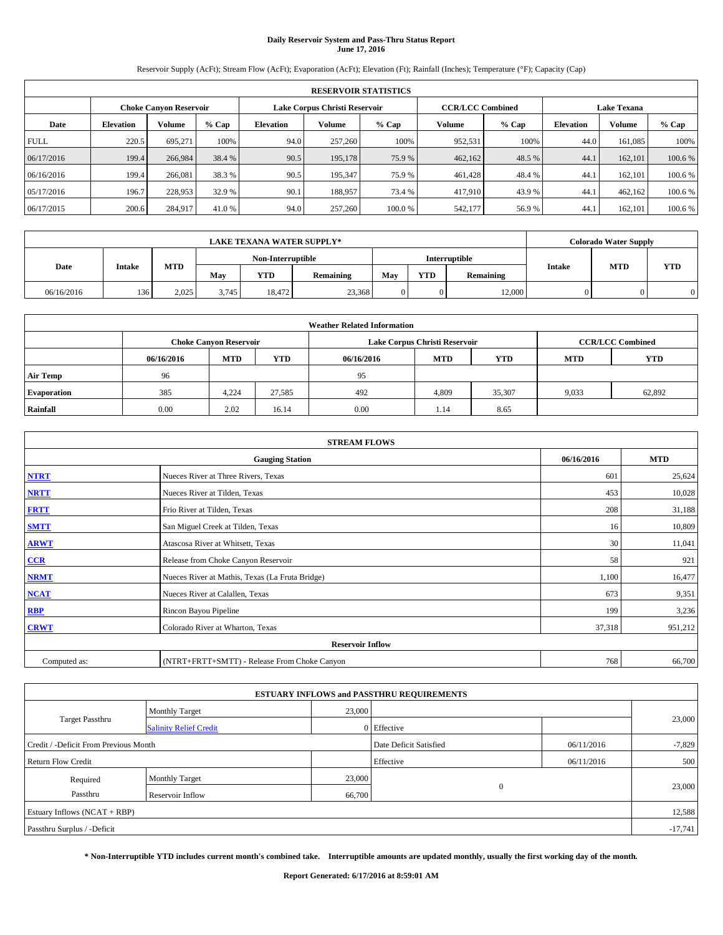# **Daily Reservoir System and Pass-Thru Status Report June 17, 2016**

Reservoir Supply (AcFt); Stream Flow (AcFt); Evaporation (AcFt); Elevation (Ft); Rainfall (Inches); Temperature (°F); Capacity (Cap)

|             | <b>RESERVOIR STATISTICS</b> |                               |         |                  |                               |        |                         |         |                  |                    |         |  |
|-------------|-----------------------------|-------------------------------|---------|------------------|-------------------------------|--------|-------------------------|---------|------------------|--------------------|---------|--|
|             |                             | <b>Choke Canyon Reservoir</b> |         |                  | Lake Corpus Christi Reservoir |        | <b>CCR/LCC Combined</b> |         |                  | <b>Lake Texana</b> |         |  |
| Date        | <b>Elevation</b>            | Volume                        | $%$ Cap | <b>Elevation</b> | Volume                        | % Cap  | Volume                  | $%$ Cap | <b>Elevation</b> | Volume             | % Cap   |  |
| <b>FULL</b> | 220.5                       | 695,271                       | 100%    | 94.0             | 257,260                       | 100%   | 952,531                 | 100%    | 44.0             | 161,085            | 100%    |  |
| 06/17/2016  | 199.4                       | 266,984                       | 38.4 %  | 90.5             | 195,178                       | 75.9 % | 462,162                 | 48.5 %  | 44.1             | 162,101            | 100.6 % |  |
| 06/16/2016  | 199.4                       | 266,081                       | 38.3 %  | 90.5             | 195,347                       | 75.9 % | 461,428                 | 48.4 %  | 44.1             | 162,101            | 100.6 % |  |
| 05/17/2016  | 196.7                       | 228,953                       | 32.9 %  | 90.1             | 188,957                       | 73.4 % | 417,910                 | 43.9%   | 44.1             | 462,162            | 100.6 % |  |
| 06/17/2015  | 200.6                       | 284,917                       | 41.0 %  | 94.0             | 257,260                       | 100.0% | 542,177                 | 56.9%   | 44.1             | 162,101            | 100.6 % |  |

| <b>LAKE TEXANA WATER SUPPLY*</b> |        |       |       |                   |           |     |            |               |               | <b>Colorado Water Supply</b> |            |
|----------------------------------|--------|-------|-------|-------------------|-----------|-----|------------|---------------|---------------|------------------------------|------------|
|                                  |        |       |       | Non-Interruptible |           |     |            | Interruptible |               |                              |            |
| Date                             | Intake | MTD   | Mav   | <b>YTD</b>        | Remaining | May | <b>YTD</b> | Remaining     | <b>Intake</b> | <b>MTD</b>                   | <b>YTD</b> |
| 06/16/2016                       | 136    | 2.025 | 3,745 | 18,472            | 23,368    |     |            | 12,000        |               |                              |            |

| <b>Weather Related Information</b> |            |                               |            |            |                               |                         |            |            |  |
|------------------------------------|------------|-------------------------------|------------|------------|-------------------------------|-------------------------|------------|------------|--|
|                                    |            | <b>Choke Canyon Reservoir</b> |            |            | Lake Corpus Christi Reservoir | <b>CCR/LCC Combined</b> |            |            |  |
|                                    | 06/16/2016 | <b>MTD</b>                    | <b>YTD</b> | 06/16/2016 | <b>MTD</b>                    | <b>YTD</b>              | <b>MTD</b> | <b>YTD</b> |  |
| <b>Air Temp</b>                    | 96         |                               |            | 95         |                               |                         |            |            |  |
| <b>Evaporation</b>                 | 385        | 4.224                         | 27.585     | 492        | 4,809                         | 35,307                  | 9,033      | 62,892     |  |
| Rainfall                           | 0.00       | 2.02                          | 16.14      | 0.00       | 1.14                          | 8.65                    |            |            |  |

| <b>STREAM FLOWS</b> |                                                 |            |         |  |  |  |  |  |
|---------------------|-------------------------------------------------|------------|---------|--|--|--|--|--|
|                     | 06/16/2016                                      | <b>MTD</b> |         |  |  |  |  |  |
| <b>NTRT</b>         | Nueces River at Three Rivers, Texas             | 601        | 25,624  |  |  |  |  |  |
| <b>NRTT</b>         | Nueces River at Tilden, Texas                   | 453        | 10,028  |  |  |  |  |  |
| <b>FRTT</b>         | Frio River at Tilden, Texas                     | 208        | 31,188  |  |  |  |  |  |
| <b>SMTT</b>         | San Miguel Creek at Tilden, Texas               | 16         | 10,809  |  |  |  |  |  |
| <b>ARWT</b>         | Atascosa River at Whitsett, Texas               | 30         | 11,041  |  |  |  |  |  |
| $CCR$               | Release from Choke Canyon Reservoir             | 58         | 921     |  |  |  |  |  |
| <b>NRMT</b>         | Nueces River at Mathis, Texas (La Fruta Bridge) | 1,100      | 16,477  |  |  |  |  |  |
| <b>NCAT</b>         | Nueces River at Calallen, Texas                 | 673        | 9,351   |  |  |  |  |  |
| RBP                 | Rincon Bayou Pipeline                           | 199        | 3,236   |  |  |  |  |  |
| <b>CRWT</b>         | Colorado River at Wharton, Texas                | 37,318     | 951,212 |  |  |  |  |  |
|                     |                                                 |            |         |  |  |  |  |  |
| Computed as:        | 768                                             | 66,700     |         |  |  |  |  |  |

| <b>ESTUARY INFLOWS and PASSTHRU REQUIREMENTS</b> |                               |        |                        |            |          |  |  |  |  |  |
|--------------------------------------------------|-------------------------------|--------|------------------------|------------|----------|--|--|--|--|--|
|                                                  | <b>Monthly Target</b>         | 23,000 |                        |            |          |  |  |  |  |  |
| <b>Target Passthru</b>                           | <b>Salinity Relief Credit</b> |        | 0 Effective            |            | 23,000   |  |  |  |  |  |
| Credit / -Deficit From Previous Month            |                               |        | Date Deficit Satisfied | 06/11/2016 | $-7,829$ |  |  |  |  |  |
| <b>Return Flow Credit</b>                        |                               |        | Effective              | 06/11/2016 | 500      |  |  |  |  |  |
| Required                                         | <b>Monthly Target</b>         | 23,000 |                        |            |          |  |  |  |  |  |
| Passthru                                         | Reservoir Inflow              | 66,700 | $\Omega$               |            | 23,000   |  |  |  |  |  |
| Estuary Inflows $(NCAT + RBP)$                   |                               |        |                        |            |          |  |  |  |  |  |
| Passthru Surplus / -Deficit                      |                               |        |                        |            |          |  |  |  |  |  |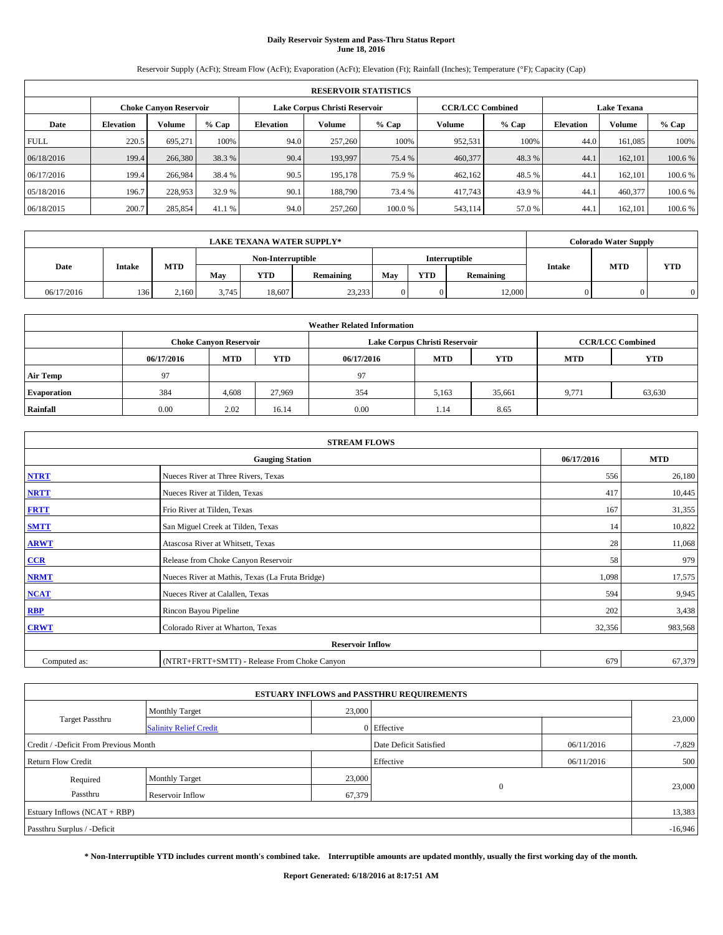# **Daily Reservoir System and Pass-Thru Status Report June 18, 2016**

Reservoir Supply (AcFt); Stream Flow (AcFt); Evaporation (AcFt); Elevation (Ft); Rainfall (Inches); Temperature (°F); Capacity (Cap)

|                                                                | <b>RESERVOIR STATISTICS</b> |         |         |                  |         |        |                         |         |                  |                    |         |  |
|----------------------------------------------------------------|-----------------------------|---------|---------|------------------|---------|--------|-------------------------|---------|------------------|--------------------|---------|--|
| Lake Corpus Christi Reservoir<br><b>Choke Canyon Reservoir</b> |                             |         |         |                  |         |        | <b>CCR/LCC Combined</b> |         |                  | <b>Lake Texana</b> |         |  |
| Date                                                           | <b>Elevation</b>            | Volume  | $%$ Cap | <b>Elevation</b> | Volume  | % Cap  | Volume                  | $%$ Cap | <b>Elevation</b> | Volume             | % Cap   |  |
| <b>FULL</b>                                                    | 220.5                       | 695,271 | 100%    | 94.0             | 257,260 | 100%   | 952,531                 | 100%    | 44.0             | 161,085            | 100%    |  |
| 06/18/2016                                                     | 199.4                       | 266,380 | 38.3 %  | 90.4             | 193,997 | 75.4 % | 460,377                 | 48.3%   | 44.1             | 162,101            | 100.6 % |  |
| 06/17/2016                                                     | 199.4                       | 266,984 | 38.4 %  | 90.5             | 195,178 | 75.9 % | 462,162                 | 48.5 %  | 44.1             | 162,101            | 100.6 % |  |
| 05/18/2016                                                     | 196.7                       | 228,953 | 32.9 %  | 90.1             | 188,790 | 73.4 % | 417,743                 | 43.9%   | 44.1             | 460,377            | 100.6 % |  |
| 06/18/2015                                                     | 200.7                       | 285,854 | 41.1 %  | 94.0             | 257,260 | 100.0% | 543,114                 | 57.0 %  | 44.1             | 162,101            | 100.6 % |  |

|            | <b>LAKE TEXANA WATER SUPPLY*</b> |       |                                    |            |           |     |            |           |               | <b>Colorado Water Supply</b> |            |
|------------|----------------------------------|-------|------------------------------------|------------|-----------|-----|------------|-----------|---------------|------------------------------|------------|
|            |                                  |       | Non-Interruptible<br>Interruptible |            |           |     |            |           |               |                              |            |
| Date       | <b>Intake</b>                    | MTD   | Mav                                | <b>YTD</b> | Remaining | May | <b>YTD</b> | Remaining | <b>Intake</b> | <b>MTD</b>                   | <b>YTD</b> |
| 06/17/2016 | 136                              | 2.160 | 3.745                              | 18.607     | 23,233    |     |            | 12,000    |               |                              |            |

| <b>Weather Related Information</b> |            |                                                                                  |        |      |                               |        |                         |        |  |  |
|------------------------------------|------------|----------------------------------------------------------------------------------|--------|------|-------------------------------|--------|-------------------------|--------|--|--|
|                                    |            | <b>Choke Canyon Reservoir</b>                                                    |        |      | Lake Corpus Christi Reservoir |        | <b>CCR/LCC Combined</b> |        |  |  |
|                                    | 06/17/2016 | <b>YTD</b><br><b>MTD</b><br><b>MTD</b><br><b>YTD</b><br>06/17/2016<br><b>MTD</b> |        |      |                               |        |                         |        |  |  |
| <b>Air Temp</b>                    | 97         |                                                                                  |        | 97   |                               |        |                         |        |  |  |
| <b>Evaporation</b>                 | 384        | 4,608                                                                            | 27,969 | 354  | 5,163                         | 35,661 | 9,771                   | 63,630 |  |  |
| Rainfall                           | 0.00       | 2.02                                                                             | 16.14  | 0.00 | 1.14                          | 8.65   |                         |        |  |  |

|              | <b>STREAM FLOWS</b>                             |            |            |  |  |  |  |  |  |  |
|--------------|-------------------------------------------------|------------|------------|--|--|--|--|--|--|--|
|              | <b>Gauging Station</b>                          | 06/17/2016 | <b>MTD</b> |  |  |  |  |  |  |  |
| <b>NTRT</b>  | Nueces River at Three Rivers, Texas             | 556        | 26,180     |  |  |  |  |  |  |  |
| <b>NRTT</b>  | Nueces River at Tilden, Texas                   | 417        | 10,445     |  |  |  |  |  |  |  |
| <b>FRTT</b>  | Frio River at Tilden, Texas                     | 167        | 31,355     |  |  |  |  |  |  |  |
| <b>SMTT</b>  | San Miguel Creek at Tilden, Texas               | 14         | 10,822     |  |  |  |  |  |  |  |
| <b>ARWT</b>  | Atascosa River at Whitsett, Texas               | 28         | 11,068     |  |  |  |  |  |  |  |
| $CCR$        | Release from Choke Canyon Reservoir             | 58         | 979        |  |  |  |  |  |  |  |
| <b>NRMT</b>  | Nueces River at Mathis, Texas (La Fruta Bridge) | 1,098      | 17,575     |  |  |  |  |  |  |  |
| <b>NCAT</b>  | Nueces River at Calallen, Texas                 | 594        | 9,945      |  |  |  |  |  |  |  |
| RBP          | Rincon Bayou Pipeline                           | 202        | 3,438      |  |  |  |  |  |  |  |
| <b>CRWT</b>  | Colorado River at Wharton, Texas                | 32,356     | 983,568    |  |  |  |  |  |  |  |
|              | <b>Reservoir Inflow</b>                         |            |            |  |  |  |  |  |  |  |
| Computed as: | (NTRT+FRTT+SMTT) - Release From Choke Canyon    | 679        | 67,379     |  |  |  |  |  |  |  |

| <b>ESTUARY INFLOWS and PASSTHRU REQUIREMENTS</b> |                               |        |                        |            |          |  |  |  |  |  |
|--------------------------------------------------|-------------------------------|--------|------------------------|------------|----------|--|--|--|--|--|
|                                                  | <b>Monthly Target</b>         | 23,000 |                        |            |          |  |  |  |  |  |
| <b>Target Passthru</b>                           | <b>Salinity Relief Credit</b> |        | 0 Effective            |            | 23,000   |  |  |  |  |  |
| Credit / -Deficit From Previous Month            |                               |        | Date Deficit Satisfied | 06/11/2016 | $-7,829$ |  |  |  |  |  |
| <b>Return Flow Credit</b>                        |                               |        | Effective              | 06/11/2016 | 500      |  |  |  |  |  |
| Required                                         | <b>Monthly Target</b>         | 23,000 |                        |            |          |  |  |  |  |  |
| Passthru                                         | Reservoir Inflow              | 67,379 | $\Omega$               |            | 23,000   |  |  |  |  |  |
| Estuary Inflows $(NCAT + RBP)$                   |                               |        |                        |            |          |  |  |  |  |  |
| Passthru Surplus / -Deficit                      |                               |        |                        |            |          |  |  |  |  |  |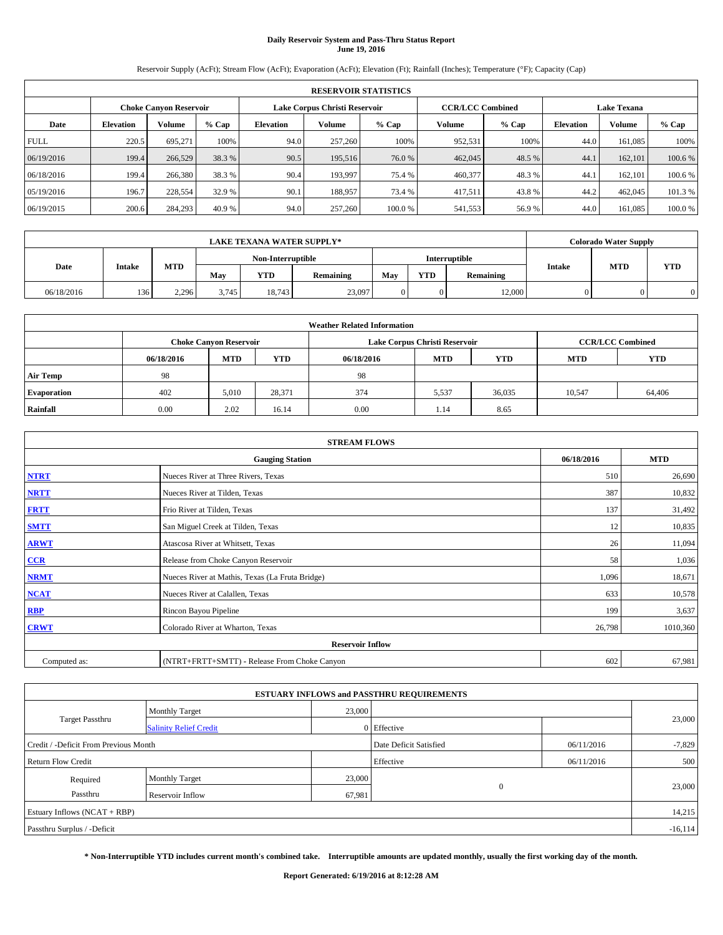# **Daily Reservoir System and Pass-Thru Status Report June 19, 2016**

Reservoir Supply (AcFt); Stream Flow (AcFt); Evaporation (AcFt); Elevation (Ft); Rainfall (Inches); Temperature (°F); Capacity (Cap)

|                                                                | <b>RESERVOIR STATISTICS</b> |         |         |                  |         |        |         |                                                                                                                                                                                |      |         |         |  |
|----------------------------------------------------------------|-----------------------------|---------|---------|------------------|---------|--------|---------|--------------------------------------------------------------------------------------------------------------------------------------------------------------------------------|------|---------|---------|--|
| Lake Corpus Christi Reservoir<br><b>Choke Canyon Reservoir</b> |                             |         |         |                  |         |        |         | <b>CCR/LCC Combined</b><br><b>Lake Texana</b><br>Volume<br>Volume<br>$%$ Cap<br><b>Elevation</b><br>952,531<br>100%<br>44.0<br>161,085<br>462,045<br>48.5 %<br>162,101<br>44.1 |      |         |         |  |
| Date                                                           | <b>Elevation</b>            | Volume  | $%$ Cap | <b>Elevation</b> | Volume  | % Cap  |         |                                                                                                                                                                                |      |         | % Cap   |  |
| <b>FULL</b>                                                    | 220.5                       | 695,271 | 100%    | 94.0             | 257,260 | 100%   |         |                                                                                                                                                                                |      |         | 100%    |  |
| 06/19/2016                                                     | 199.4                       | 266,529 | 38.3 %  | 90.5             | 195,516 | 76.0 % |         |                                                                                                                                                                                |      |         | 100.6 % |  |
| 06/18/2016                                                     | 199.4                       | 266,380 | 38.3 %  | 90.4             | 193.997 | 75.4 % | 460,377 | 48.3%                                                                                                                                                                          | 44.1 | 162,101 | 100.6 % |  |
| 05/19/2016                                                     | 196.7                       | 228,554 | 32.9 %  | 90.1             | 188,957 | 73.4 % | 417,511 | 43.8%                                                                                                                                                                          | 44.2 | 462,045 | 101.3 % |  |
| 06/19/2015                                                     | 200.6                       | 284,293 | 40.9 %  | 94.0             | 257,260 | 100.0% | 541,553 | 56.9%                                                                                                                                                                          | 44.0 | 161,085 | 100.0%  |  |

|            | <b>LAKE TEXANA WATER SUPPLY*</b> |            |       |                   |           |               |            |           |               | <b>Colorado Water Supply</b> |            |
|------------|----------------------------------|------------|-------|-------------------|-----------|---------------|------------|-----------|---------------|------------------------------|------------|
|            |                                  |            |       | Non-Interruptible |           | Interruptible |            |           |               |                              | <b>YTD</b> |
| Date       | Intake                           | <b>MTD</b> | May   | <b>YTD</b>        | Remaining | May           | <b>YTD</b> | Remaining | <b>Intake</b> | <b>MTD</b>                   |            |
| 06/18/2016 | 136                              | 2.296      | 3,745 | 18,743            | 23,097    |               |            | 12,000    |               |                              | 0          |

| <b>Weather Related Information</b> |            |                               |            |                                                      |                               |        |                         |        |  |  |  |
|------------------------------------|------------|-------------------------------|------------|------------------------------------------------------|-------------------------------|--------|-------------------------|--------|--|--|--|
|                                    |            | <b>Choke Canyon Reservoir</b> |            |                                                      | Lake Corpus Christi Reservoir |        | <b>CCR/LCC Combined</b> |        |  |  |  |
|                                    | 06/18/2016 | <b>MTD</b>                    | <b>YTD</b> | <b>MTD</b><br><b>YTD</b><br><b>MTD</b><br>06/18/2016 |                               |        |                         |        |  |  |  |
| <b>Air Temp</b>                    | 98         |                               |            | 98                                                   |                               |        |                         |        |  |  |  |
| <b>Evaporation</b>                 | 402        | 5,010                         | 28,371     | 374                                                  | 5,537                         | 36,035 | 10,547                  | 64,406 |  |  |  |
| Rainfall                           | 0.00       | 2.02                          | 16.14      | 0.00                                                 | 1.14                          | 8.65   |                         |        |  |  |  |

|                         | <b>STREAM FLOWS</b>                             |            |            |  |  |  |  |  |  |  |
|-------------------------|-------------------------------------------------|------------|------------|--|--|--|--|--|--|--|
|                         | <b>Gauging Station</b>                          | 06/18/2016 | <b>MTD</b> |  |  |  |  |  |  |  |
| <b>NTRT</b>             | Nueces River at Three Rivers, Texas             | 510        | 26,690     |  |  |  |  |  |  |  |
| <b>NRTT</b>             | Nueces River at Tilden, Texas                   | 387        | 10,832     |  |  |  |  |  |  |  |
| <b>FRTT</b>             | Frio River at Tilden, Texas                     | 137        | 31,492     |  |  |  |  |  |  |  |
| <b>SMTT</b>             | San Miguel Creek at Tilden, Texas               | 12         | 10,835     |  |  |  |  |  |  |  |
| <b>ARWT</b>             | Atascosa River at Whitsett, Texas               | 26         | 11,094     |  |  |  |  |  |  |  |
| $CCR$                   | Release from Choke Canyon Reservoir             | 58         | 1,036      |  |  |  |  |  |  |  |
| <b>NRMT</b>             | Nueces River at Mathis, Texas (La Fruta Bridge) | 1,096      | 18,671     |  |  |  |  |  |  |  |
| <b>NCAT</b>             | Nueces River at Calallen, Texas                 | 633        | 10,578     |  |  |  |  |  |  |  |
| RBP                     | Rincon Bayou Pipeline                           | 199        | 3,637      |  |  |  |  |  |  |  |
| <b>CRWT</b>             | Colorado River at Wharton, Texas                | 26,798     | 1010,360   |  |  |  |  |  |  |  |
| <b>Reservoir Inflow</b> |                                                 |            |            |  |  |  |  |  |  |  |
| Computed as:            | (NTRT+FRTT+SMTT) - Release From Choke Canyon    | 602        | 67,981     |  |  |  |  |  |  |  |

| <b>ESTUARY INFLOWS and PASSTHRU REQUIREMENTS</b> |                               |        |                        |            |          |  |  |  |  |  |
|--------------------------------------------------|-------------------------------|--------|------------------------|------------|----------|--|--|--|--|--|
|                                                  | <b>Monthly Target</b>         | 23,000 |                        |            |          |  |  |  |  |  |
| <b>Target Passthru</b>                           | <b>Salinity Relief Credit</b> |        | 0 Effective            |            | 23,000   |  |  |  |  |  |
| Credit / -Deficit From Previous Month            |                               |        | Date Deficit Satisfied | 06/11/2016 | $-7,829$ |  |  |  |  |  |
| <b>Return Flow Credit</b>                        |                               |        | Effective              | 06/11/2016 | 500      |  |  |  |  |  |
| Required                                         | <b>Monthly Target</b>         | 23,000 |                        |            |          |  |  |  |  |  |
| Passthru                                         | Reservoir Inflow              | 67,981 | $\Omega$               |            | 23,000   |  |  |  |  |  |
| Estuary Inflows $(NCAT + RBP)$                   |                               |        |                        |            |          |  |  |  |  |  |
| Passthru Surplus / -Deficit                      |                               |        |                        |            |          |  |  |  |  |  |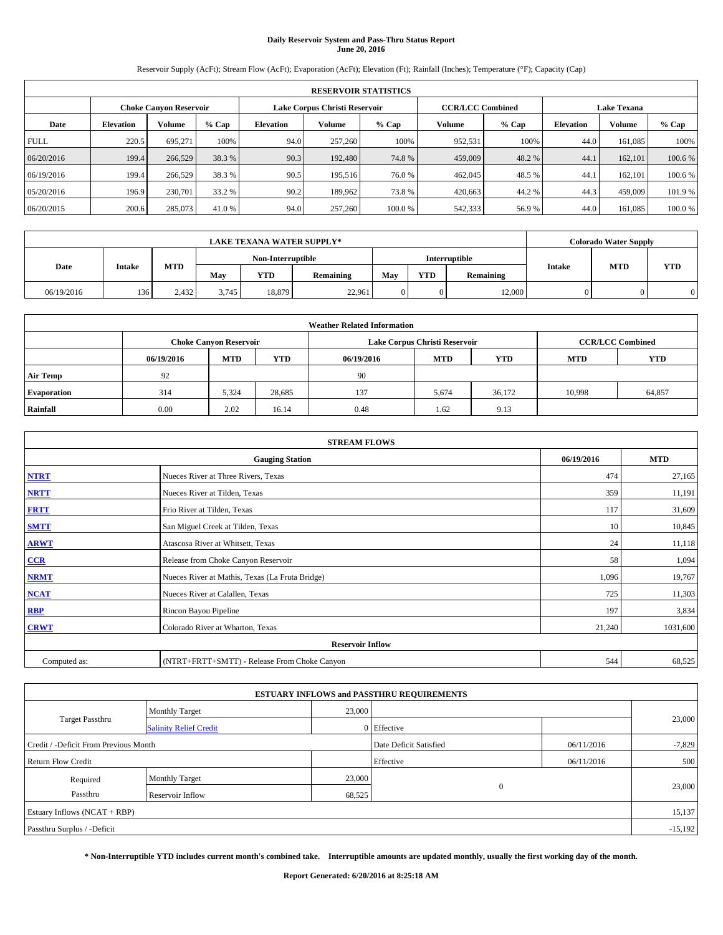# **Daily Reservoir System and Pass-Thru Status Report June 20, 2016**

Reservoir Supply (AcFt); Stream Flow (AcFt); Evaporation (AcFt); Elevation (Ft); Rainfall (Inches); Temperature (°F); Capacity (Cap)

|                                                                | <b>RESERVOIR STATISTICS</b> |         |         |                  |         |        |                         |         |                  |                    |         |  |
|----------------------------------------------------------------|-----------------------------|---------|---------|------------------|---------|--------|-------------------------|---------|------------------|--------------------|---------|--|
| Lake Corpus Christi Reservoir<br><b>Choke Canyon Reservoir</b> |                             |         |         |                  |         |        | <b>CCR/LCC Combined</b> |         |                  | <b>Lake Texana</b> |         |  |
| Date                                                           | <b>Elevation</b>            | Volume  | $%$ Cap | <b>Elevation</b> | Volume  | % Cap  | Volume                  | $%$ Cap | <b>Elevation</b> | Volume             | % Cap   |  |
| <b>FULL</b>                                                    | 220.5                       | 695.271 | 100%    | 94.0             | 257,260 | 100%   | 952,531                 | 100%    | 44.0             | 161,085            | 100%    |  |
| 06/20/2016                                                     | 199.4                       | 266,529 | 38.3 %  | 90.3             | 192,480 | 74.8%  | 459,009                 | 48.2 %  | 44.1             | 162,101            | 100.6 % |  |
| 06/19/2016                                                     | 199.4                       | 266,529 | 38.3 %  | 90.5             | 195,516 | 76.0 % | 462,045                 | 48.5%   | 44.1             | 162,101            | 100.6 % |  |
| 05/20/2016                                                     | 196.9                       | 230,701 | 33.2 %  | 90.2             | 189,962 | 73.8%  | 420,663                 | 44.2%   | 44.3             | 459,009            | 101.9%  |  |
| 06/20/2015                                                     | 200.6                       | 285,073 | 41.0 %  | 94.0             | 257,260 | 100.0% | 542,333                 | 56.9%   | 44.0             | 161,085            | 100.0%  |  |

|            | <b>LAKE TEXANA WATER SUPPLY*</b> |       |       |                   |           |     |            |               |               | <b>Colorado Water Supply</b> |            |
|------------|----------------------------------|-------|-------|-------------------|-----------|-----|------------|---------------|---------------|------------------------------|------------|
|            |                                  |       |       | Non-Interruptible |           |     |            | Interruptible |               | <b>MTD</b>                   |            |
| Date       | <b>Intake</b>                    | MTD   | Mav   | <b>YTD</b>        | Remaining | May | <b>YTD</b> | Remaining     | <b>Intake</b> |                              | <b>YTD</b> |
| 06/19/2016 | 136                              | 2.432 | 3.745 | 18.879            | 22,961    |     |            | 12,000        |               |                              |            |

|                    | <b>Weather Related Information</b> |                               |            |            |                               |                         |        |        |  |  |  |  |
|--------------------|------------------------------------|-------------------------------|------------|------------|-------------------------------|-------------------------|--------|--------|--|--|--|--|
|                    |                                    | <b>Choke Canyon Reservoir</b> |            |            | Lake Corpus Christi Reservoir | <b>CCR/LCC Combined</b> |        |        |  |  |  |  |
|                    | 06/19/2016                         | <b>MTD</b>                    | <b>MTD</b> | <b>YTD</b> |                               |                         |        |        |  |  |  |  |
| <b>Air Temp</b>    | 92                                 |                               |            | 90         |                               |                         |        |        |  |  |  |  |
| <b>Evaporation</b> | 314                                | 5,324                         | 28,685     | 137        | 5,674                         | 36.172                  | 10.998 | 64,857 |  |  |  |  |
| Rainfall           | 0.00                               | 2.02                          | 16.14      | 0.48       | 1.62                          | 9.13                    |        |        |  |  |  |  |

| <b>STREAM FLOWS</b> |                                                 |            |            |  |  |  |  |  |
|---------------------|-------------------------------------------------|------------|------------|--|--|--|--|--|
|                     | <b>Gauging Station</b>                          | 06/19/2016 | <b>MTD</b> |  |  |  |  |  |
| <b>NTRT</b>         | Nueces River at Three Rivers, Texas             | 474        | 27,165     |  |  |  |  |  |
| <b>NRTT</b>         | Nueces River at Tilden, Texas                   | 359        | 11,191     |  |  |  |  |  |
| <b>FRTT</b>         | Frio River at Tilden, Texas                     | 117        | 31,609     |  |  |  |  |  |
| <b>SMTT</b>         | San Miguel Creek at Tilden, Texas               | 10         | 10,845     |  |  |  |  |  |
| <b>ARWT</b>         | Atascosa River at Whitsett, Texas               | 24         | 11,118     |  |  |  |  |  |
| $CCR$               | Release from Choke Canyon Reservoir             | 58         | 1,094      |  |  |  |  |  |
| <b>NRMT</b>         | Nueces River at Mathis, Texas (La Fruta Bridge) | 1,096      | 19,767     |  |  |  |  |  |
| <b>NCAT</b>         | Nueces River at Calallen, Texas                 | 725        | 11,303     |  |  |  |  |  |
| RBP                 | Rincon Bayou Pipeline                           | 197        | 3,834      |  |  |  |  |  |
| <b>CRWT</b>         | Colorado River at Wharton, Texas                | 21,240     | 1031,600   |  |  |  |  |  |
|                     | <b>Reservoir Inflow</b>                         |            |            |  |  |  |  |  |
| Computed as:        | (NTRT+FRTT+SMTT) - Release From Choke Canyon    | 544        | 68,525     |  |  |  |  |  |

|                                       |                               |        | <b>ESTUARY INFLOWS and PASSTHRU REQUIREMENTS</b> |            |           |
|---------------------------------------|-------------------------------|--------|--------------------------------------------------|------------|-----------|
|                                       | <b>Monthly Target</b>         | 23,000 |                                                  |            |           |
| <b>Target Passthru</b>                | <b>Salinity Relief Credit</b> |        | 0 Effective                                      |            | 23,000    |
| Credit / -Deficit From Previous Month |                               |        | Date Deficit Satisfied                           | 06/11/2016 | $-7,829$  |
| <b>Return Flow Credit</b>             |                               |        | Effective                                        | 06/11/2016 | 500       |
| Required                              | <b>Monthly Target</b>         | 23,000 |                                                  |            |           |
| Passthru                              | Reservoir Inflow              | 68,525 | $\Omega$                                         |            | 23,000    |
| Estuary Inflows $(NCAT + RBP)$        |                               |        |                                                  |            | 15,137    |
| Passthru Surplus / -Deficit           |                               |        |                                                  |            | $-15,192$ |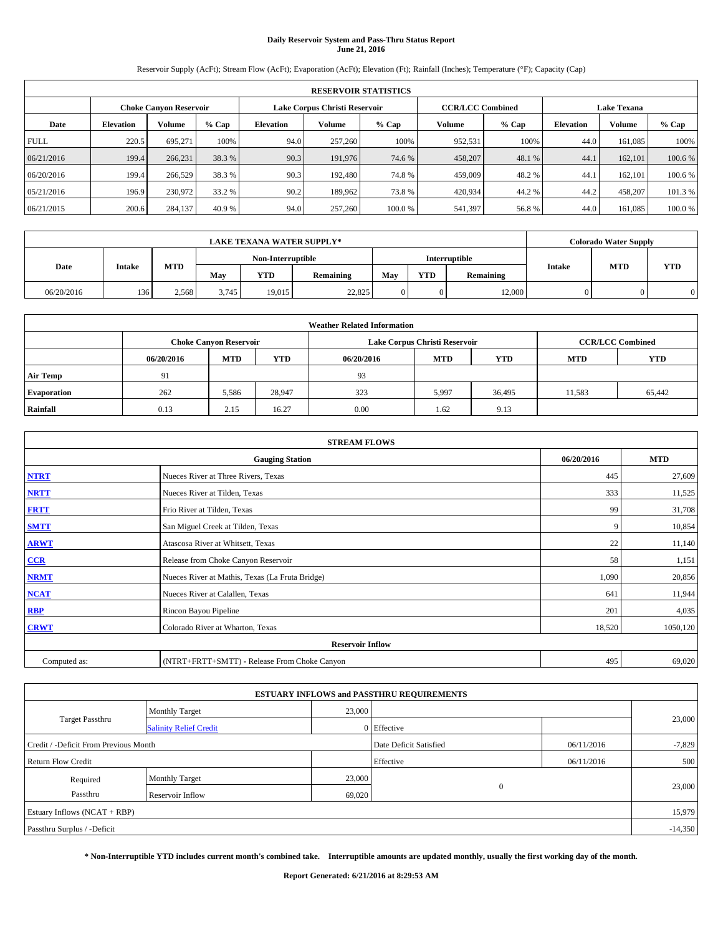# **Daily Reservoir System and Pass-Thru Status Report June 21, 2016**

Reservoir Supply (AcFt); Stream Flow (AcFt); Evaporation (AcFt); Elevation (Ft); Rainfall (Inches); Temperature (°F); Capacity (Cap)

|             | <b>RESERVOIR STATISTICS</b>                             |         |         |           |         |        |                         |         |                    |               |         |  |  |
|-------------|---------------------------------------------------------|---------|---------|-----------|---------|--------|-------------------------|---------|--------------------|---------------|---------|--|--|
|             | Lake Corpus Christi Reservoir<br>Choke Canvon Reservoir |         |         |           |         |        | <b>CCR/LCC Combined</b> |         | <b>Lake Texana</b> |               |         |  |  |
| Date        | <b>Elevation</b>                                        | Volume  | $%$ Cap | Elevation | Volume  | % Cap  | Volume                  | $%$ Cap | <b>Elevation</b>   | <b>Volume</b> | % Cap   |  |  |
| <b>FULL</b> | 220.5                                                   | 695,271 | 100%    | 94.0      | 257,260 | 100%   | 952,531                 | 100%    | 44.0               | 161.085       | 100%    |  |  |
| 06/21/2016  | 199.4                                                   | 266,231 | 38.3 %  | 90.3      | 191,976 | 74.6 % | 458,207                 | 48.1 %  | 44.1               | 162,101       | 100.6%  |  |  |
| 06/20/2016  | 199.4                                                   | 266,529 | 38.3 %  | 90.3      | 192,480 | 74.8%  | 459,009                 | 48.2 %  | 44.1               | 162,101       | 100.6%  |  |  |
| 05/21/2016  | 196.9                                                   | 230,972 | 33.2 %  | 90.2      | 189.962 | 73.8%  | 420,934                 | 44.2%   | 44.2               | 458,207       | 101.3 % |  |  |
| 06/21/2015  | 200.6                                                   | 284,137 | 40.9 %  | 94.0      | 257,260 | 100.0% | 541,397                 | 56.8%   | 44.0               | 161,085       | 100.0%  |  |  |

|            |               |       |       | <b>LAKE TEXANA WATER SUPPLY*</b> |           |     |            |               |               | <b>Colorado Water Supply</b> |            |
|------------|---------------|-------|-------|----------------------------------|-----------|-----|------------|---------------|---------------|------------------------------|------------|
|            |               |       |       | Non-Interruptible                |           |     |            | Interruptible |               | <b>MTD</b>                   |            |
| Date       | <b>Intake</b> | MTD   | Mav   | <b>YTD</b>                       | Remaining | May | <b>YTD</b> | Remaining     | <b>Intake</b> |                              | <b>YTD</b> |
| 06/20/2016 | 136           | 2.568 | 3.745 | 19.015                           | 22,825    |     |            | 12,000        |               |                              |            |

|                    | <b>Weather Related Information</b> |                                                                                  |        |      |                               |                         |        |        |  |  |  |  |
|--------------------|------------------------------------|----------------------------------------------------------------------------------|--------|------|-------------------------------|-------------------------|--------|--------|--|--|--|--|
|                    |                                    | <b>Choke Canyon Reservoir</b>                                                    |        |      | Lake Corpus Christi Reservoir | <b>CCR/LCC Combined</b> |        |        |  |  |  |  |
|                    | 06/20/2016                         | <b>YTD</b><br><b>MTD</b><br><b>MTD</b><br><b>YTD</b><br><b>MTD</b><br>06/20/2016 |        |      |                               |                         |        |        |  |  |  |  |
| <b>Air Temp</b>    | 91                                 |                                                                                  |        | 93   |                               |                         |        |        |  |  |  |  |
| <b>Evaporation</b> | 262                                | 5,586                                                                            | 28,947 | 323  | 5,997                         | 36,495                  | 11,583 | 65,442 |  |  |  |  |
| Rainfall           | 0.13                               | 2.15                                                                             | 16.27  | 0.00 | 1.62                          | 9.13                    |        |        |  |  |  |  |

| <b>STREAM FLOWS</b> |                                                 |            |            |  |  |  |  |  |
|---------------------|-------------------------------------------------|------------|------------|--|--|--|--|--|
|                     | <b>Gauging Station</b>                          | 06/20/2016 | <b>MTD</b> |  |  |  |  |  |
| <b>NTRT</b>         | Nueces River at Three Rivers, Texas             | 445        | 27,609     |  |  |  |  |  |
| <b>NRTT</b>         | Nueces River at Tilden, Texas                   | 333        | 11,525     |  |  |  |  |  |
| <b>FRTT</b>         | Frio River at Tilden, Texas                     | 99         | 31,708     |  |  |  |  |  |
| <b>SMTT</b>         | San Miguel Creek at Tilden, Texas               | 9          | 10,854     |  |  |  |  |  |
| <b>ARWT</b>         | Atascosa River at Whitsett, Texas               | 22         | 11,140     |  |  |  |  |  |
| $CCR$               | Release from Choke Canyon Reservoir             | 58         | 1,151      |  |  |  |  |  |
| <b>NRMT</b>         | Nueces River at Mathis, Texas (La Fruta Bridge) | 1,090      | 20,856     |  |  |  |  |  |
| <b>NCAT</b>         | Nueces River at Calallen, Texas                 | 641        | 11,944     |  |  |  |  |  |
| RBP                 | Rincon Bayou Pipeline                           | 201        | 4,035      |  |  |  |  |  |
| <b>CRWT</b>         | Colorado River at Wharton, Texas                | 18,520     | 1050,120   |  |  |  |  |  |
|                     | <b>Reservoir Inflow</b>                         |            |            |  |  |  |  |  |
| Computed as:        | (NTRT+FRTT+SMTT) - Release From Choke Canyon    | 495        | 69,020     |  |  |  |  |  |

|                                       |                               |        | <b>ESTUARY INFLOWS and PASSTHRU REQUIREMENTS</b> |            |           |  |
|---------------------------------------|-------------------------------|--------|--------------------------------------------------|------------|-----------|--|
|                                       | <b>Monthly Target</b>         | 23,000 |                                                  |            |           |  |
| <b>Target Passthru</b>                | <b>Salinity Relief Credit</b> |        | 0 Effective                                      |            | 23,000    |  |
| Credit / -Deficit From Previous Month |                               |        | Date Deficit Satisfied                           | 06/11/2016 | $-7,829$  |  |
| <b>Return Flow Credit</b>             |                               |        | Effective                                        | 06/11/2016 | 500       |  |
| Required                              | <b>Monthly Target</b>         | 23,000 |                                                  |            |           |  |
| Passthru                              | Reservoir Inflow              | 69,020 | $\Omega$                                         |            | 23,000    |  |
| Estuary Inflows $(NCAT + RBP)$        |                               |        |                                                  |            | 15,979    |  |
| Passthru Surplus / -Deficit           |                               |        |                                                  |            | $-14,350$ |  |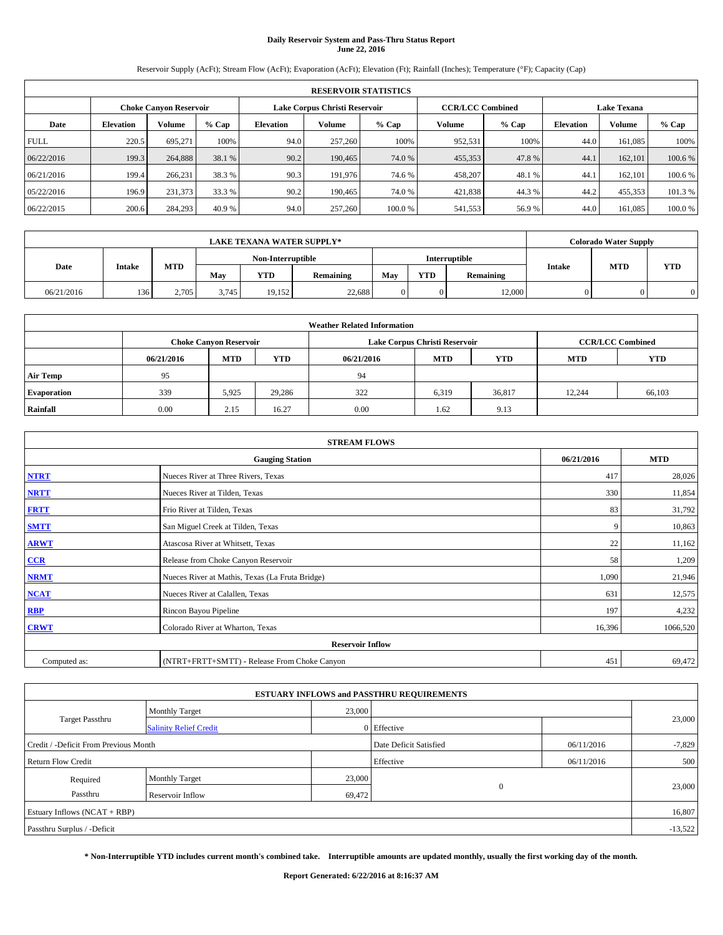# **Daily Reservoir System and Pass-Thru Status Report June 22, 2016**

Reservoir Supply (AcFt); Stream Flow (AcFt); Evaporation (AcFt); Elevation (Ft); Rainfall (Inches); Temperature (°F); Capacity (Cap)

|             | <b>RESERVOIR STATISTICS</b> |                               |         |                  |                               |        |                         |         |                    |         |         |  |  |
|-------------|-----------------------------|-------------------------------|---------|------------------|-------------------------------|--------|-------------------------|---------|--------------------|---------|---------|--|--|
|             |                             | <b>Choke Canyon Reservoir</b> |         |                  | Lake Corpus Christi Reservoir |        | <b>CCR/LCC Combined</b> |         | <b>Lake Texana</b> |         |         |  |  |
| Date        | <b>Elevation</b>            | Volume                        | $%$ Cap | <b>Elevation</b> | Volume                        | % Cap  | Volume                  | $%$ Cap | <b>Elevation</b>   | Volume  | % Cap   |  |  |
| <b>FULL</b> | 220.5                       | 695,271                       | 100%    | 94.0             | 257,260                       | 100%   | 952,531                 | 100%    | 44.0               | 161,085 | 100%    |  |  |
| 06/22/2016  | 199.3                       | 264,888                       | 38.1 %  | 90.2             | 190,465                       | 74.0 % | 455,353                 | 47.8%   | 44.1               | 162,101 | 100.6 % |  |  |
| 06/21/2016  | 199.4                       | 266,231                       | 38.3 %  | 90.3             | 191,976                       | 74.6 % | 458,207                 | 48.1%   | 44.1               | 162,101 | 100.6 % |  |  |
| 05/22/2016  | 196.9                       | 231,373                       | 33.3 %  | 90.2             | 190.465                       | 74.0 % | 421,838                 | 44.3%   | 44.2               | 455,353 | 101.3 % |  |  |
| 06/22/2015  | 200.6                       | 284,293                       | 40.9 %  | 94.0             | 257,260                       | 100.0% | 541,553                 | 56.9%   | 44.0               | 161,085 | 100.0%  |  |  |

|            | <b>LAKE TEXANA WATER SUPPLY*</b> |            |       |                   |           |     |            |               |               | <b>Colorado Water Supply</b> |            |
|------------|----------------------------------|------------|-------|-------------------|-----------|-----|------------|---------------|---------------|------------------------------|------------|
|            |                                  |            |       | Non-Interruptible |           |     |            | Interruptible |               | <b>MTD</b>                   |            |
| Date       | <b>Intake</b>                    | <b>MTD</b> | May   | <b>YTD</b>        | Remaining | May | <b>YTD</b> | Remaining     | <b>Intake</b> |                              | <b>YTD</b> |
| 06/21/2016 | 136                              | 2,705      | 3,745 | 19.152            | 22,688    | 0   |            | 12,000        |               |                              | 0          |

|                    | <b>Weather Related Information</b> |                               |            |            |                               |                         |        |        |  |  |  |  |
|--------------------|------------------------------------|-------------------------------|------------|------------|-------------------------------|-------------------------|--------|--------|--|--|--|--|
|                    |                                    | <b>Choke Canyon Reservoir</b> |            |            | Lake Corpus Christi Reservoir | <b>CCR/LCC Combined</b> |        |        |  |  |  |  |
|                    | 06/21/2016                         | <b>MTD</b>                    | <b>YTD</b> | <b>MTD</b> | <b>YTD</b>                    |                         |        |        |  |  |  |  |
| <b>Air Temp</b>    | 95                                 |                               |            | 94         |                               |                         |        |        |  |  |  |  |
| <b>Evaporation</b> | 339                                | 5,925                         | 29,286     | 322        | 6,319                         | 36,817                  | 12.244 | 66,103 |  |  |  |  |
| Rainfall           | 0.00                               | 2.15                          | 16.27      | 0.00       | 1.62                          | 9.13                    |        |        |  |  |  |  |

| <b>STREAM FLOWS</b> |                                                 |        |          |  |  |  |  |  |  |
|---------------------|-------------------------------------------------|--------|----------|--|--|--|--|--|--|
|                     | <b>Gauging Station</b>                          |        |          |  |  |  |  |  |  |
| <b>NTRT</b>         | Nueces River at Three Rivers, Texas             | 417    | 28,026   |  |  |  |  |  |  |
| <b>NRTT</b>         | Nueces River at Tilden, Texas                   | 330    | 11,854   |  |  |  |  |  |  |
| <b>FRTT</b>         | Frio River at Tilden, Texas                     | 83     | 31,792   |  |  |  |  |  |  |
| <b>SMTT</b>         | San Miguel Creek at Tilden, Texas               | 9      | 10,863   |  |  |  |  |  |  |
| <b>ARWT</b>         | Atascosa River at Whitsett, Texas               | 22     | 11,162   |  |  |  |  |  |  |
| $CCR$               | Release from Choke Canyon Reservoir             | 58     | 1,209    |  |  |  |  |  |  |
| <b>NRMT</b>         | Nueces River at Mathis, Texas (La Fruta Bridge) | 1,090  | 21,946   |  |  |  |  |  |  |
| <b>NCAT</b>         | Nueces River at Calallen, Texas                 | 631    | 12,575   |  |  |  |  |  |  |
| RBP                 | Rincon Bayou Pipeline                           | 197    | 4,232    |  |  |  |  |  |  |
| <b>CRWT</b>         | Colorado River at Wharton, Texas                | 16,396 | 1066,520 |  |  |  |  |  |  |
|                     | <b>Reservoir Inflow</b>                         |        |          |  |  |  |  |  |  |
| Computed as:        | (NTRT+FRTT+SMTT) - Release From Choke Canyon    | 451    | 69,472   |  |  |  |  |  |  |

|                                       |                               |        | <b>ESTUARY INFLOWS and PASSTHRU REQUIREMENTS</b> |            |           |  |
|---------------------------------------|-------------------------------|--------|--------------------------------------------------|------------|-----------|--|
|                                       | <b>Monthly Target</b>         | 23,000 |                                                  |            |           |  |
| <b>Target Passthru</b>                | <b>Salinity Relief Credit</b> |        | 0 Effective                                      |            | 23,000    |  |
| Credit / -Deficit From Previous Month |                               |        | Date Deficit Satisfied                           | 06/11/2016 | $-7,829$  |  |
| <b>Return Flow Credit</b>             |                               |        | Effective                                        | 06/11/2016 | 500       |  |
| Required                              | <b>Monthly Target</b>         | 23,000 |                                                  |            |           |  |
| Passthru                              | Reservoir Inflow              | 69,472 | $\Omega$                                         |            | 23,000    |  |
| Estuary Inflows $(NCAT + RBP)$        |                               |        |                                                  |            | 16,807    |  |
| Passthru Surplus / -Deficit           |                               |        |                                                  |            | $-13,522$ |  |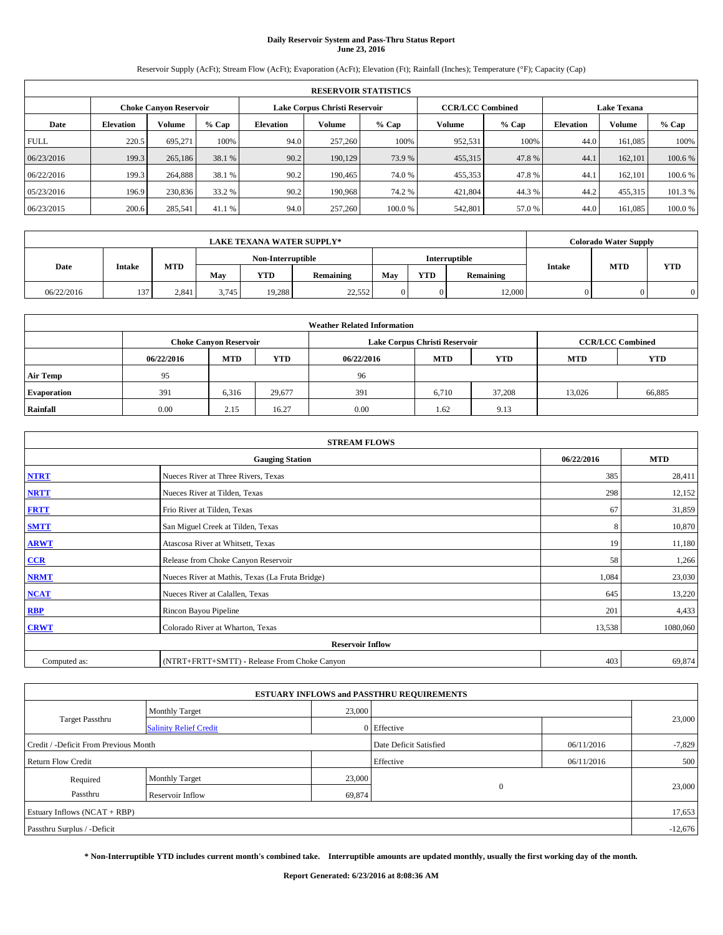# **Daily Reservoir System and Pass-Thru Status Report June 23, 2016**

Reservoir Supply (AcFt); Stream Flow (AcFt); Evaporation (AcFt); Elevation (Ft); Rainfall (Inches); Temperature (°F); Capacity (Cap)

|             | <b>RESERVOIR STATISTICS</b> |                               |         |                  |                               |        |                         |         |                  |                    |         |  |
|-------------|-----------------------------|-------------------------------|---------|------------------|-------------------------------|--------|-------------------------|---------|------------------|--------------------|---------|--|
|             |                             | <b>Choke Canyon Reservoir</b> |         |                  | Lake Corpus Christi Reservoir |        | <b>CCR/LCC Combined</b> |         |                  | <b>Lake Texana</b> |         |  |
| Date        | <b>Elevation</b>            | Volume                        | $%$ Cap | <b>Elevation</b> | Volume                        | % Cap  | Volume                  | $%$ Cap | <b>Elevation</b> | Volume             | % Cap   |  |
| <b>FULL</b> | 220.5                       | 695,271                       | 100%    | 94.0             | 257,260                       | 100%   | 952,531                 | 100%    | 44.0             | 161,085            | 100%    |  |
| 06/23/2016  | 199.3                       | 265,186                       | 38.1 %  | 90.2             | 190,129                       | 73.9 % | 455,315                 | 47.8%   | 44.1             | 162,101            | 100.6 % |  |
| 06/22/2016  | 199.3                       | 264,888                       | 38.1 %  | 90.2             | 190,465                       | 74.0 % | 455,353                 | 47.8%   | 44.1             | 162,101            | 100.6 % |  |
| 05/23/2016  | 196.9                       | 230,836                       | 33.2 %  | 90.2             | 190,968                       | 74.2 % | 421,804                 | 44.3%   | 44.2             | 455,315            | 101.3 % |  |
| 06/23/2015  | 200.6                       | 285,541                       | 41.1 %  | 94.0             | 257,260                       | 100.0% | 542,801                 | 57.0 %  | 44.0             | 161,085            | 100.0%  |  |

|            |               |       |       | <b>LAKE TEXANA WATER SUPPLY*</b> |        |            |           |               |            | <b>Colorado Water Supply</b> |               |            |            |
|------------|---------------|-------|-------|----------------------------------|--------|------------|-----------|---------------|------------|------------------------------|---------------|------------|------------|
|            |               |       |       | Non-Interruptible                |        |            |           | Interruptible |            |                              |               |            |            |
| Date       | <b>Intake</b> |       |       | MTD                              | Mav    | <b>YTD</b> | Remaining | May           | <b>YTD</b> | Remaining                    | <b>Intake</b> | <b>MTD</b> | <b>YTD</b> |
| 06/22/2016 | 137           | 2.841 | 3.745 | 19.288                           | 22,552 |            |           | 12,000        |            |                              |               |            |            |

| <b>Weather Related Information</b> |            |                               |            |            |                               |                         |            |            |  |  |  |
|------------------------------------|------------|-------------------------------|------------|------------|-------------------------------|-------------------------|------------|------------|--|--|--|
|                                    |            | <b>Choke Canyon Reservoir</b> |            |            | Lake Corpus Christi Reservoir | <b>CCR/LCC Combined</b> |            |            |  |  |  |
|                                    | 06/22/2016 | <b>MTD</b>                    | <b>YTD</b> | 06/22/2016 | <b>MTD</b>                    | <b>YTD</b>              | <b>MTD</b> | <b>YTD</b> |  |  |  |
| <b>Air Temp</b>                    | 95         |                               |            | 96         |                               |                         |            |            |  |  |  |
| <b>Evaporation</b>                 | 391        | 6,316                         | 29,677     | 391        | 6,710                         | 37,208                  | 13.026     | 66,885     |  |  |  |
| Rainfall                           | 0.00       | 2.15                          | 16.27      | 0.00       | 1.62                          | 9.13                    |            |            |  |  |  |

|              | <b>STREAM FLOWS</b>                             |            |            |  |  |  |  |  |  |
|--------------|-------------------------------------------------|------------|------------|--|--|--|--|--|--|
|              | <b>Gauging Station</b>                          | 06/22/2016 | <b>MTD</b> |  |  |  |  |  |  |
| <b>NTRT</b>  | Nueces River at Three Rivers, Texas             | 385        | 28,411     |  |  |  |  |  |  |
| <b>NRTT</b>  | Nueces River at Tilden, Texas                   | 298        | 12,152     |  |  |  |  |  |  |
| <b>FRTT</b>  | Frio River at Tilden, Texas                     | 67         | 31,859     |  |  |  |  |  |  |
| <b>SMTT</b>  | San Miguel Creek at Tilden, Texas               | 8          | 10,870     |  |  |  |  |  |  |
| <b>ARWT</b>  | Atascosa River at Whitsett, Texas               | 19         | 11,180     |  |  |  |  |  |  |
| $CCR$        | Release from Choke Canyon Reservoir             | 58         | 1,266      |  |  |  |  |  |  |
| <b>NRMT</b>  | Nueces River at Mathis, Texas (La Fruta Bridge) | 1,084      | 23,030     |  |  |  |  |  |  |
| <b>NCAT</b>  | Nueces River at Calallen, Texas                 | 645        | 13,220     |  |  |  |  |  |  |
| RBP          | Rincon Bayou Pipeline                           | 201        | 4,433      |  |  |  |  |  |  |
| <b>CRWT</b>  | Colorado River at Wharton, Texas                | 13,538     | 1080,060   |  |  |  |  |  |  |
|              | <b>Reservoir Inflow</b>                         |            |            |  |  |  |  |  |  |
| Computed as: | (NTRT+FRTT+SMTT) - Release From Choke Canyon    | 403        | 69,874     |  |  |  |  |  |  |

|                                       |                               |        | <b>ESTUARY INFLOWS and PASSTHRU REQUIREMENTS</b> |            |           |
|---------------------------------------|-------------------------------|--------|--------------------------------------------------|------------|-----------|
|                                       | <b>Monthly Target</b>         | 23,000 |                                                  |            |           |
| <b>Target Passthru</b>                | <b>Salinity Relief Credit</b> |        | 0 Effective                                      |            | 23,000    |
| Credit / -Deficit From Previous Month |                               |        | Date Deficit Satisfied                           | 06/11/2016 | $-7,829$  |
| <b>Return Flow Credit</b>             |                               |        | Effective                                        | 06/11/2016 | 500       |
| Required                              | <b>Monthly Target</b>         | 23,000 |                                                  |            |           |
| Passthru                              | Reservoir Inflow              | 69,874 | $\Omega$                                         |            | 23,000    |
| Estuary Inflows $(NCAT + RBP)$        |                               |        |                                                  |            | 17,653    |
| Passthru Surplus / -Deficit           |                               |        |                                                  |            | $-12,676$ |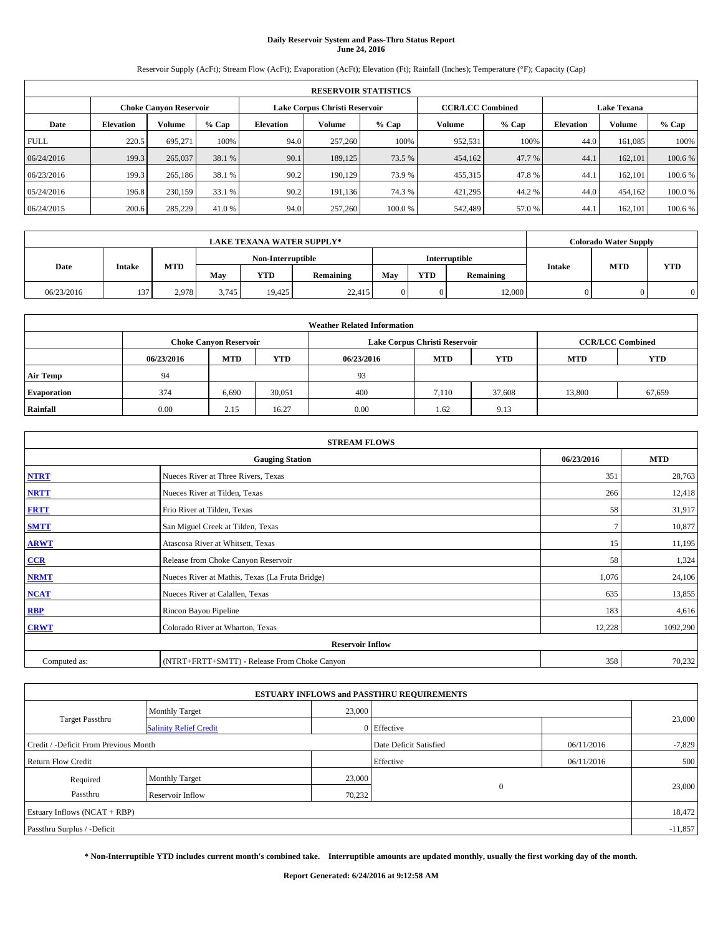# **Daily Reservoir System and Pass-Thru Status Report June 24, 2016**

Reservoir Supply (AcFt); Stream Flow (AcFt); Evaporation (AcFt); Elevation (Ft); Rainfall (Inches); Temperature (°F); Capacity (Cap)

|             | <b>RESERVOIR STATISTICS</b> |                               |         |           |                               |        |                         |         |                  |                    |         |  |
|-------------|-----------------------------|-------------------------------|---------|-----------|-------------------------------|--------|-------------------------|---------|------------------|--------------------|---------|--|
|             |                             | <b>Choke Canyon Reservoir</b> |         |           | Lake Corpus Christi Reservoir |        | <b>CCR/LCC Combined</b> |         |                  | <b>Lake Texana</b> |         |  |
| Date        | <b>Elevation</b>            | Volume                        | $%$ Cap | Elevation | Volume                        | % Cap  | Volume                  | $%$ Cap | <b>Elevation</b> | <b>Volume</b>      | % Cap   |  |
| <b>FULL</b> | 220.5                       | 695,271                       | 100%    | 94.0      | 257,260                       | 100%   | 952,531                 | 100%    | 44.0             | 161.085            | 100%    |  |
| 06/24/2016  | 199.3                       | 265,037                       | 38.1 %  | 90.1      | 189,125                       | 73.5 % | 454,162                 | 47.7 %  | 44.1             | 162,101            | 100.6%  |  |
| 06/23/2016  | 199.3                       | 265,186                       | 38.1 %  | 90.2      | 190.129                       | 73.9 % | 455,315                 | 47.8%   | 44.1             | 162,101            | 100.6%  |  |
| 05/24/2016  | 196.8                       | 230,159                       | 33.1 %  | 90.2      | 191,136                       | 74.3 % | 421,295                 | 44.2%   | 44.0             | 454,162            | 100.0%  |  |
| 06/24/2015  | 200.6                       | 285,229                       | 41.0 %  | 94.0      | 257,260                       | 100.0% | 542,489                 | 57.0 %  | 44.              | 162,101            | 100.6 % |  |

|            |               |       |       | <b>LAKE TEXANA WATER SUPPLY*</b> |        |            |           |               |            | <b>Colorado Water Supply</b> |               |            |            |
|------------|---------------|-------|-------|----------------------------------|--------|------------|-----------|---------------|------------|------------------------------|---------------|------------|------------|
|            |               |       |       | Non-Interruptible                |        |            |           | Interruptible |            |                              |               |            |            |
| Date       | <b>Intake</b> |       |       | MTD                              | Mav    | <b>YTD</b> | Remaining | May           | <b>YTD</b> | Remaining                    | <b>Intake</b> | <b>MTD</b> | <b>YTD</b> |
| 06/23/2016 | 137           | 2.978 | 3.745 | 19.425                           | 22,415 |            |           | 12,000        |            |                              |               |            |            |

| <b>Weather Related Information</b> |            |                               |            |            |                               |                         |            |            |  |  |  |
|------------------------------------|------------|-------------------------------|------------|------------|-------------------------------|-------------------------|------------|------------|--|--|--|
|                                    |            | <b>Choke Canyon Reservoir</b> |            |            | Lake Corpus Christi Reservoir | <b>CCR/LCC Combined</b> |            |            |  |  |  |
|                                    | 06/23/2016 | <b>MTD</b>                    | <b>YTD</b> | 06/23/2016 | <b>MTD</b>                    | <b>YTD</b>              | <b>MTD</b> | <b>YTD</b> |  |  |  |
| <b>Air Temp</b>                    | 94         |                               |            | 93         |                               |                         |            |            |  |  |  |
| <b>Evaporation</b>                 | 374        | 6,690                         | 30,051     | 400        | 7.110                         | 37.608                  | 13,800     | 67,659     |  |  |  |
| Rainfall                           | 0.00       | 2.15                          | 16.27      | 0.00       | 1.62                          | 9.13                    |            |            |  |  |  |

| <b>STREAM FLOWS</b> |                                                 |            |            |  |  |  |  |  |  |
|---------------------|-------------------------------------------------|------------|------------|--|--|--|--|--|--|
|                     | <b>Gauging Station</b>                          | 06/23/2016 | <b>MTD</b> |  |  |  |  |  |  |
| <b>NTRT</b>         | Nueces River at Three Rivers, Texas             | 351        | 28,763     |  |  |  |  |  |  |
| <b>NRTT</b>         | Nueces River at Tilden, Texas                   | 266        | 12,418     |  |  |  |  |  |  |
| <b>FRTT</b>         | Frio River at Tilden, Texas                     | 58         | 31,917     |  |  |  |  |  |  |
| <b>SMTT</b>         | San Miguel Creek at Tilden, Texas               |            | 10,877     |  |  |  |  |  |  |
| <b>ARWT</b>         | Atascosa River at Whitsett, Texas               | 15         | 11,195     |  |  |  |  |  |  |
| $CCR$               | Release from Choke Canyon Reservoir             | 58         | 1,324      |  |  |  |  |  |  |
| <b>NRMT</b>         | Nueces River at Mathis, Texas (La Fruta Bridge) | 1,076      | 24,106     |  |  |  |  |  |  |
| <b>NCAT</b>         | Nueces River at Calallen, Texas                 | 635        | 13,855     |  |  |  |  |  |  |
| RBP                 | Rincon Bayou Pipeline                           | 183        | 4,616      |  |  |  |  |  |  |
| <b>CRWT</b>         | Colorado River at Wharton, Texas                | 12,228     | 1092,290   |  |  |  |  |  |  |
|                     | <b>Reservoir Inflow</b>                         |            |            |  |  |  |  |  |  |
| Computed as:        | (NTRT+FRTT+SMTT) - Release From Choke Canyon    | 358        | 70,232     |  |  |  |  |  |  |

|                                       |                               |        | <b>ESTUARY INFLOWS and PASSTHRU REQUIREMENTS</b> |            |           |  |  |
|---------------------------------------|-------------------------------|--------|--------------------------------------------------|------------|-----------|--|--|
|                                       | <b>Monthly Target</b>         | 23,000 |                                                  |            |           |  |  |
| <b>Target Passthru</b>                | <b>Salinity Relief Credit</b> |        | 0 Effective                                      |            | 23,000    |  |  |
| Credit / -Deficit From Previous Month |                               |        | Date Deficit Satisfied                           | 06/11/2016 | $-7,829$  |  |  |
| <b>Return Flow Credit</b>             |                               |        | Effective                                        | 06/11/2016 | 500       |  |  |
| Required                              | <b>Monthly Target</b>         | 23,000 |                                                  |            |           |  |  |
| Passthru                              | Reservoir Inflow              | 70,232 | $\Omega$                                         |            | 23,000    |  |  |
| Estuary Inflows $(NCAT + RBP)$        |                               |        |                                                  |            |           |  |  |
| Passthru Surplus / -Deficit           |                               |        |                                                  |            | $-11,857$ |  |  |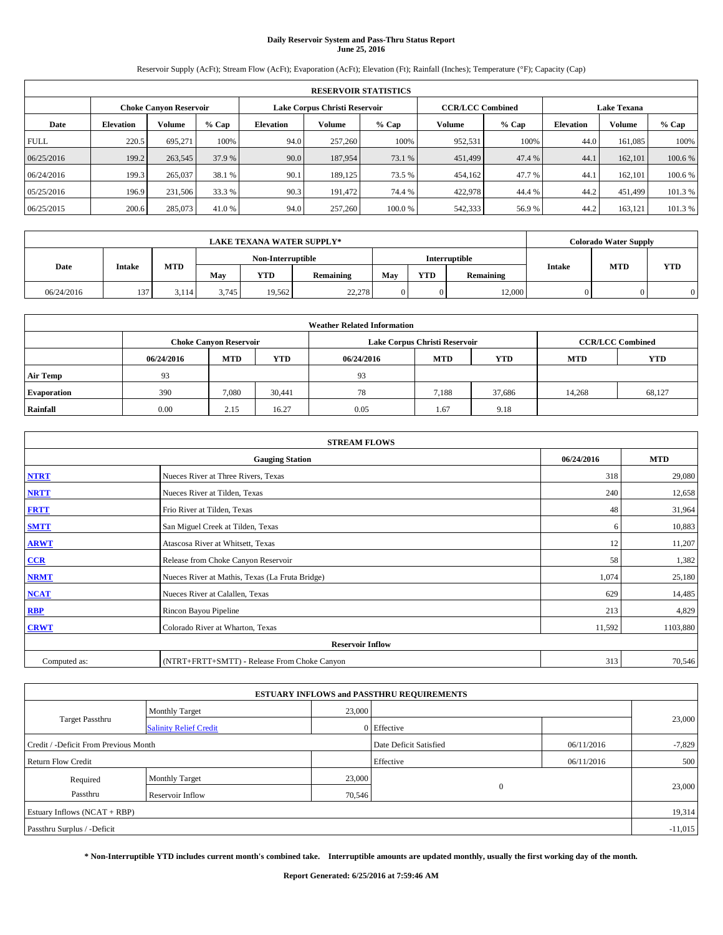# **Daily Reservoir System and Pass-Thru Status Report June 25, 2016**

Reservoir Supply (AcFt); Stream Flow (AcFt); Evaporation (AcFt); Elevation (Ft); Rainfall (Inches); Temperature (°F); Capacity (Cap)

|             | <b>RESERVOIR STATISTICS</b> |                               |         |                  |                                                          |        |         |         |                  |         |                    |  |  |
|-------------|-----------------------------|-------------------------------|---------|------------------|----------------------------------------------------------|--------|---------|---------|------------------|---------|--------------------|--|--|
|             |                             | <b>Choke Canyon Reservoir</b> |         |                  | Lake Corpus Christi Reservoir<br><b>CCR/LCC Combined</b> |        |         |         |                  |         | <b>Lake Texana</b> |  |  |
| Date        | <b>Elevation</b>            | Volume                        | $%$ Cap | <b>Elevation</b> | Volume                                                   | % Cap  | Volume  | $%$ Cap | <b>Elevation</b> | Volume  | % Cap              |  |  |
| <b>FULL</b> | 220.5                       | 695,271                       | 100%    | 94.0             | 257,260                                                  | 100%   | 952,531 | 100%    | 44.0             | 161,085 | 100%               |  |  |
| 06/25/2016  | 199.2                       | 263,545                       | 37.9 %  | 90.0             | 187,954                                                  | 73.1 % | 451,499 | 47.4 %  | 44.1             | 162,101 | 100.6 %            |  |  |
| 06/24/2016  | 199.3                       | 265,037                       | 38.1 %  | 90.1             | 189.125                                                  | 73.5 % | 454,162 | 47.7 %  | 44.1             | 162,101 | 100.6 %            |  |  |
| 05/25/2016  | 196.9                       | 231,506                       | 33.3 %  | 90.3             | 191,472                                                  | 74.4 % | 422,978 | 44.4 %  | 44.2             | 451.499 | 101.3 %            |  |  |
| 06/25/2015  | 200.6                       | 285,073                       | 41.0 %  | 94.0             | 257,260                                                  | 100.0% | 542,333 | 56.9%   | 44.2             | 163,121 | 101.3%             |  |  |

|            | <b>LAKE TEXANA WATER SUPPLY*</b> |       |       |                         |        |  |            |               |               |            | <b>Colorado Water Supply</b> |  |  |
|------------|----------------------------------|-------|-------|-------------------------|--------|--|------------|---------------|---------------|------------|------------------------------|--|--|
|            |                                  |       |       | Non-Interruptible       |        |  |            | Interruptible |               |            |                              |  |  |
| Date       | <b>Intake</b>                    | MTD   | Mav   | <b>YTD</b><br>Remaining |        |  | <b>YTD</b> | Remaining     | <b>Intake</b> | <b>MTD</b> | <b>YTD</b>                   |  |  |
| 06/24/2016 | 137                              | 3.114 | 3.745 | 19.562                  | 22,278 |  |            | 12,000        |               |            |                              |  |  |

| <b>Weather Related Information</b> |            |                               |            |            |                                                      |                         |        |        |  |  |
|------------------------------------|------------|-------------------------------|------------|------------|------------------------------------------------------|-------------------------|--------|--------|--|--|
|                                    |            | <b>Choke Canyon Reservoir</b> |            |            | Lake Corpus Christi Reservoir                        | <b>CCR/LCC Combined</b> |        |        |  |  |
|                                    | 06/24/2016 | <b>MTD</b>                    | <b>YTD</b> | 06/24/2016 | <b>YTD</b><br><b>MTD</b><br><b>YTD</b><br><b>MTD</b> |                         |        |        |  |  |
| <b>Air Temp</b>                    | 93         |                               |            | 93         |                                                      |                         |        |        |  |  |
| <b>Evaporation</b>                 | 390        | 7,080                         | 30,441     | 78         | 7,188                                                | 37.686                  | 14,268 | 68,127 |  |  |
| Rainfall                           | 0.00       | 2.15                          | 16.27      | 0.05       | 1.67                                                 | 9.18                    |        |        |  |  |

|              | <b>STREAM FLOWS</b>                             |            |            |  |  |  |  |  |  |  |
|--------------|-------------------------------------------------|------------|------------|--|--|--|--|--|--|--|
|              | <b>Gauging Station</b>                          | 06/24/2016 | <b>MTD</b> |  |  |  |  |  |  |  |
| <b>NTRT</b>  | Nueces River at Three Rivers, Texas             | 318        | 29,080     |  |  |  |  |  |  |  |
| <b>NRTT</b>  | Nueces River at Tilden, Texas                   | 240        | 12,658     |  |  |  |  |  |  |  |
| <b>FRTT</b>  | Frio River at Tilden, Texas                     | 48         | 31,964     |  |  |  |  |  |  |  |
| <b>SMTT</b>  | San Miguel Creek at Tilden, Texas               | 6          | 10,883     |  |  |  |  |  |  |  |
| <b>ARWT</b>  | Atascosa River at Whitsett, Texas               | 12         | 11,207     |  |  |  |  |  |  |  |
| $CCR$        | Release from Choke Canyon Reservoir             | 58         | 1,382      |  |  |  |  |  |  |  |
| <b>NRMT</b>  | Nueces River at Mathis, Texas (La Fruta Bridge) | 1,074      | 25,180     |  |  |  |  |  |  |  |
| <b>NCAT</b>  | Nueces River at Calallen, Texas                 | 629        | 14,485     |  |  |  |  |  |  |  |
| RBP          | Rincon Bayou Pipeline                           | 213        | 4,829      |  |  |  |  |  |  |  |
| <b>CRWT</b>  | Colorado River at Wharton, Texas                | 11,592     | 1103,880   |  |  |  |  |  |  |  |
|              | <b>Reservoir Inflow</b>                         |            |            |  |  |  |  |  |  |  |
| Computed as: | (NTRT+FRTT+SMTT) - Release From Choke Canyon    | 313        | 70,546     |  |  |  |  |  |  |  |

| <b>ESTUARY INFLOWS and PASSTHRU REQUIREMENTS</b> |                               |                        |             |            |        |  |  |  |  |  |
|--------------------------------------------------|-------------------------------|------------------------|-------------|------------|--------|--|--|--|--|--|
|                                                  | <b>Monthly Target</b>         | 23,000                 |             |            |        |  |  |  |  |  |
| <b>Target Passthru</b>                           | <b>Salinity Relief Credit</b> |                        | 0 Effective |            | 23,000 |  |  |  |  |  |
| Credit / -Deficit From Previous Month            |                               | Date Deficit Satisfied | 06/11/2016  | $-7,829$   |        |  |  |  |  |  |
| <b>Return Flow Credit</b>                        |                               |                        | Effective   | 06/11/2016 | 500    |  |  |  |  |  |
| Required                                         | <b>Monthly Target</b>         | 23,000                 |             |            |        |  |  |  |  |  |
| Passthru                                         | Reservoir Inflow              | 70,546                 | $\Omega$    |            | 23,000 |  |  |  |  |  |
| Estuary Inflows $(NCAT + RBP)$                   |                               |                        |             |            |        |  |  |  |  |  |
| Passthru Surplus / -Deficit                      |                               |                        |             |            |        |  |  |  |  |  |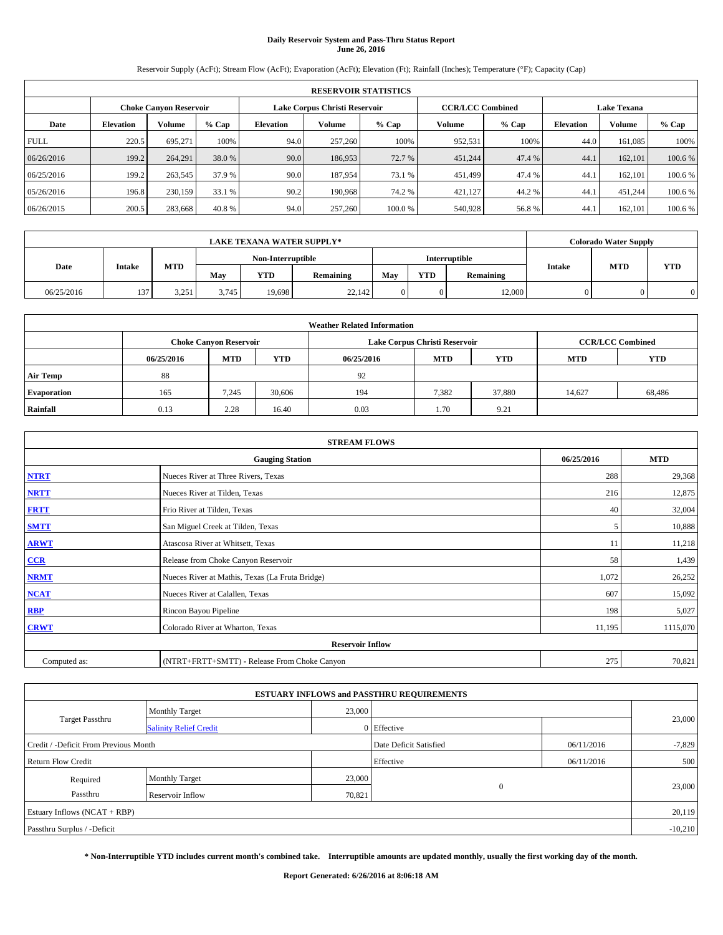# **Daily Reservoir System and Pass-Thru Status Report June 26, 2016**

Reservoir Supply (AcFt); Stream Flow (AcFt); Evaporation (AcFt); Elevation (Ft); Rainfall (Inches); Temperature (°F); Capacity (Cap)

|                                                                       | <b>RESERVOIR STATISTICS</b> |                               |         |                                     |                                                                                |        |         |         |                  |         |         |
|-----------------------------------------------------------------------|-----------------------------|-------------------------------|---------|-------------------------------------|--------------------------------------------------------------------------------|--------|---------|---------|------------------|---------|---------|
|                                                                       |                             | <b>Choke Canyon Reservoir</b> |         |                                     | Lake Corpus Christi Reservoir<br><b>CCR/LCC Combined</b><br><b>Lake Texana</b> |        |         |         |                  |         |         |
| Date                                                                  | <b>Elevation</b>            | Volume                        | $%$ Cap | Volume<br>% Cap<br><b>Elevation</b> |                                                                                |        | Volume  | $%$ Cap | <b>Elevation</b> | Volume  | % Cap   |
| <b>FULL</b>                                                           | 220.5                       | 695,271                       | 100%    | 94.0                                | 257,260                                                                        | 100%   | 952,531 | 100%    | 44.0             | 161,085 | 100%    |
| 06/26/2016                                                            | 199.2                       | 264,291                       | 38.0 %  | 90.0                                | 186,953                                                                        | 72.7 % | 451,244 | 47.4 %  | 44.1             | 162,101 | 100.6 % |
| 06/25/2016                                                            | 199.2                       | 263,545                       | 37.9 %  | 90.0                                | 187.954                                                                        | 73.1 % | 451,499 | 47.4 %  | 44.1             | 162,101 | 100.6 % |
| 05/26/2016                                                            | 196.8                       | 230,159                       | 33.1 %  | 90.2                                | 190,968                                                                        | 74.2 % | 421.127 | 44.2%   | 44.1             | 451.244 | 100.6 % |
| 40.8 %<br>94.0<br>200.5<br>283,668<br>257,260<br>06/26/2015<br>100.0% |                             |                               |         |                                     |                                                                                |        | 540,928 | 56.8%   | 44.1             | 162,101 | 100.6%  |

|            | <b>LAKE TEXANA WATER SUPPLY*</b> |       |       |                         |        |  |            |               |               |            | <b>Colorado Water Supply</b> |
|------------|----------------------------------|-------|-------|-------------------------|--------|--|------------|---------------|---------------|------------|------------------------------|
|            |                                  |       |       | Non-Interruptible       |        |  |            | Interruptible |               |            |                              |
| Date       | <b>Intake</b>                    | MTD   | Mav   | <b>YTD</b><br>Remaining |        |  | <b>YTD</b> | Remaining     | <b>Intake</b> | <b>MTD</b> | <b>YTD</b>                   |
| 06/25/2016 | 137                              | 3.251 | 3,745 | 19,698                  | 22,142 |  |            | 12,000        |               |            |                              |

| <b>Weather Related Information</b> |            |                               |            |                                                                    |                               |                         |        |        |  |  |
|------------------------------------|------------|-------------------------------|------------|--------------------------------------------------------------------|-------------------------------|-------------------------|--------|--------|--|--|
|                                    |            | <b>Choke Canyon Reservoir</b> |            |                                                                    | Lake Corpus Christi Reservoir | <b>CCR/LCC Combined</b> |        |        |  |  |
|                                    | 06/25/2016 | <b>MTD</b>                    | <b>YTD</b> | <b>YTD</b><br><b>MTD</b><br><b>YTD</b><br><b>MTD</b><br>06/25/2016 |                               |                         |        |        |  |  |
| <b>Air Temp</b>                    | 88         |                               |            | 92                                                                 |                               |                         |        |        |  |  |
| <b>Evaporation</b>                 | 165        | 7,245                         | 30,606     | 194                                                                | 7,382                         | 37,880                  | 14,627 | 68,486 |  |  |
| Rainfall                           | 0.13       | 2.28                          | 16.40      | 0.03                                                               | 1.70                          | 9.21                    |        |        |  |  |

| <b>STREAM FLOWS</b> |                                                 |            |            |  |  |  |  |  |  |
|---------------------|-------------------------------------------------|------------|------------|--|--|--|--|--|--|
|                     | <b>Gauging Station</b>                          | 06/25/2016 | <b>MTD</b> |  |  |  |  |  |  |
| <b>NTRT</b>         | Nueces River at Three Rivers, Texas             | 288        | 29,368     |  |  |  |  |  |  |
| <b>NRTT</b>         | Nueces River at Tilden, Texas                   | 216        | 12,875     |  |  |  |  |  |  |
| <b>FRTT</b>         | Frio River at Tilden, Texas                     | 40         | 32,004     |  |  |  |  |  |  |
| <b>SMTT</b>         | San Miguel Creek at Tilden, Texas               | 5          | 10,888     |  |  |  |  |  |  |
| <b>ARWT</b>         | Atascosa River at Whitsett, Texas               | 11         | 11,218     |  |  |  |  |  |  |
| $CCR$               | Release from Choke Canyon Reservoir             | 58         | 1,439      |  |  |  |  |  |  |
| <b>NRMT</b>         | Nueces River at Mathis, Texas (La Fruta Bridge) | 1,072      | 26,252     |  |  |  |  |  |  |
| <b>NCAT</b>         | Nueces River at Calallen, Texas                 | 607        | 15,092     |  |  |  |  |  |  |
| RBP                 | Rincon Bayou Pipeline                           | 198        | 5,027      |  |  |  |  |  |  |
| <b>CRWT</b>         | Colorado River at Wharton, Texas                | 11,195     | 1115,070   |  |  |  |  |  |  |
|                     | <b>Reservoir Inflow</b>                         |            |            |  |  |  |  |  |  |
| Computed as:        | (NTRT+FRTT+SMTT) - Release From Choke Canyon    | 275        | 70,821     |  |  |  |  |  |  |

| <b>ESTUARY INFLOWS and PASSTHRU REQUIREMENTS</b> |                               |        |                        |            |          |  |  |  |  |  |
|--------------------------------------------------|-------------------------------|--------|------------------------|------------|----------|--|--|--|--|--|
|                                                  | <b>Monthly Target</b>         | 23,000 |                        |            |          |  |  |  |  |  |
| Target Passthru                                  | <b>Salinity Relief Credit</b> |        | 0 Effective            |            | 23,000   |  |  |  |  |  |
| Credit / -Deficit From Previous Month            |                               |        | Date Deficit Satisfied | 06/11/2016 | $-7,829$ |  |  |  |  |  |
| <b>Return Flow Credit</b>                        |                               |        | Effective              | 06/11/2016 | 500      |  |  |  |  |  |
| Required                                         | Monthly Target                | 23,000 |                        |            |          |  |  |  |  |  |
| Passthru                                         | Reservoir Inflow              | 70,821 | $\Omega$               |            | 23,000   |  |  |  |  |  |
| Estuary Inflows (NCAT + RBP)                     |                               |        |                        |            |          |  |  |  |  |  |
| Passthru Surplus / -Deficit                      |                               |        |                        |            |          |  |  |  |  |  |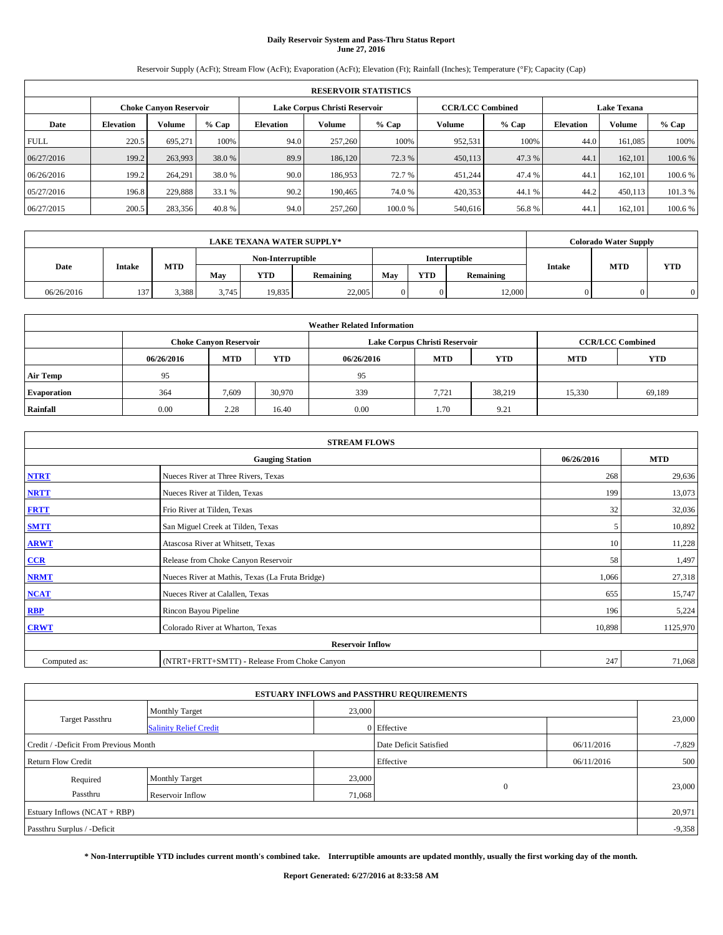# **Daily Reservoir System and Pass-Thru Status Report June 27, 2016**

Reservoir Supply (AcFt); Stream Flow (AcFt); Evaporation (AcFt); Elevation (Ft); Rainfall (Inches); Temperature (°F); Capacity (Cap)

|                                                                        | <b>RESERVOIR STATISTICS</b> |                               |         |                  |                               |         |                         |         |                  |                    |         |  |
|------------------------------------------------------------------------|-----------------------------|-------------------------------|---------|------------------|-------------------------------|---------|-------------------------|---------|------------------|--------------------|---------|--|
|                                                                        |                             | <b>Choke Canyon Reservoir</b> |         |                  | Lake Corpus Christi Reservoir |         | <b>CCR/LCC Combined</b> |         |                  | <b>Lake Texana</b> |         |  |
| Date                                                                   | <b>Elevation</b>            | Volume                        | $%$ Cap | <b>Elevation</b> | Volume                        | $%$ Cap | Volume                  | $%$ Cap | <b>Elevation</b> | Volume             | % Cap   |  |
| <b>FULL</b>                                                            | 220.5                       | 695.271                       | 100%    | 94.0             | 257,260                       | 100%    | 952,531                 | 100%    | 44.0             | 161,085            | 100%    |  |
| 06/27/2016                                                             | 199.2                       | 263,993                       | 38.0 %  | 89.9             | 186,120                       | 72.3 %  | 450,113                 | 47.3 %  | 44.1             | 162,101            | 100.6 % |  |
| 06/26/2016                                                             | 199.2                       | 264,291                       | 38.0%   | 90.0             | 186,953                       | 72.7 %  | 451,244                 | 47.4 %  | 44.1             | 162,101            | 100.6 % |  |
| 05/27/2016                                                             | 196.8                       | 229,888                       | 33.1 %  | 90.2             | 190,465                       | 74.0 %  | 420,353                 | 44.1%   | 44.2             | 450,113            | 101.3 % |  |
| 40.8 %<br>94.0<br>200.5<br>257,260<br>06/27/2015<br>283,356<br>100.0 % |                             |                               |         |                  |                               |         | 540,616                 | 56.8%   | 44.1             | 162.101            | 100.6 % |  |

|            | <b>LAKE TEXANA WATER SUPPLY*</b> |       |       |                         |        |  |            |               |               |            | <b>Colorado Water Supply</b> |  |  |
|------------|----------------------------------|-------|-------|-------------------------|--------|--|------------|---------------|---------------|------------|------------------------------|--|--|
|            |                                  |       |       | Non-Interruptible       |        |  |            | Interruptible |               |            |                              |  |  |
| Date       | <b>Intake</b>                    | MTD   | Mav   | <b>YTD</b><br>Remaining |        |  | <b>YTD</b> | Remaining     | <b>Intake</b> | <b>MTD</b> | <b>YTD</b>                   |  |  |
| 06/26/2016 | 137                              | 3.388 | 3.745 | 19.835                  | 22,005 |  |            | 12,000        |               |            |                              |  |  |

| <b>Weather Related Information</b> |            |                               |            |            |                               |                         |            |            |  |
|------------------------------------|------------|-------------------------------|------------|------------|-------------------------------|-------------------------|------------|------------|--|
|                                    |            | <b>Choke Canyon Reservoir</b> |            |            | Lake Corpus Christi Reservoir | <b>CCR/LCC Combined</b> |            |            |  |
|                                    | 06/26/2016 | <b>MTD</b>                    | <b>YTD</b> | 06/26/2016 | <b>MTD</b>                    | <b>YTD</b>              | <b>MTD</b> | <b>YTD</b> |  |
| <b>Air Temp</b>                    | 95         |                               |            | 95         |                               |                         |            |            |  |
| <b>Evaporation</b>                 | 364        | 7,609                         | 30,970     | 339        | 7.721                         | 38.219                  | 15,330     | 69,189     |  |
| Rainfall                           | 0.00       | 2.28                          | 16.40      | 0.00       | 1.70                          | 9.21                    |            |            |  |

| <b>STREAM FLOWS</b>     |                                                 |            |          |  |  |  |  |  |  |
|-------------------------|-------------------------------------------------|------------|----------|--|--|--|--|--|--|
|                         | 06/26/2016                                      | <b>MTD</b> |          |  |  |  |  |  |  |
| <b>NTRT</b>             | Nueces River at Three Rivers, Texas             | 268        | 29,636   |  |  |  |  |  |  |
| <b>NRTT</b>             | Nueces River at Tilden, Texas                   | 199        | 13,073   |  |  |  |  |  |  |
| <b>FRTT</b>             | Frio River at Tilden, Texas                     | 32         | 32,036   |  |  |  |  |  |  |
| <b>SMTT</b>             | San Miguel Creek at Tilden, Texas               | 5          | 10,892   |  |  |  |  |  |  |
| <b>ARWT</b>             | Atascosa River at Whitsett, Texas               | 10         | 11,228   |  |  |  |  |  |  |
| $CCR$                   | Release from Choke Canyon Reservoir             | 58         | 1,497    |  |  |  |  |  |  |
| <b>NRMT</b>             | Nueces River at Mathis, Texas (La Fruta Bridge) | 1,066      | 27,318   |  |  |  |  |  |  |
| <b>NCAT</b>             | Nueces River at Calallen, Texas                 | 655        | 15,747   |  |  |  |  |  |  |
| RBP                     | Rincon Bayou Pipeline                           | 196        | 5,224    |  |  |  |  |  |  |
| <b>CRWT</b>             | Colorado River at Wharton, Texas                | 10,898     | 1125,970 |  |  |  |  |  |  |
| <b>Reservoir Inflow</b> |                                                 |            |          |  |  |  |  |  |  |
| Computed as:            | (NTRT+FRTT+SMTT) - Release From Choke Canyon    | 247        | 71,068   |  |  |  |  |  |  |

|                                       |                               |        | <b>ESTUARY INFLOWS and PASSTHRU REQUIREMENTS</b> |            |          |  |  |  |
|---------------------------------------|-------------------------------|--------|--------------------------------------------------|------------|----------|--|--|--|
|                                       | <b>Monthly Target</b>         | 23,000 |                                                  |            |          |  |  |  |
| Target Passthru                       | <b>Salinity Relief Credit</b> |        | 0 Effective                                      |            | 23,000   |  |  |  |
| Credit / -Deficit From Previous Month |                               |        | Date Deficit Satisfied                           | 06/11/2016 | $-7,829$ |  |  |  |
| <b>Return Flow Credit</b>             |                               |        | Effective                                        | 06/11/2016 | 500      |  |  |  |
| Required                              | <b>Monthly Target</b>         | 23,000 |                                                  |            |          |  |  |  |
| Passthru                              | <b>Reservoir Inflow</b>       | 71,068 | $\Omega$                                         |            | 23,000   |  |  |  |
| Estuary Inflows $(NCAT + RBP)$        |                               |        |                                                  |            |          |  |  |  |
| Passthru Surplus / -Deficit           |                               |        |                                                  |            | $-9,358$ |  |  |  |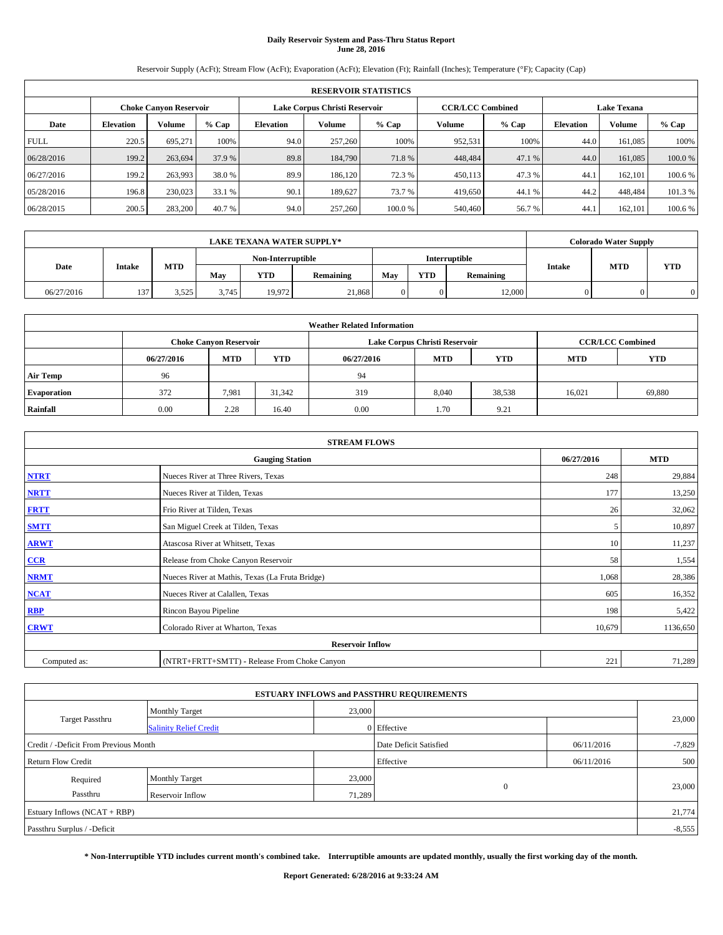# **Daily Reservoir System and Pass-Thru Status Report June 28, 2016**

Reservoir Supply (AcFt); Stream Flow (AcFt); Evaporation (AcFt); Elevation (Ft); Rainfall (Inches); Temperature (°F); Capacity (Cap)

|             | <b>RESERVOIR STATISTICS</b> |                               |         |                  |                               |        |                         |         |                  |                    |         |
|-------------|-----------------------------|-------------------------------|---------|------------------|-------------------------------|--------|-------------------------|---------|------------------|--------------------|---------|
|             |                             | <b>Choke Canyon Reservoir</b> |         |                  | Lake Corpus Christi Reservoir |        | <b>CCR/LCC Combined</b> |         |                  | <b>Lake Texana</b> |         |
| Date        | <b>Elevation</b>            | Volume                        | $%$ Cap | <b>Elevation</b> | Volume                        | % Cap  | Volume                  | $%$ Cap | <b>Elevation</b> | Volume             | % Cap   |
| <b>FULL</b> | 220.5                       | 695,271                       | 100%    | 94.0             | 257,260                       | 100%   | 952,531                 | 100%    | 44.0             | 161,085            | 100%    |
| 06/28/2016  | 199.2                       | 263,694                       | 37.9 %  | 89.8             | 184,790                       | 71.8%  | 448,484                 | 47.1 %  | 44.0             | 161,085            | 100.0%  |
| 06/27/2016  | 199.2                       | 263,993                       | 38.0%   | 89.9             | 186.120                       | 72.3 % | 450,113                 | 47.3 %  | 44.1             | 162,101            | 100.6 % |
| 05/28/2016  | 196.8                       | 230,023                       | 33.1 %  | 90.1             | 189.627                       | 73.7 % | 419,650                 | 44.1 %  | 44.2             | 448,484            | 101.3 % |
| 06/28/2015  | 200.5                       | 283,200                       | 40.7 %  | 94.0             | 257,260                       | 100.0% | 540,460                 | 56.7%   | 44.1             | 162,101            | 100.6%  |

|            | <b>LAKE TEXANA WATER SUPPLY*</b> |       |       |                   |           |     |            |               |               | <b>Colorado Water Supply</b> |            |
|------------|----------------------------------|-------|-------|-------------------|-----------|-----|------------|---------------|---------------|------------------------------|------------|
|            |                                  |       |       | Non-Interruptible |           |     |            | Interruptible |               |                              |            |
| Date       | <b>Intake</b>                    | MTD   | Mav   | <b>YTD</b>        | Remaining | May | <b>YTD</b> | Remaining     | <b>Intake</b> | <b>MTD</b>                   | <b>YTD</b> |
| 06/27/2016 | 137                              | 3.525 | 3.745 | 19.972            | 21,868    |     |            | 12,000        |               |                              |            |

| <b>Weather Related Information</b> |            |                               |            |            |                               |                         |            |            |  |
|------------------------------------|------------|-------------------------------|------------|------------|-------------------------------|-------------------------|------------|------------|--|
|                                    |            | <b>Choke Canyon Reservoir</b> |            |            | Lake Corpus Christi Reservoir | <b>CCR/LCC Combined</b> |            |            |  |
|                                    | 06/27/2016 | <b>MTD</b>                    | <b>YTD</b> | 06/27/2016 | <b>MTD</b>                    | <b>YTD</b>              | <b>MTD</b> | <b>YTD</b> |  |
| <b>Air Temp</b>                    | 96         |                               |            | 94         |                               |                         |            |            |  |
| <b>Evaporation</b>                 | 372        | 7,981                         | 31,342     | 319        | 8,040                         | 38,538                  | 16.021     | 69,880     |  |
| Rainfall                           | 0.00       | 2.28                          | 16.40      | 0.00       | 1.70                          | 9.21                    |            |            |  |

| <b>STREAM FLOWS</b> |                                                 |            |          |  |  |  |  |  |  |
|---------------------|-------------------------------------------------|------------|----------|--|--|--|--|--|--|
|                     | 06/27/2016                                      | <b>MTD</b> |          |  |  |  |  |  |  |
| <b>NTRT</b>         | Nueces River at Three Rivers, Texas             | 248        | 29,884   |  |  |  |  |  |  |
| <b>NRTT</b>         | Nueces River at Tilden, Texas                   | 177        | 13,250   |  |  |  |  |  |  |
| <b>FRTT</b>         | Frio River at Tilden, Texas                     | 26         | 32,062   |  |  |  |  |  |  |
| <b>SMTT</b>         | San Miguel Creek at Tilden, Texas               |            | 10,897   |  |  |  |  |  |  |
| <b>ARWT</b>         | Atascosa River at Whitsett, Texas               | 10         | 11,237   |  |  |  |  |  |  |
| $CCR$               | Release from Choke Canyon Reservoir             | 58         | 1,554    |  |  |  |  |  |  |
| <b>NRMT</b>         | Nueces River at Mathis, Texas (La Fruta Bridge) | 1,068      | 28,386   |  |  |  |  |  |  |
| <b>NCAT</b>         | Nueces River at Calallen, Texas                 | 605        | 16,352   |  |  |  |  |  |  |
| RBP                 | Rincon Bayou Pipeline                           | 198        | 5,422    |  |  |  |  |  |  |
| <b>CRWT</b>         | Colorado River at Wharton, Texas                | 10,679     | 1136,650 |  |  |  |  |  |  |
|                     |                                                 |            |          |  |  |  |  |  |  |
| Computed as:        | (NTRT+FRTT+SMTT) - Release From Choke Canyon    | 221        | 71,289   |  |  |  |  |  |  |

|                                       |                               |        | <b>ESTUARY INFLOWS and PASSTHRU REQUIREMENTS</b> |            |          |  |  |  |
|---------------------------------------|-------------------------------|--------|--------------------------------------------------|------------|----------|--|--|--|
|                                       | <b>Monthly Target</b>         | 23,000 |                                                  |            |          |  |  |  |
| Target Passthru                       | <b>Salinity Relief Credit</b> |        | 0 Effective                                      |            | 23,000   |  |  |  |
| Credit / -Deficit From Previous Month |                               |        | Date Deficit Satisfied                           | 06/11/2016 | $-7,829$ |  |  |  |
| <b>Return Flow Credit</b>             |                               |        | Effective                                        | 06/11/2016 | 500      |  |  |  |
| Required                              | Monthly Target                | 23,000 |                                                  |            |          |  |  |  |
| Passthru                              | <b>Reservoir Inflow</b>       | 71,289 | $\Omega$                                         |            | 23,000   |  |  |  |
| Estuary Inflows (NCAT + RBP)          |                               |        |                                                  |            |          |  |  |  |
| Passthru Surplus / -Deficit           |                               |        |                                                  |            |          |  |  |  |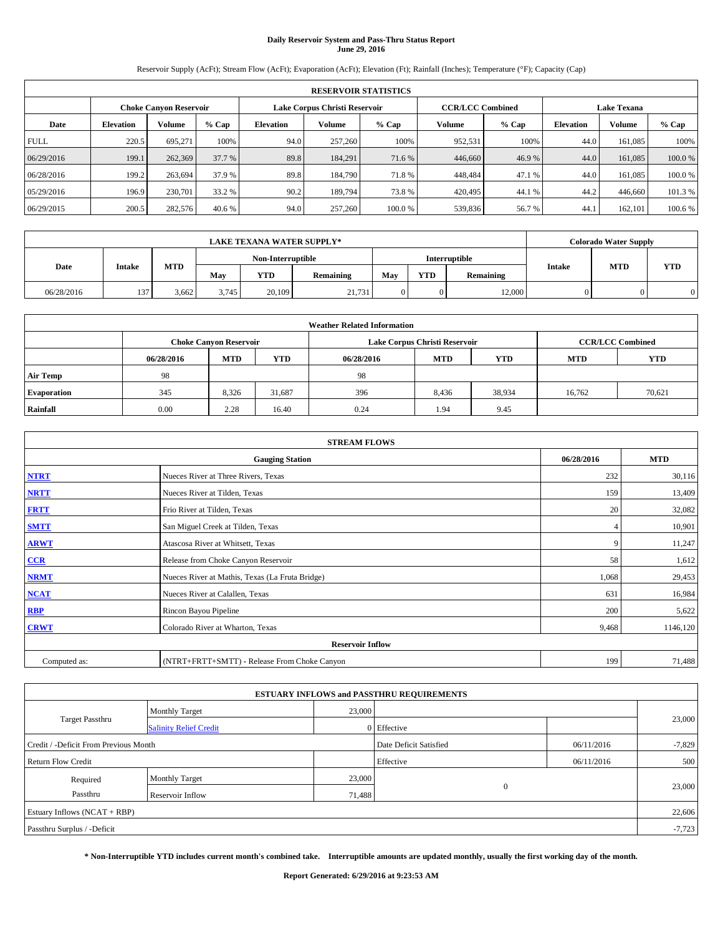# **Daily Reservoir System and Pass-Thru Status Report June 29, 2016**

Reservoir Supply (AcFt); Stream Flow (AcFt); Evaporation (AcFt); Elevation (Ft); Rainfall (Inches); Temperature (°F); Capacity (Cap)

|             | <b>RESERVOIR STATISTICS</b> |                               |         |                  |         |                                                          |         |         |                  |                    |         |  |
|-------------|-----------------------------|-------------------------------|---------|------------------|---------|----------------------------------------------------------|---------|---------|------------------|--------------------|---------|--|
|             |                             | <b>Choke Canyon Reservoir</b> |         |                  |         | <b>CCR/LCC Combined</b><br>Lake Corpus Christi Reservoir |         |         |                  | <b>Lake Texana</b> |         |  |
| Date        | <b>Elevation</b>            | Volume                        | $%$ Cap | <b>Elevation</b> | Volume  | $%$ Cap                                                  | Volume  | $%$ Cap | <b>Elevation</b> | Volume             | % Cap   |  |
| <b>FULL</b> | 220.5                       | 695.271                       | 100%    | 94.0             | 257,260 | 100%                                                     | 952,531 | 100%    | 44.0             | 161,085            | 100%    |  |
| 06/29/2016  | 199.1                       | 262,369                       | 37.7 %  | 89.8             | 184,291 | 71.6 %                                                   | 446,660 | 46.9%   | 44.0             | 161,085            | 100.0%  |  |
| 06/28/2016  | 199.2                       | 263,694                       | 37.9 %  | 89.8             | 184,790 | 71.8%                                                    | 448,484 | 47.1 %  | 44.0             | 161,085            | 100.0%  |  |
| 05/29/2016  | 196.9                       | 230,701                       | 33.2 %  | 90.2             | 189,794 | 73.8%                                                    | 420,495 | 44.1%   | 44.2             | 446,660            | 101.3 % |  |
| 06/29/2015  | 200.5                       | 282,576                       | 40.6 %  | 94.0             | 257,260 | 100.0%                                                   | 539,836 | 56.7%   | 44.1             | 162.101            | 100.6 % |  |

|            | <b>LAKE TEXANA WATER SUPPLY*</b> |                   |       |            |               |     |            |           |               | <b>Colorado Water Supply</b> |            |
|------------|----------------------------------|-------------------|-------|------------|---------------|-----|------------|-----------|---------------|------------------------------|------------|
|            |                                  | Non-Interruptible |       |            | Interruptible |     |            |           |               |                              |            |
| Date       | <b>Intake</b>                    | MTD               | Mav   | <b>YTD</b> | Remaining     | May | <b>YTD</b> | Remaining | <b>Intake</b> | <b>MTD</b>                   | <b>YTD</b> |
| 06/28/2016 | 137                              | 3.662             | 3.745 | 20,109     | 21.731        |     |            | 12,000    |               |                              |            |

| <b>Weather Related Information</b> |            |                               |            |            |                               |                         |            |        |  |
|------------------------------------|------------|-------------------------------|------------|------------|-------------------------------|-------------------------|------------|--------|--|
|                                    |            | <b>Choke Canvon Reservoir</b> |            |            | Lake Corpus Christi Reservoir | <b>CCR/LCC Combined</b> |            |        |  |
|                                    | 06/28/2016 | <b>MTD</b>                    | <b>YTD</b> | 06/28/2016 | <b>MTD</b>                    | <b>MTD</b>              | <b>YTD</b> |        |  |
| <b>Air Temp</b>                    | 98         |                               |            | 98         |                               |                         |            |        |  |
| <b>Evaporation</b>                 | 345        | 8.326                         | 31,687     | 396        | 8,436                         | 38,934                  | 16.762     | 70,621 |  |
| Rainfall                           | 0.00       | 2.28                          | 16.40      | 0.24       | 1.94                          | 9.45                    |            |        |  |

| <b>STREAM FLOWS</b> |                                                 |            |          |  |  |  |  |  |  |
|---------------------|-------------------------------------------------|------------|----------|--|--|--|--|--|--|
|                     | 06/28/2016                                      | <b>MTD</b> |          |  |  |  |  |  |  |
| <b>NTRT</b>         | Nueces River at Three Rivers, Texas             | 232        | 30,116   |  |  |  |  |  |  |
| <b>NRTT</b>         | Nueces River at Tilden, Texas                   | 159        | 13,409   |  |  |  |  |  |  |
| <b>FRTT</b>         | Frio River at Tilden, Texas                     | 20         | 32,082   |  |  |  |  |  |  |
| <b>SMTT</b>         | San Miguel Creek at Tilden, Texas               |            | 10,901   |  |  |  |  |  |  |
| <b>ARWT</b>         | Atascosa River at Whitsett, Texas               | 9          | 11,247   |  |  |  |  |  |  |
| $CCR$               | Release from Choke Canyon Reservoir             | 58         | 1,612    |  |  |  |  |  |  |
| <b>NRMT</b>         | Nueces River at Mathis, Texas (La Fruta Bridge) | 1,068      | 29,453   |  |  |  |  |  |  |
| <b>NCAT</b>         | Nueces River at Calallen, Texas                 | 631        | 16,984   |  |  |  |  |  |  |
| RBP                 | Rincon Bayou Pipeline                           | 200        | 5,622    |  |  |  |  |  |  |
| <b>CRWT</b>         | Colorado River at Wharton, Texas                | 9,468      | 1146,120 |  |  |  |  |  |  |
|                     |                                                 |            |          |  |  |  |  |  |  |
| Computed as:        | (NTRT+FRTT+SMTT) - Release From Choke Canyon    | 199        | 71,488   |  |  |  |  |  |  |

| <b>ESTUARY INFLOWS and PASSTHRU REQUIREMENTS</b> |                               |                        |             |            |        |  |  |  |
|--------------------------------------------------|-------------------------------|------------------------|-------------|------------|--------|--|--|--|
| Target Passthru                                  | <b>Monthly Target</b>         | 23,000                 |             |            | 23,000 |  |  |  |
|                                                  | <b>Salinity Relief Credit</b> |                        | 0 Effective |            |        |  |  |  |
| Credit / -Deficit From Previous Month            |                               | Date Deficit Satisfied | 06/11/2016  | $-7,829$   |        |  |  |  |
| <b>Return Flow Credit</b>                        |                               |                        | Effective   | 06/11/2016 | 500    |  |  |  |
| Required                                         | <b>Monthly Target</b>         | 23,000                 |             |            |        |  |  |  |
| Passthru                                         | <b>Reservoir Inflow</b>       | 71,488                 | $\Omega$    |            | 23,000 |  |  |  |
| Estuary Inflows $(NCAT + RBP)$                   |                               |                        |             |            |        |  |  |  |
| Passthru Surplus / -Deficit                      |                               |                        |             |            |        |  |  |  |